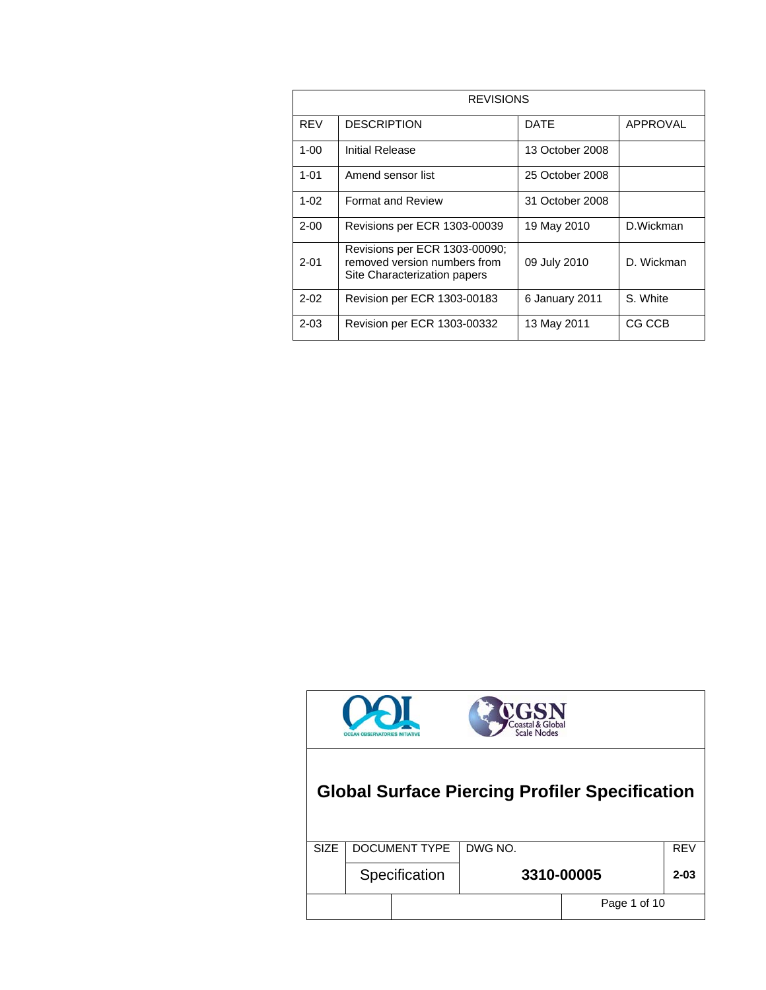| <b>REVISIONS</b> |                                                                                               |                 |            |
|------------------|-----------------------------------------------------------------------------------------------|-----------------|------------|
| <b>RFV</b>       | <b>DESCRIPTION</b>                                                                            | DATE            | APPROVAL   |
| $1 - 00$         | Initial Release                                                                               | 13 October 2008 |            |
| $1 - 01$         | Amend sensor list                                                                             | 25 October 2008 |            |
| $1 - 02$         | <b>Format and Review</b>                                                                      | 31 October 2008 |            |
| $2 - 00$         | Revisions per ECR 1303-00039                                                                  | 19 May 2010     | D.Wickman  |
| $2 - 01$         | Revisions per ECR 1303-00090;<br>removed version numbers from<br>Site Characterization papers | 09 July 2010    | D. Wickman |
| $2 - 02$         | Revision per ECR 1303-00183                                                                   | 6 January 2011  | S. White   |
| $2 - 03$         | Revision per ECR 1303-00332                                                                   | 13 May 2011     | CG CCB     |



## **Global Surface Piercing Profiler Specification**

| <b>SIZE</b> | DOCUMENT TYPE   DWG NO. |  |              | <b>REV</b> |
|-------------|-------------------------|--|--------------|------------|
|             | Specification           |  | 3310-00005   | $2 - 03$   |
|             |                         |  | Page 1 of 10 |            |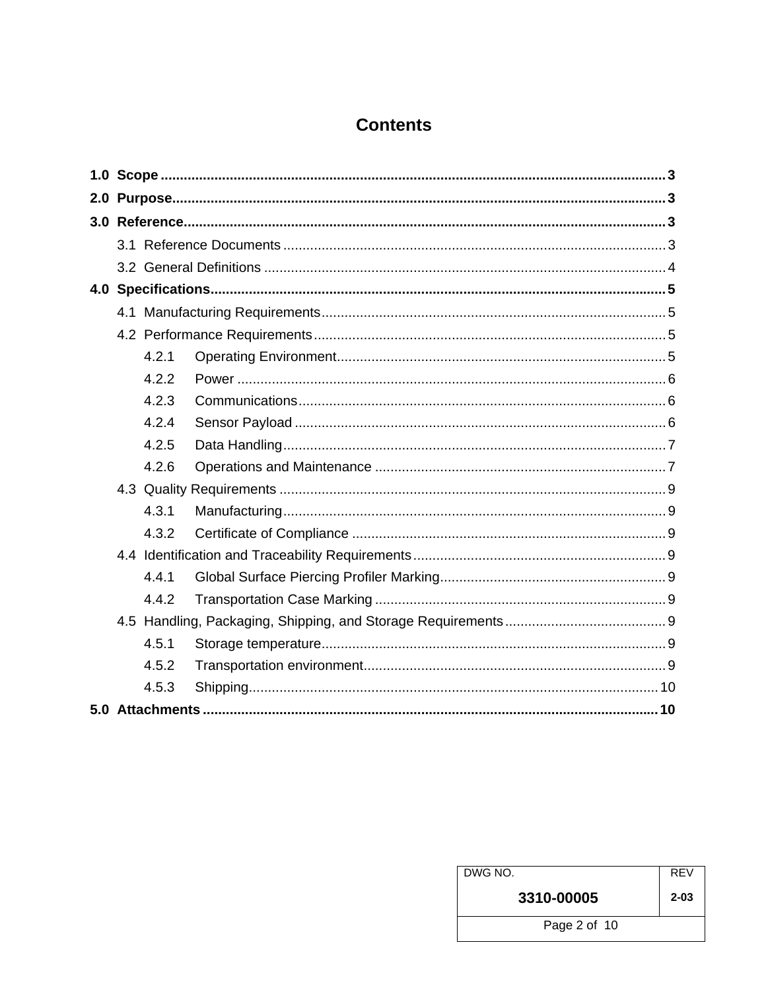### **Contents**

|  | 4.2.1 |  |
|--|-------|--|
|  | 4.2.2 |  |
|  | 4.2.3 |  |
|  | 4.2.4 |  |
|  | 4.2.5 |  |
|  | 4.2.6 |  |
|  |       |  |
|  | 4.3.1 |  |
|  | 4.3.2 |  |
|  |       |  |
|  | 4.4.1 |  |
|  | 4.4.2 |  |
|  |       |  |
|  | 4.5.1 |  |
|  | 4.5.2 |  |
|  | 4.5.3 |  |
|  |       |  |

| DWG NO.      | <b>REV</b> |
|--------------|------------|
| 3310-00005   | $2 - 03$   |
| Page 2 of 10 |            |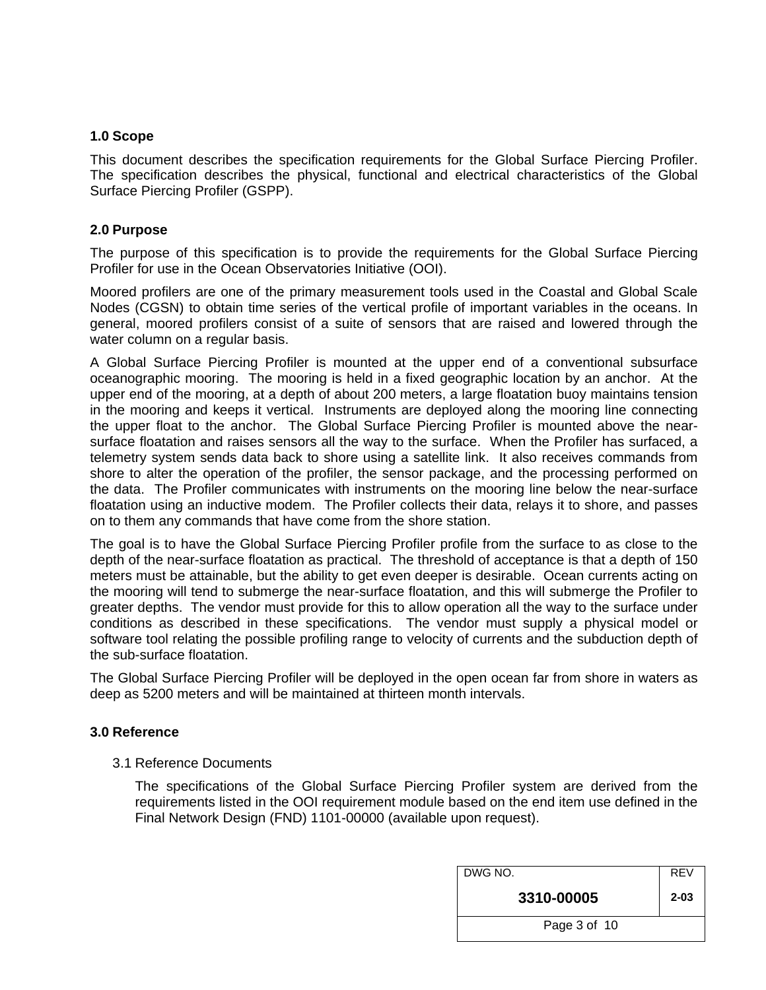#### <span id="page-2-0"></span>**1.0 Scope**

This document describes the specification requirements for the Global Surface Piercing Profiler. The specification describes the physical, functional and electrical characteristics of the Global Surface Piercing Profiler (GSPP).

#### <span id="page-2-1"></span>**2.0 Purpose**

The purpose of this specification is to provide the requirements for the Global Surface Piercing Profiler for use in the Ocean Observatories Initiative (OOI).

Moored profilers are one of the primary measurement tools used in the Coastal and Global Scale Nodes (CGSN) to obtain time series of the vertical profile of important variables in the oceans. In general, moored profilers consist of a suite of sensors that are raised and lowered through the water column on a regular basis.

A Global Surface Piercing Profiler is mounted at the upper end of a conventional subsurface oceanographic mooring. The mooring is held in a fixed geographic location by an anchor. At the upper end of the mooring, at a depth of about 200 meters, a large floatation buoy maintains tension in the mooring and keeps it vertical. Instruments are deployed along the mooring line connecting the upper float to the anchor. The Global Surface Piercing Profiler is mounted above the nearsurface floatation and raises sensors all the way to the surface. When the Profiler has surfaced, a telemetry system sends data back to shore using a satellite link. It also receives commands from shore to alter the operation of the profiler, the sensor package, and the processing performed on the data. The Profiler communicates with instruments on the mooring line below the near-surface floatation using an inductive modem. The Profiler collects their data, relays it to shore, and passes on to them any commands that have come from the shore station.

The goal is to have the Global Surface Piercing Profiler profile from the surface to as close to the depth of the near-surface floatation as practical. The threshold of acceptance is that a depth of 150 meters must be attainable, but the ability to get even deeper is desirable. Ocean currents acting on the mooring will tend to submerge the near-surface floatation, and this will submerge the Profiler to greater depths. The vendor must provide for this to allow operation all the way to the surface under conditions as described in these specifications. The vendor must supply a physical model or software tool relating the possible profiling range to velocity of currents and the subduction depth of the sub-surface floatation.

The Global Surface Piercing Profiler will be deployed in the open ocean far from shore in waters as deep as 5200 meters and will be maintained at thirteen month intervals.

#### <span id="page-2-3"></span><span id="page-2-2"></span>**3.0 Reference**

3.1 Reference Documents

The specifications of the Global Surface Piercing Profiler system are derived from the requirements listed in the OOI requirement module based on the end item use defined in the Final Network Design (FND) 1101-00000 (available upon request).

| DWG NO.      | <b>REV</b> |
|--------------|------------|
| 3310-00005   | $2 - 03$   |
| Page 3 of 10 |            |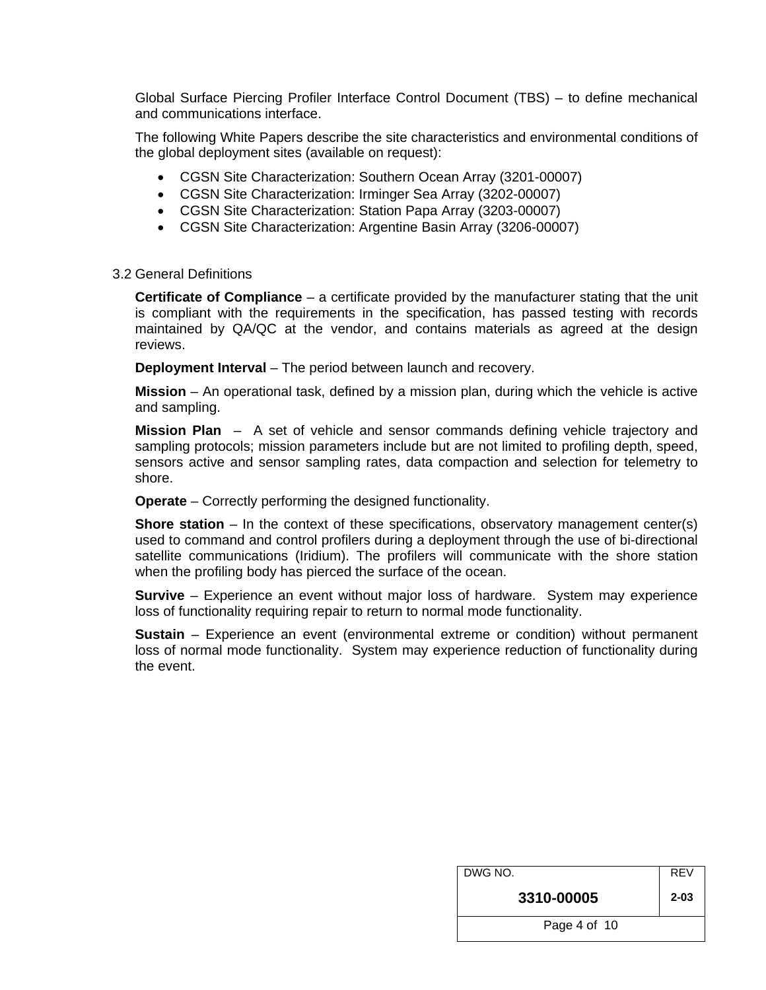Global Surface Piercing Profiler Interface Control Document (TBS) – to define mechanical and communications interface.

The following White Papers describe the site characteristics and environmental conditions of the global deployment sites (available on request):

- CGSN Site Characterization: Southern Ocean Array (3201-00007)
- CGSN Site Characterization: Irminger Sea Array (3202-00007)
- CGSN Site Characterization: Station Papa Array (3203-00007)
- CGSN Site Characterization: Argentine Basin Array (3206-00007)

#### <span id="page-3-0"></span>3.2 General Definitions

**Certificate of Compliance** – a certificate provided by the manufacturer stating that the unit is compliant with the requirements in the specification, has passed testing with records maintained by QA/QC at the vendor, and contains materials as agreed at the design reviews.

**Deployment Interval** – The period between launch and recovery.

**Mission** – An operational task, defined by a mission plan, during which the vehicle is active and sampling.

**Mission Plan** – A set of vehicle and sensor commands defining vehicle trajectory and sampling protocols; mission parameters include but are not limited to profiling depth, speed, sensors active and sensor sampling rates, data compaction and selection for telemetry to shore.

**Operate** – Correctly performing the designed functionality.

**Shore station** – In the context of these specifications, observatory management center(s) used to command and control profilers during a deployment through the use of bi-directional satellite communications (Iridium). The profilers will communicate with the shore station when the profiling body has pierced the surface of the ocean.

**Survive** – Experience an event without major loss of hardware. System may experience loss of functionality requiring repair to return to normal mode functionality.

**Sustain** – Experience an event (environmental extreme or condition) without permanent loss of normal mode functionality. System may experience reduction of functionality during the event.

| DWG NO.      | <b>REV</b> |
|--------------|------------|
| 3310-00005   | $2 - 03$   |
| Page 4 of 10 |            |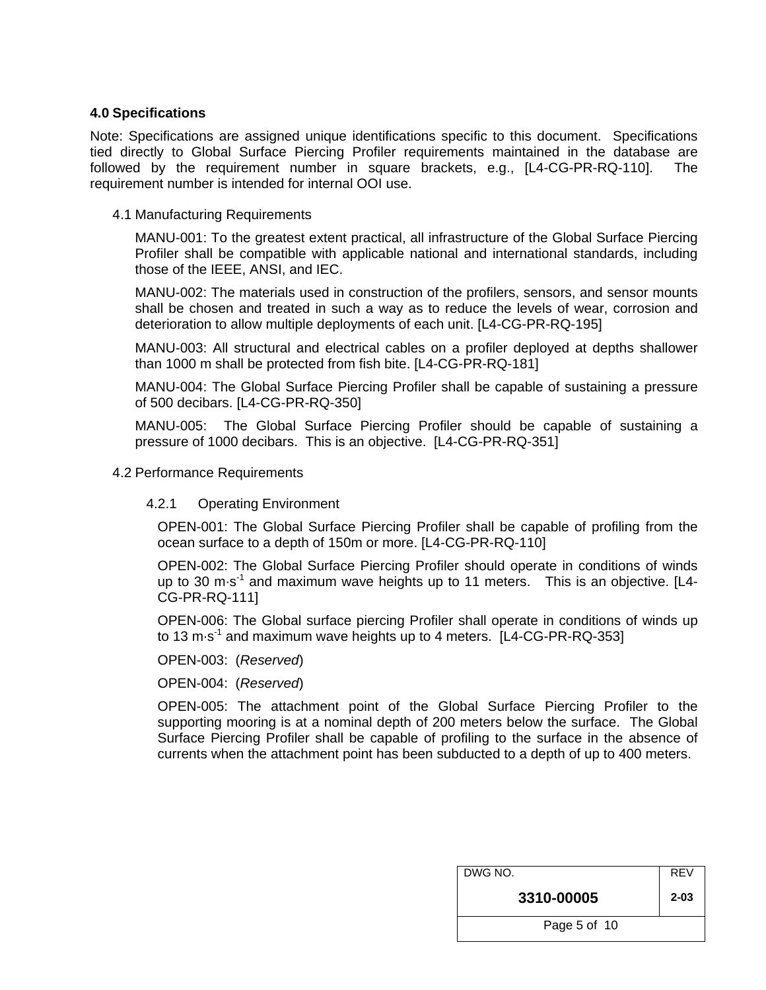#### <span id="page-4-0"></span>**4.0 Specifications**

Note: Specifications are assigned unique identifications specific to this document. Specifications tied directly to Global Surface Piercing Profiler requirements maintained in the database are followed by the requirement number in square brackets, e.g., [L4-CG-PR-RQ-110]. The requirement number is intended for internal OOI use.

#### <span id="page-4-1"></span>4.1 Manufacturing Requirements

MANU-001: To the greatest extent practical, all infrastructure of the Global Surface Piercing Profiler shall be compatible with applicable national and international standards, including those of the IEEE, ANSI, and IEC.

MANU-002: The materials used in construction of the profilers, sensors, and sensor mounts shall be chosen and treated in such a way as to reduce the levels of wear, corrosion and deterioration to allow multiple deployments of each unit. [L4-CG-PR-RQ-195]

MANU-003: All structural and electrical cables on a profiler deployed at depths shallower than 1000 m shall be protected from fish bite. [L4-CG-PR-RQ-181]

MANU-004: The Global Surface Piercing Profiler shall be capable of sustaining a pressure of 500 decibars. [L4-CG-PR-RQ-350]

MANU-005: The Global Surface Piercing Profiler should be capable of sustaining a pressure of 1000 decibars. This is an objective. [L4-CG-PR-RQ-351]

#### <span id="page-4-3"></span><span id="page-4-2"></span>4.2 Performance Requirements

#### 4.2.1 Operating Environment

OPEN-001: The Global Surface Piercing Profiler shall be capable of profiling from the ocean surface to a depth of 150m or more. [L4-CG-PR-RQ-110]

OPEN-002: The Global Surface Piercing Profiler should operate in conditions of winds up to 30 m $\cdot$ s<sup>-1</sup> and maximum wave heights up to 11 meters. This is an objective. [L4-CG-PR-RQ-111]

OPEN-006: The Global surface piercing Profiler shall operate in conditions of winds up to 13 m·s<sup>-1</sup> and maximum wave heights up to 4 meters. [L4-CG-PR-RQ-353]

OPEN-003: (*Reserved*)

OPEN-004: (*Reserved*)

OPEN-005: The attachment point of the Global Surface Piercing Profiler to the supporting mooring is at a nominal depth of 200 meters below the surface. The Global Surface Piercing Profiler shall be capable of profiling to the surface in the absence of currents when the attachment point has been subducted to a depth of up to 400 meters.

| DWG NO.      | <b>REV</b> |
|--------------|------------|
| 3310-00005   | $2 - 03$   |
| Page 5 of 10 |            |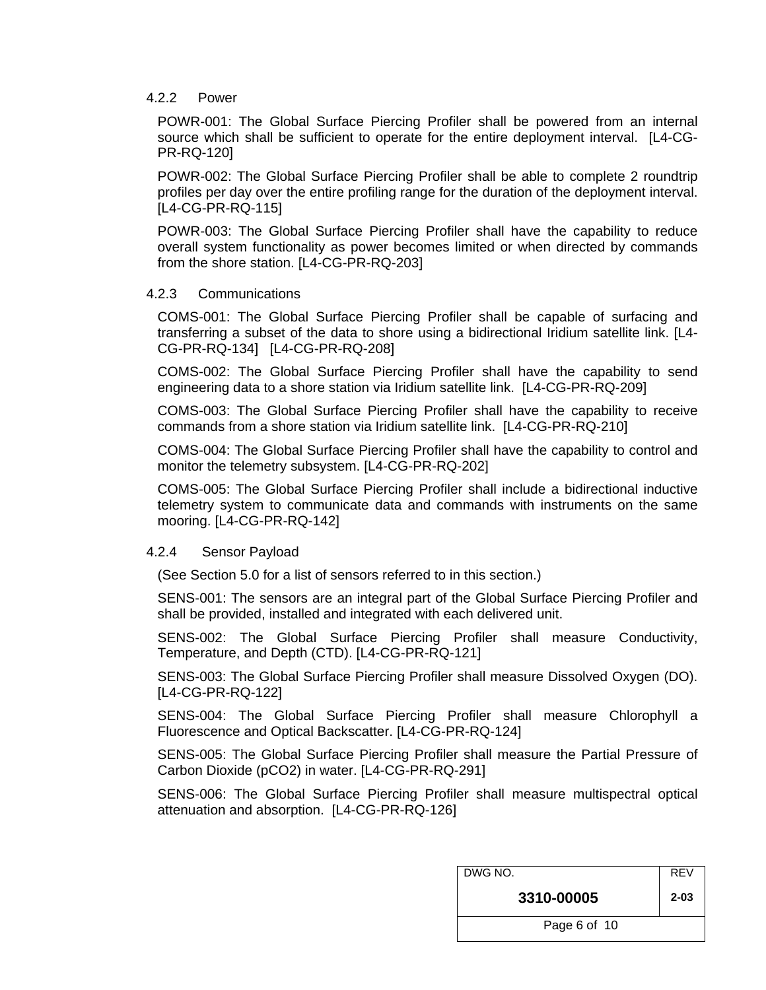#### <span id="page-5-0"></span>4.2.2 Power

POWR-001: The Global Surface Piercing Profiler shall be powered from an internal source which shall be sufficient to operate for the entire deployment interval. [L4-CG-PR-RQ-120]

POWR-002: The Global Surface Piercing Profiler shall be able to complete 2 roundtrip profiles per day over the entire profiling range for the duration of the deployment interval. [L4-CG-PR-RQ-115]

POWR-003: The Global Surface Piercing Profiler shall have the capability to reduce overall system functionality as power becomes limited or when directed by commands from the shore station. [L4-CG-PR-RQ-203]

#### <span id="page-5-1"></span>4.2.3 Communications

COMS-001: The Global Surface Piercing Profiler shall be capable of surfacing and transferring a subset of the data to shore using a bidirectional Iridium satellite link. [L4- CG-PR-RQ-134] [L4-CG-PR-RQ-208]

COMS-002: The Global Surface Piercing Profiler shall have the capability to send engineering data to a shore station via Iridium satellite link. [L4-CG-PR-RQ-209]

COMS-003: The Global Surface Piercing Profiler shall have the capability to receive commands from a shore station via Iridium satellite link. [L4-CG-PR-RQ-210]

COMS-004: The Global Surface Piercing Profiler shall have the capability to control and monitor the telemetry subsystem. [L4-CG-PR-RQ-202]

COMS-005: The Global Surface Piercing Profiler shall include a bidirectional inductive telemetry system to communicate data and commands with instruments on the same mooring. [L4-CG-PR-RQ-142]

#### <span id="page-5-2"></span>4.2.4 Sensor Payload

(See Section 5.0 for a list of sensors referred to in this section.)

SENS-001: The sensors are an integral part of the Global Surface Piercing Profiler and shall be provided, installed and integrated with each delivered unit.

SENS-002: The Global Surface Piercing Profiler shall measure Conductivity, Temperature, and Depth (CTD). [L4-CG-PR-RQ-121]

SENS-003: The Global Surface Piercing Profiler shall measure Dissolved Oxygen (DO). [L4-CG-PR-RQ-122]

SENS-004: The Global Surface Piercing Profiler shall measure Chlorophyll a Fluorescence and Optical Backscatter. [L4-CG-PR-RQ-124]

SENS-005: The Global Surface Piercing Profiler shall measure the Partial Pressure of Carbon Dioxide (pCO2) in water. [L4-CG-PR-RQ-291]

SENS-006: The Global Surface Piercing Profiler shall measure multispectral optical attenuation and absorption. [L4-CG-PR-RQ-126]

| DWG NO.      | <b>REV</b> |
|--------------|------------|
| 3310-00005   | $2 - 03$   |
| Page 6 of 10 |            |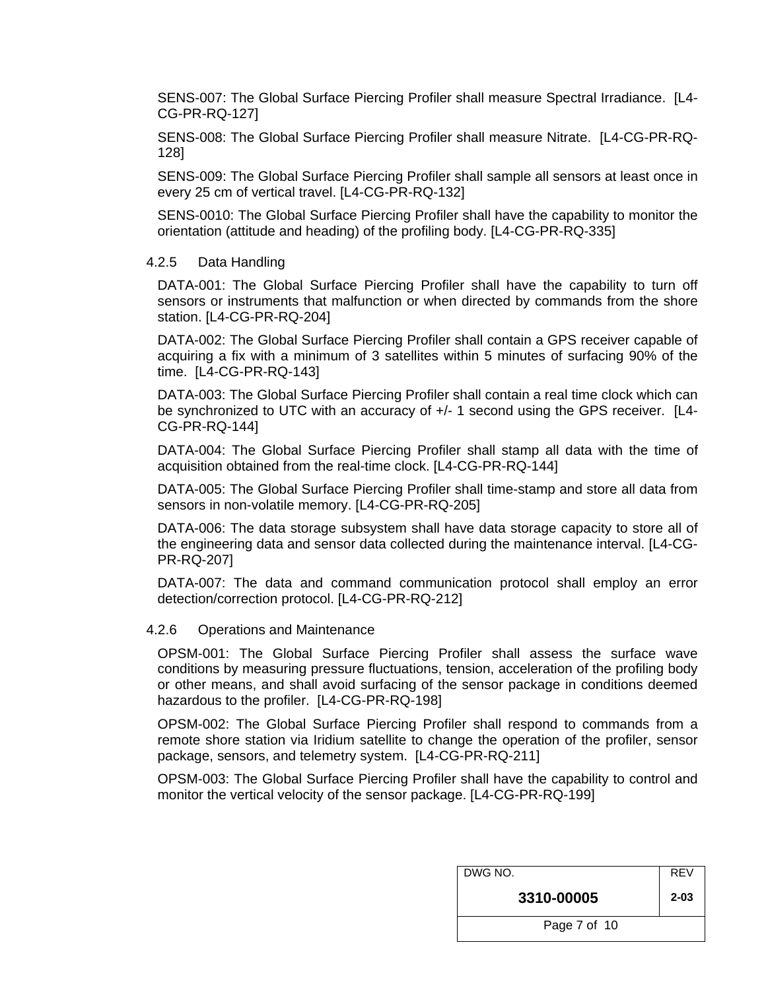SENS-007: The Global Surface Piercing Profiler shall measure Spectral Irradiance. [L4- CG-PR-RQ-127]

SENS-008: The Global Surface Piercing Profiler shall measure Nitrate. [L4-CG-PR-RQ-128]

SENS-009: The Global Surface Piercing Profiler shall sample all sensors at least once in every 25 cm of vertical travel. [L4-CG-PR-RQ-132]

SENS-0010: The Global Surface Piercing Profiler shall have the capability to monitor the orientation (attitude and heading) of the profiling body. [L4-CG-PR-RQ-335]

#### <span id="page-6-0"></span>4.2.5 Data Handling

DATA-001: The Global Surface Piercing Profiler shall have the capability to turn off sensors or instruments that malfunction or when directed by commands from the shore station. [L4-CG-PR-RQ-204]

DATA-002: The Global Surface Piercing Profiler shall contain a GPS receiver capable of acquiring a fix with a minimum of 3 satellites within 5 minutes of surfacing 90% of the time. [L4-CG-PR-RQ-143]

DATA-003: The Global Surface Piercing Profiler shall contain a real time clock which can be synchronized to UTC with an accuracy of  $+/- 1$  second using the GPS receiver. [L4-CG-PR-RQ-144]

DATA-004: The Global Surface Piercing Profiler shall stamp all data with the time of acquisition obtained from the real-time clock. [L4-CG-PR-RQ-144]

DATA-005: The Global Surface Piercing Profiler shall time-stamp and store all data from sensors in non-volatile memory. [L4-CG-PR-RQ-205]

DATA-006: The data storage subsystem shall have data storage capacity to store all of the engineering data and sensor data collected during the maintenance interval. [L4-CG-PR-RQ-207]

DATA-007: The data and command communication protocol shall employ an error detection/correction protocol. [L4-CG-PR-RQ-212]

#### <span id="page-6-1"></span>4.2.6 Operations and Maintenance

OPSM-001: The Global Surface Piercing Profiler shall assess the surface wave conditions by measuring pressure fluctuations, tension, acceleration of the profiling body or other means, and shall avoid surfacing of the sensor package in conditions deemed hazardous to the profiler. [L4-CG-PR-RQ-198]

OPSM-002: The Global Surface Piercing Profiler shall respond to commands from a remote shore station via Iridium satellite to change the operation of the profiler, sensor package, sensors, and telemetry system. [L4-CG-PR-RQ-211]

OPSM-003: The Global Surface Piercing Profiler shall have the capability to control and monitor the vertical velocity of the sensor package. [L4-CG-PR-RQ-199]

| DWG NO.      | <b>REV</b> |
|--------------|------------|
| 3310-00005   | $2 - 03$   |
| Page 7 of 10 |            |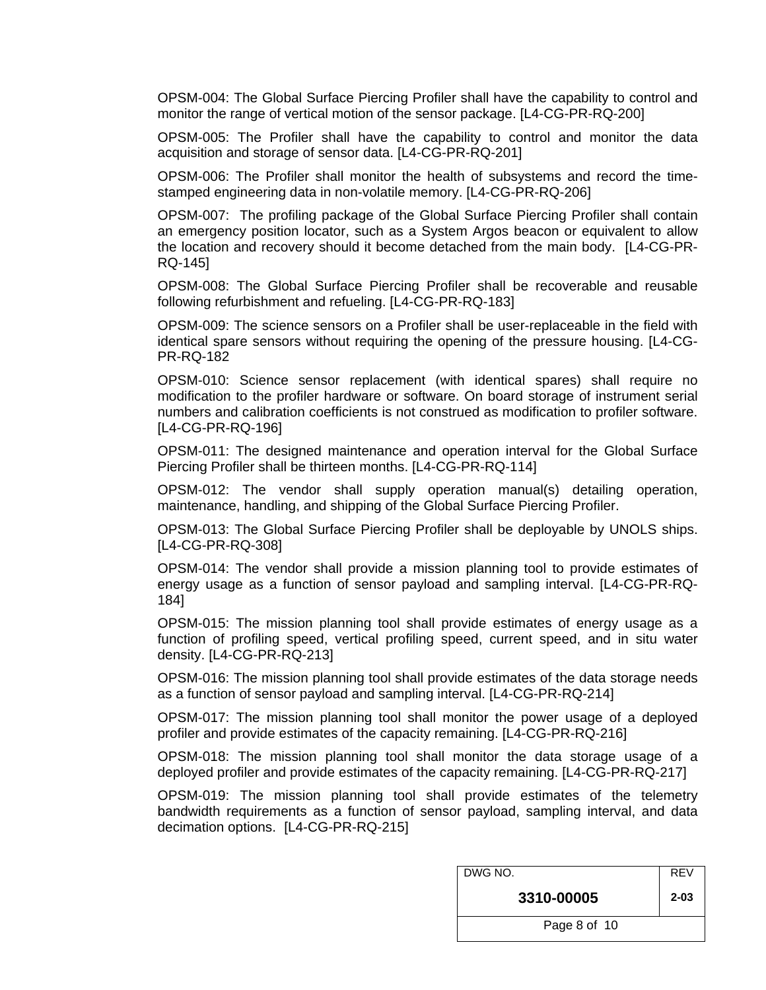OPSM-004: The Global Surface Piercing Profiler shall have the capability to control and monitor the range of vertical motion of the sensor package. [L4-CG-PR-RQ-200]

OPSM-005: The Profiler shall have the capability to control and monitor the data acquisition and storage of sensor data. [L4-CG-PR-RQ-201]

OPSM-006: The Profiler shall monitor the health of subsystems and record the timestamped engineering data in non-volatile memory. [L4-CG-PR-RQ-206]

OPSM-007: The profiling package of the Global Surface Piercing Profiler shall contain an emergency position locator, such as a System Argos beacon or equivalent to allow the location and recovery should it become detached from the main body. [L4-CG-PR-RQ-145]

OPSM-008: The Global Surface Piercing Profiler shall be recoverable and reusable following refurbishment and refueling. [L4-CG-PR-RQ-183]

OPSM-009: The science sensors on a Profiler shall be user-replaceable in the field with identical spare sensors without requiring the opening of the pressure housing. [L4-CG-PR-RQ-182

OPSM-010: Science sensor replacement (with identical spares) shall require no modification to the profiler hardware or software. On board storage of instrument serial numbers and calibration coefficients is not construed as modification to profiler software. [L4-CG-PR-RQ-196]

OPSM-011: The designed maintenance and operation interval for the Global Surface Piercing Profiler shall be thirteen months. [L4-CG-PR-RQ-114]

OPSM-012: The vendor shall supply operation manual(s) detailing operation, maintenance, handling, and shipping of the Global Surface Piercing Profiler.

OPSM-013: The Global Surface Piercing Profiler shall be deployable by UNOLS ships. [L4-CG-PR-RQ-308]

OPSM-014: The vendor shall provide a mission planning tool to provide estimates of energy usage as a function of sensor payload and sampling interval. [L4-CG-PR-RQ-184]

OPSM-015: The mission planning tool shall provide estimates of energy usage as a function of profiling speed, vertical profiling speed, current speed, and in situ water density. [L4-CG-PR-RQ-213]

OPSM-016: The mission planning tool shall provide estimates of the data storage needs as a function of sensor payload and sampling interval. [L4-CG-PR-RQ-214]

OPSM-017: The mission planning tool shall monitor the power usage of a deployed profiler and provide estimates of the capacity remaining. [L4-CG-PR-RQ-216]

OPSM-018: The mission planning tool shall monitor the data storage usage of a deployed profiler and provide estimates of the capacity remaining. [L4-CG-PR-RQ-217]

OPSM-019: The mission planning tool shall provide estimates of the telemetry bandwidth requirements as a function of sensor payload, sampling interval, and data decimation options. [L4-CG-PR-RQ-215]

| DWG NO.      | <b>REV</b> |
|--------------|------------|
| 3310-00005   | $2 - 03$   |
| Page 8 of 10 |            |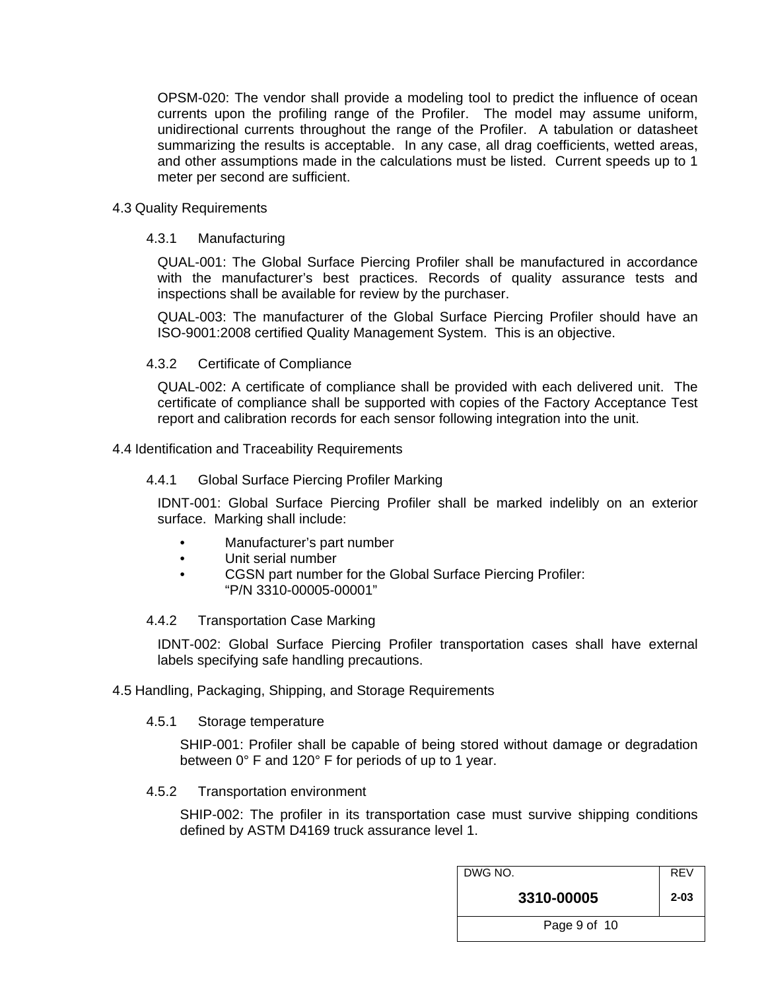OPSM-020: The vendor shall provide a modeling tool to predict the influence of ocean currents upon the profiling range of the Profiler. The model may assume uniform, unidirectional currents throughout the range of the Profiler. A tabulation or datasheet summarizing the results is acceptable. In any case, all drag coefficients, wetted areas, and other assumptions made in the calculations must be listed. Current speeds up to 1 meter per second are sufficient.

#### <span id="page-8-1"></span><span id="page-8-0"></span>4.3 Quality Requirements

#### 4.3.1 Manufacturing

QUAL-001: The Global Surface Piercing Profiler shall be manufactured in accordance with the manufacturer's best practices. Records of quality assurance tests and inspections shall be available for review by the purchaser.

QUAL-003: The manufacturer of the Global Surface Piercing Profiler should have an ISO-9001:2008 certified Quality Management System. This is an objective.

#### 4.3.2 Certificate of Compliance

QUAL-002: A certificate of compliance shall be provided with each delivered unit. The certificate of compliance shall be supported with copies of the Factory Acceptance Test report and calibration records for each sensor following integration into the unit.

#### <span id="page-8-4"></span><span id="page-8-3"></span><span id="page-8-2"></span>4.4 Identification and Traceability Requirements

#### 4.4.1 Global Surface Piercing Profiler Marking

IDNT-001: Global Surface Piercing Profiler shall be marked indelibly on an exterior surface. Marking shall include:

- Manufacturer's part number
- Unit serial number
	- CGSN part number for the Global Surface Piercing Profiler: "P/N 3310-00005-00001"

#### 4.4.2 Transportation Case Marking

IDNT-002: Global Surface Piercing Profiler transportation cases shall have external labels specifying safe handling precautions.

#### <span id="page-8-7"></span><span id="page-8-6"></span><span id="page-8-5"></span>4.5 Handling, Packaging, Shipping, and Storage Requirements

#### 4.5.1 Storage temperature

SHIP-001: Profiler shall be capable of being stored without damage or degradation between 0° F and 120° F for periods of up to 1 year.

#### <span id="page-8-8"></span>4.5.2 Transportation environment

SHIP-002: The profiler in its transportation case must survive shipping conditions defined by ASTM D4169 truck assurance level 1.

| DWG NO.      | <b>REV</b> |
|--------------|------------|
| 3310-00005   | $2 - 03$   |
| Page 9 of 10 |            |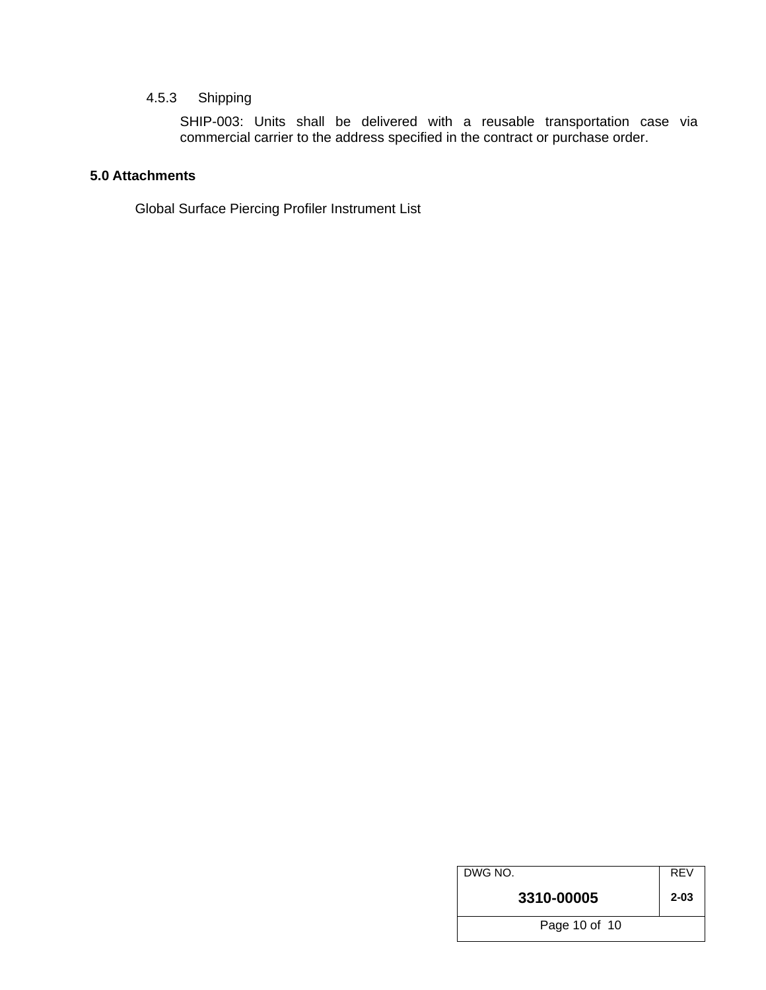#### 4.5.3 Shipping

SHIP-003: Units shall be delivered with a reusable transportation case via commercial carrier to the address specified in the contract or purchase order.

#### <span id="page-9-1"></span><span id="page-9-0"></span>**5.0 Attachments**

Global Surface Piercing Profiler Instrument List

| DWG NO.       | <b>REV</b> |
|---------------|------------|
| 3310-00005    | $2 - 03$   |
| Page 10 of 10 |            |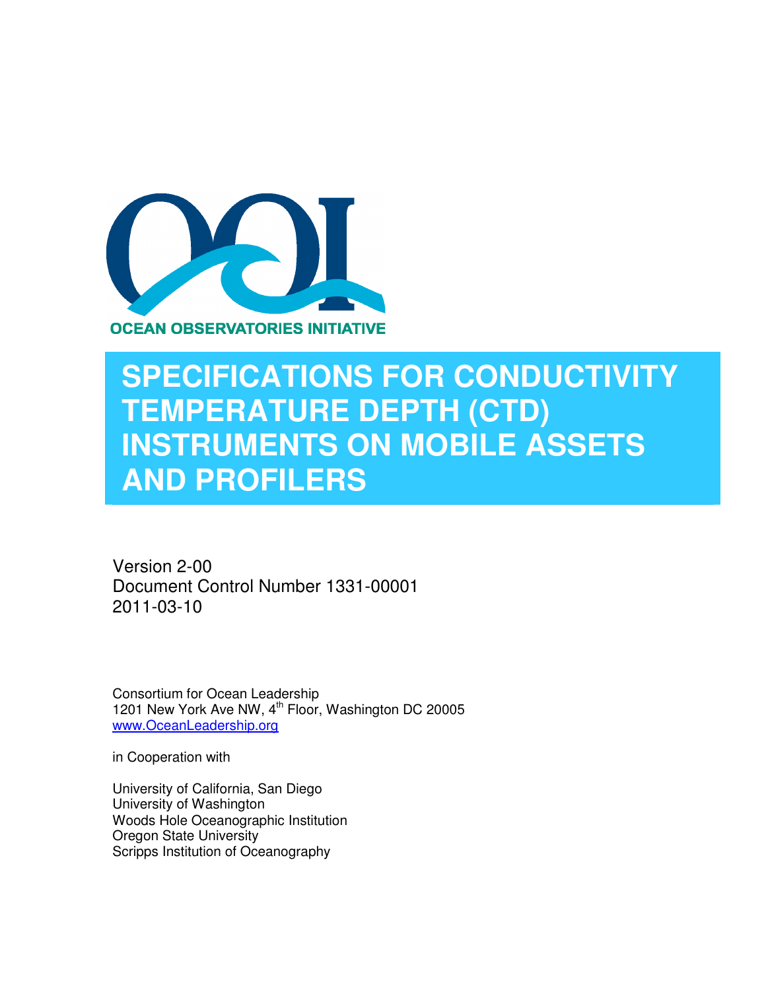

## **SPECIFICATIONS FOR CONDUCTIVITY TEMPERATURE DEPTH (CTD) INSTRUMENTS ON MOBILE ASSETS AND PROFILERS**

Version 2-00 Document Control Number 1331-00001 2011-03-10

Consortium for Ocean Leadership 1201 New York Ave NW, 4<sup>th</sup> Floor, Washington DC 20005 www.OceanLeadership.org

in Cooperation with

University of California, San Diego University of Washington Woods Hole Oceanographic Institution Oregon State University Scripps Institution of Oceanography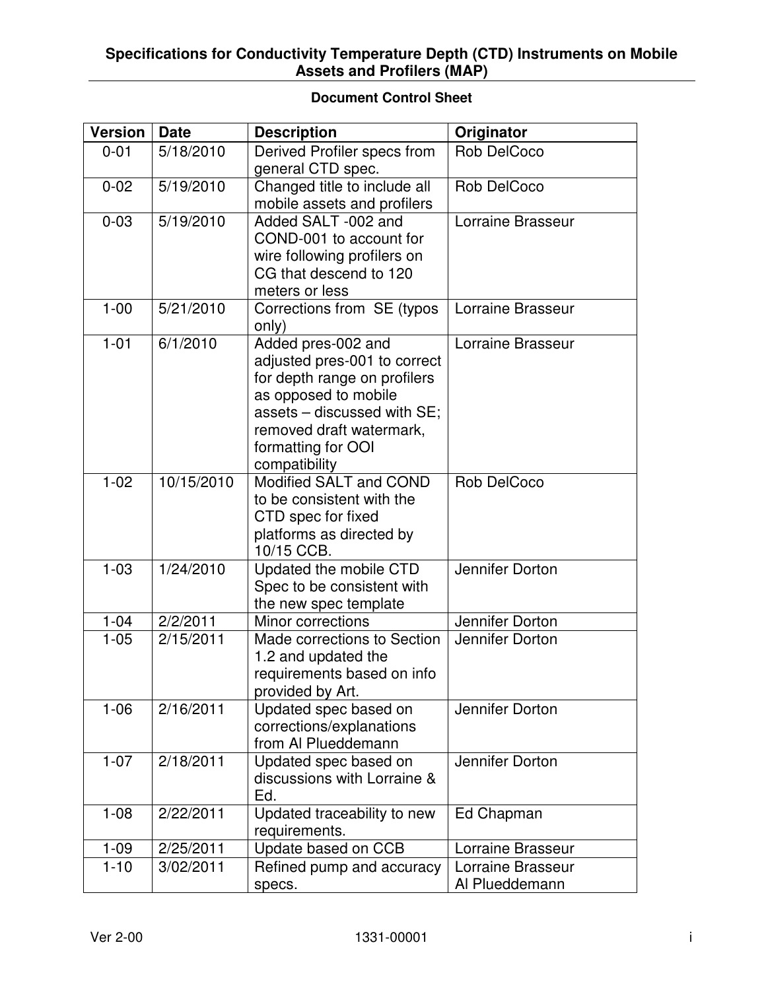#### **Document Control Sheet**

| <b>Version</b> | <b>Date</b> | <b>Description</b>                                                                                                                                                                                           | Originator                          |
|----------------|-------------|--------------------------------------------------------------------------------------------------------------------------------------------------------------------------------------------------------------|-------------------------------------|
| $0 - 01$       | 5/18/2010   | Derived Profiler specs from<br>general CTD spec.                                                                                                                                                             | <b>Rob DelCoco</b>                  |
| $0 - 02$       | 5/19/2010   | Changed title to include all<br>mobile assets and profilers                                                                                                                                                  | Rob DelCoco                         |
| $0 - 03$       | 5/19/2010   | Added SALT -002 and<br>COND-001 to account for<br>wire following profilers on<br>CG that descend to 120<br>meters or less                                                                                    | Lorraine Brasseur                   |
| $1 - 00$       | 5/21/2010   | Corrections from SE (typos<br>only)                                                                                                                                                                          | Lorraine Brasseur                   |
| $1 - 01$       | 6/1/2010    | Added pres-002 and<br>adjusted pres-001 to correct<br>for depth range on profilers<br>as opposed to mobile<br>assets - discussed with SE;<br>removed draft watermark,<br>formatting for OOI<br>compatibility | Lorraine Brasseur                   |
| $1 - 02$       | 10/15/2010  | Modified SALT and COND<br>to be consistent with the<br>CTD spec for fixed<br>platforms as directed by<br>10/15 CCB.                                                                                          | <b>Rob DelCoco</b>                  |
| $1 - 03$       | 1/24/2010   | Updated the mobile CTD<br>Spec to be consistent with<br>the new spec template                                                                                                                                | Jennifer Dorton                     |
| $1 - 04$       | 2/2/2011    | Minor corrections                                                                                                                                                                                            | Jennifer Dorton                     |
| $1 - 05$       | 2/15/2011   | Made corrections to Section<br>1.2 and updated the<br>requirements based on info<br>provided by Art.                                                                                                         | Jennifer Dorton                     |
| $1 - 06$       | 2/16/2011   | Updated spec based on<br>corrections/explanations<br>from Al Plueddemann                                                                                                                                     | Jennifer Dorton                     |
| $1 - 07$       | 2/18/2011   | Updated spec based on<br>discussions with Lorraine &<br>Ed.                                                                                                                                                  | Jennifer Dorton                     |
| $1 - 08$       | 2/22/2011   | Updated traceability to new<br>requirements.                                                                                                                                                                 | Ed Chapman                          |
| $1 - 09$       | 2/25/2011   | Update based on CCB                                                                                                                                                                                          | Lorraine Brasseur                   |
| $1 - 10$       | 3/02/2011   | Refined pump and accuracy<br>specs.                                                                                                                                                                          | Lorraine Brasseur<br>Al Plueddemann |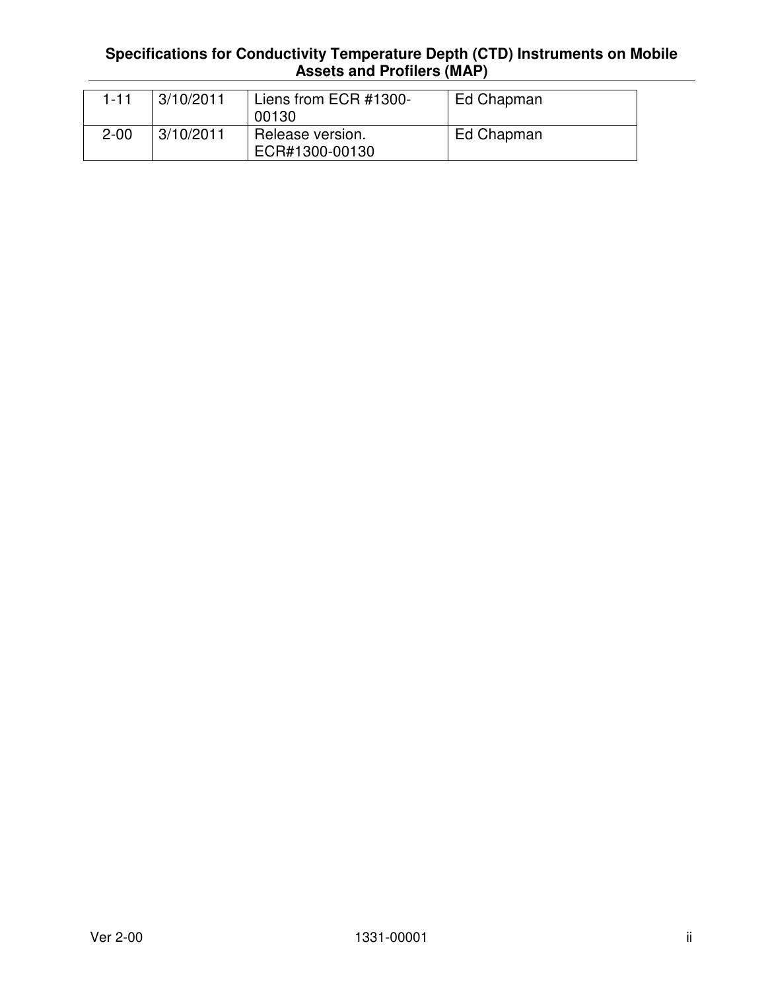| 1-11     | 3/10/2011 | Liens from ECR #1300-<br>00130     | Ed Chapman |
|----------|-----------|------------------------------------|------------|
| $2 - 00$ | 3/10/2011 | Release version.<br>ECR#1300-00130 | Ed Chapman |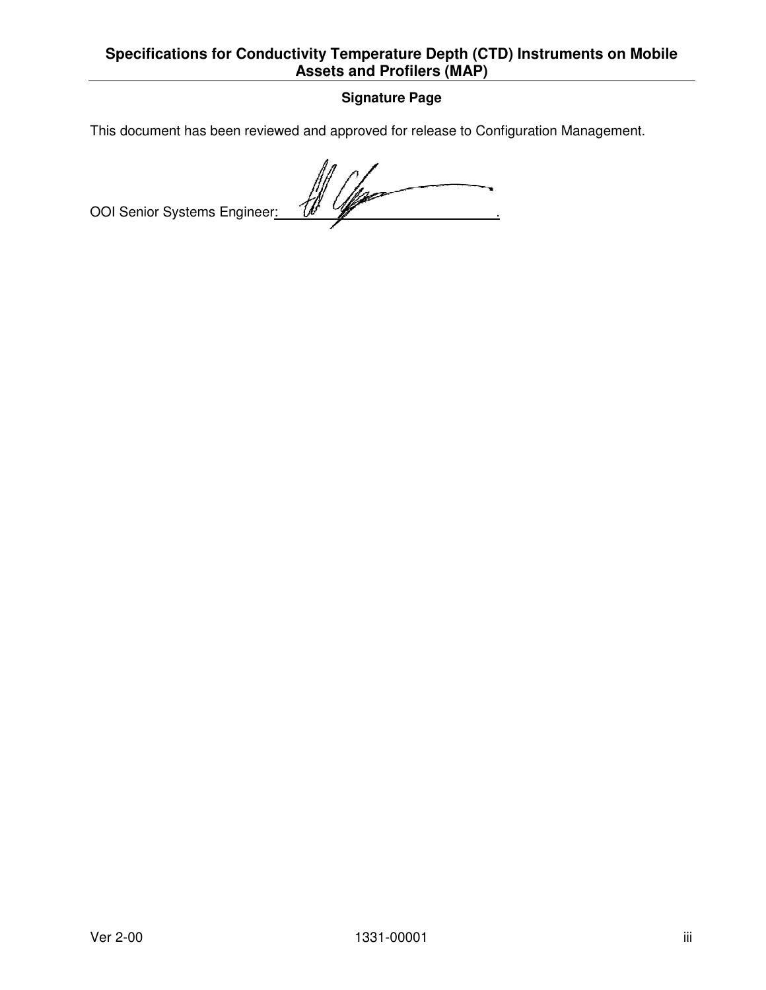#### **Signature Page**

This document has been reviewed and approved for release to Configuration Management.<br>OOI Senior Systems Engineer:  $\overline{ }$ OOI Senior Systems Engineer:  $\frac{f/f}{f}$  V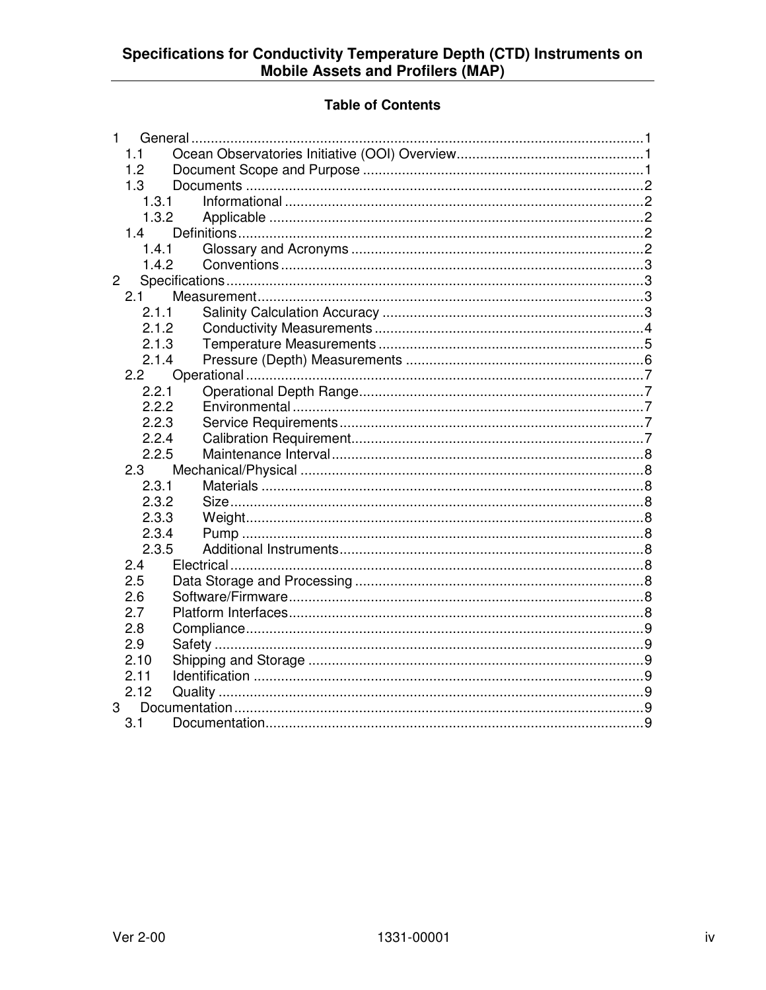#### **Table of Contents**

| 1            | General |  |
|--------------|---------|--|
| 1.1          |         |  |
| 1.2          |         |  |
| 1.3          |         |  |
| 1.3.1        |         |  |
| 1.3.2        |         |  |
| 1.4          |         |  |
| 1.4.1        |         |  |
| 1.4.2        |         |  |
| $\mathbf{2}$ |         |  |
| 2.1          |         |  |
| 2.1.1        |         |  |
| 2.1.2        |         |  |
| 2.1.3        |         |  |
| 2.1.4        |         |  |
| 2.2          |         |  |
| 2.2.1        |         |  |
| 2.2.2        |         |  |
| 2.2.3        |         |  |
| 2.2.4        |         |  |
| 2.2.5        |         |  |
| 2.3          |         |  |
| 2.3.1        |         |  |
| 2.3.2        |         |  |
| 2.3.3        |         |  |
| 2.3.4        |         |  |
| 2.3.5        |         |  |
| 2.4          |         |  |
| 2.5          |         |  |
| 2.6          |         |  |
| 2.7          |         |  |
| 2.8          |         |  |
| 2.9          |         |  |
| 2.10         |         |  |
| 2.11         |         |  |
| 2.12         |         |  |
| 3            |         |  |
| 3.1          |         |  |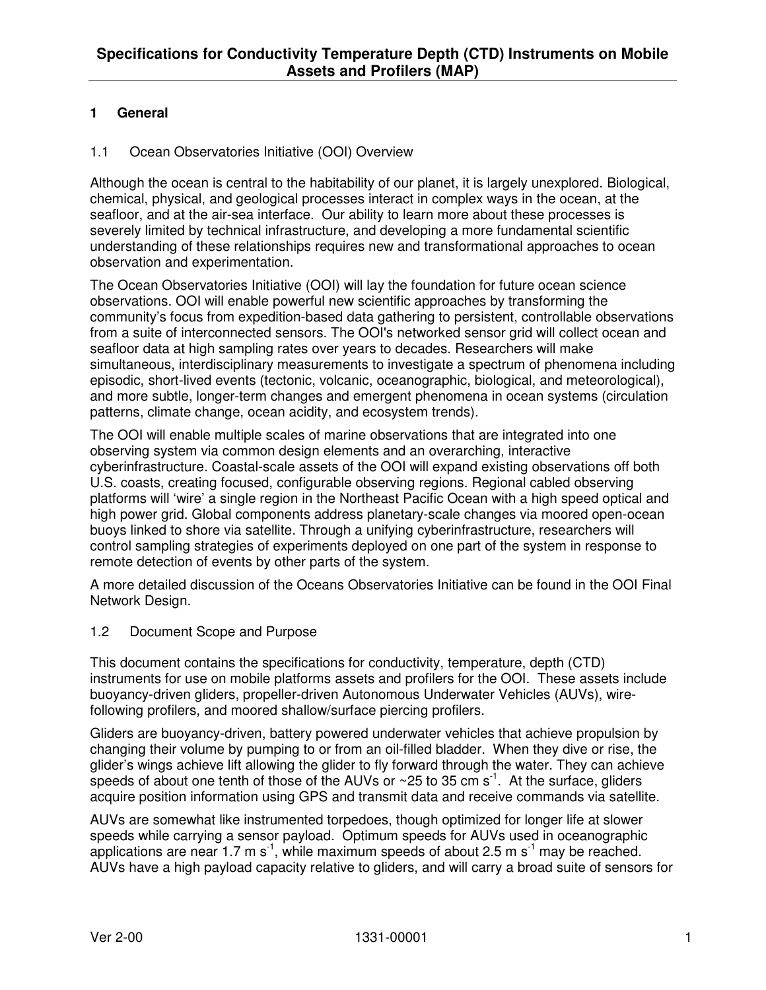#### **1 General**

#### 1.1 Ocean Observatories Initiative (OOI) Overview

Although the ocean is central to the habitability of our planet, it is largely unexplored. Biological, chemical, physical, and geological processes interact in complex ways in the ocean, at the seafloor, and at the air-sea interface. Our ability to learn more about these processes is severely limited by technical infrastructure, and developing a more fundamental scientific understanding of these relationships requires new and transformational approaches to ocean observation and experimentation.

The Ocean Observatories Initiative (OOI) will lay the foundation for future ocean science observations. OOI will enable powerful new scientific approaches by transforming the community's focus from expedition-based data gathering to persistent, controllable observations from a suite of interconnected sensors. The OOI's networked sensor grid will collect ocean and seafloor data at high sampling rates over years to decades. Researchers will make simultaneous, interdisciplinary measurements to investigate a spectrum of phenomena including episodic, short-lived events (tectonic, volcanic, oceanographic, biological, and meteorological), and more subtle, longer-term changes and emergent phenomena in ocean systems (circulation patterns, climate change, ocean acidity, and ecosystem trends).

The OOI will enable multiple scales of marine observations that are integrated into one observing system via common design elements and an overarching, interactive cyberinfrastructure. Coastal-scale assets of the OOI will expand existing observations off both U.S. coasts, creating focused, configurable observing regions. Regional cabled observing platforms will 'wire' a single region in the Northeast Pacific Ocean with a high speed optical and high power grid. Global components address planetary-scale changes via moored open-ocean buoys linked to shore via satellite. Through a unifying cyberinfrastructure, researchers will control sampling strategies of experiments deployed on one part of the system in response to remote detection of events by other parts of the system.

A more detailed discussion of the Oceans Observatories Initiative can be found in the OOI Final Network Design.

#### 1.2 Document Scope and Purpose

This document contains the specifications for conductivity, temperature, depth (CTD) instruments for use on mobile platforms assets and profilers for the OOI. These assets include buoyancy-driven gliders, propeller-driven Autonomous Underwater Vehicles (AUVs), wirefollowing profilers, and moored shallow/surface piercing profilers.

Gliders are buoyancy-driven, battery powered underwater vehicles that achieve propulsion by changing their volume by pumping to or from an oil-filled bladder. When they dive or rise, the glider's wings achieve lift allowing the glider to fly forward through the water. They can achieve speeds of about one tenth of those of the AUVs or  $\sim$  25 to 35 cm s<sup>-1</sup>. At the surface, gliders acquire position information using GPS and transmit data and receive commands via satellite.

AUVs are somewhat like instrumented torpedoes, though optimized for longer life at slower speeds while carrying a sensor payload. Optimum speeds for AUVs used in oceanographic applications are near 1.7 m s<sup>-1</sup>, while maximum speeds of about 2.5 m s<sup>-1</sup> may be reached. AUVs have a high payload capacity relative to gliders, and will carry a broad suite of sensors for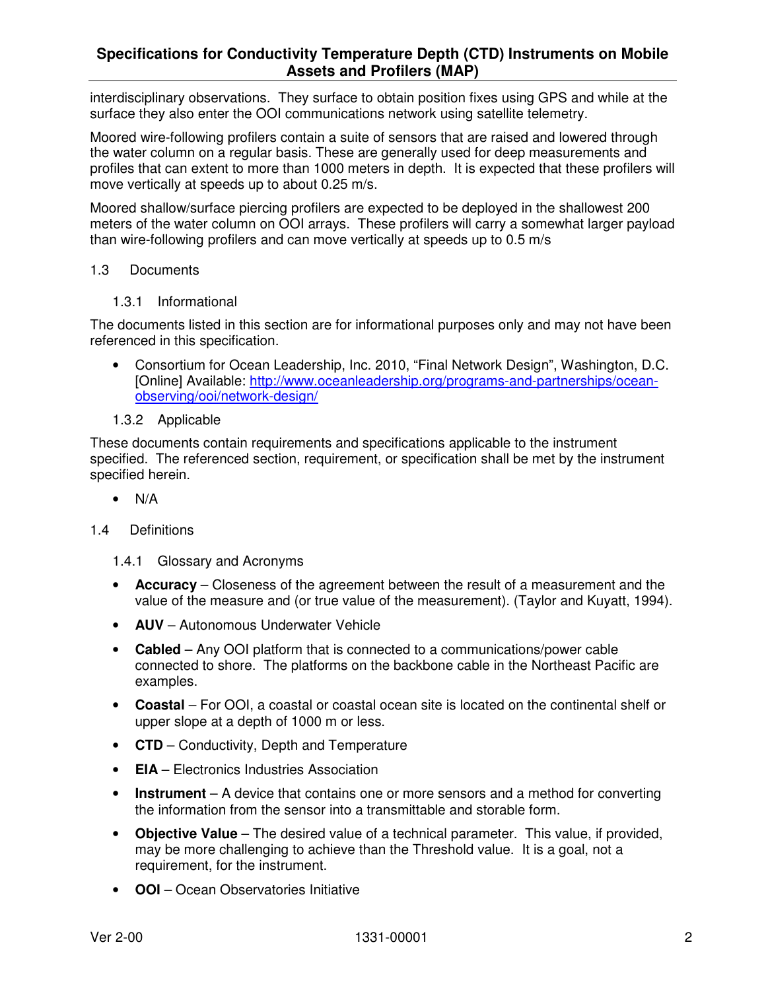interdisciplinary observations. They surface to obtain position fixes using GPS and while at the surface they also enter the OOI communications network using satellite telemetry.

Moored wire-following profilers contain a suite of sensors that are raised and lowered through the water column on a regular basis. These are generally used for deep measurements and profiles that can extent to more than 1000 meters in depth. It is expected that these profilers will move vertically at speeds up to about 0.25 m/s.

Moored shallow/surface piercing profilers are expected to be deployed in the shallowest 200 meters of the water column on OOI arrays. These profilers will carry a somewhat larger payload than wire-following profilers and can move vertically at speeds up to 0.5 m/s

#### 1.3 Documents

1.3.1 Informational

The documents listed in this section are for informational purposes only and may not have been referenced in this specification.

- Consortium for Ocean Leadership, Inc. 2010, "Final Network Design", Washington, D.C. [Online] Available: http://www.oceanleadership.org/programs-and-partnerships/oceanobserving/ooi/network-design/
- 1.3.2 Applicable

These documents contain requirements and specifications applicable to the instrument specified. The referenced section, requirement, or specification shall be met by the instrument specified herein.

 $\bullet$  N/A

#### 1.4 Definitions

- 1.4.1 Glossary and Acronyms
- **Accuracy** Closeness of the agreement between the result of a measurement and the value of the measure and (or true value of the measurement). (Taylor and Kuyatt, 1994).
- **AUV** Autonomous Underwater Vehicle
- **Cabled**  Any OOI platform that is connected to a communications/power cable connected to shore. The platforms on the backbone cable in the Northeast Pacific are examples.
- **Coastal**  For OOI, a coastal or coastal ocean site is located on the continental shelf or upper slope at a depth of 1000 m or less.
- **CTD**  Conductivity, Depth and Temperature
- **EIA** Electronics Industries Association
- **Instrument** A device that contains one or more sensors and a method for converting the information from the sensor into a transmittable and storable form.
- **Objective Value** The desired value of a technical parameter. This value, if provided, may be more challenging to achieve than the Threshold value. It is a goal, not a requirement, for the instrument.
- **OOI**  Ocean Observatories Initiative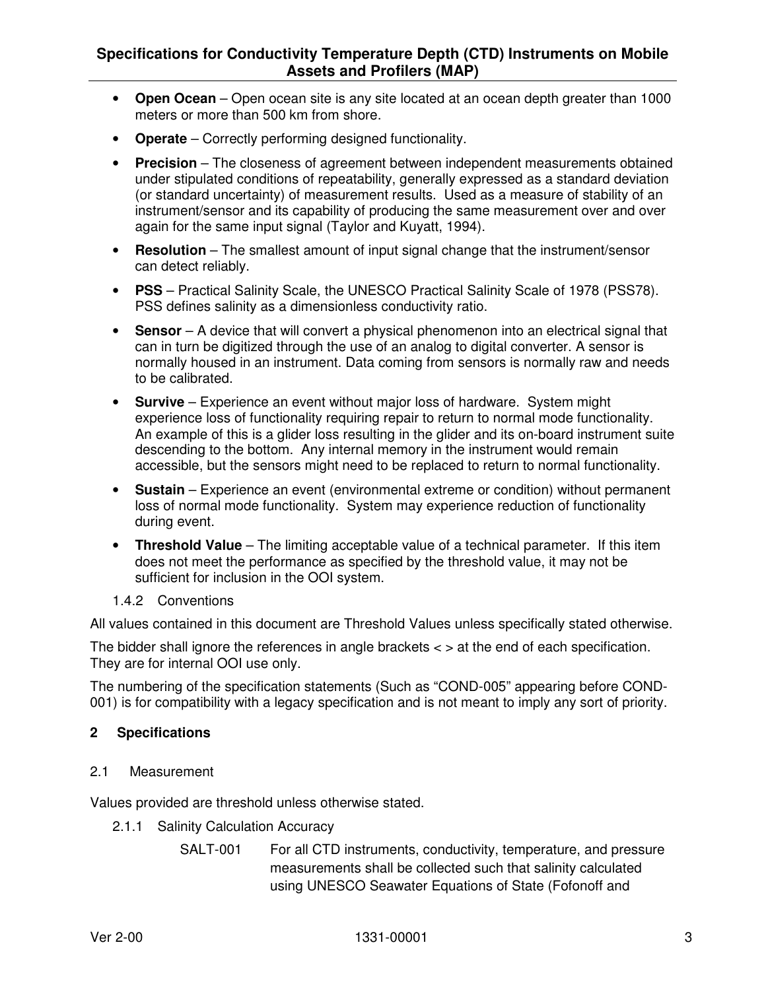- **Open Ocean**  Open ocean site is any site located at an ocean depth greater than 1000 meters or more than 500 km from shore.
- **Operate** Correctly performing designed functionality.
- **Precision** The closeness of agreement between independent measurements obtained under stipulated conditions of repeatability, generally expressed as a standard deviation (or standard uncertainty) of measurement results. Used as a measure of stability of an instrument/sensor and its capability of producing the same measurement over and over again for the same input signal (Taylor and Kuyatt, 1994).
- **Resolution** The smallest amount of input signal change that the instrument/sensor can detect reliably.
- **PSS** Practical Salinity Scale, the UNESCO Practical Salinity Scale of 1978 (PSS78). PSS defines salinity as a dimensionless conductivity ratio.
- **Sensor** A device that will convert a physical phenomenon into an electrical signal that can in turn be digitized through the use of an analog to digital converter. A sensor is normally housed in an instrument. Data coming from sensors is normally raw and needs to be calibrated.
- **Survive** Experience an event without major loss of hardware. System might experience loss of functionality requiring repair to return to normal mode functionality. An example of this is a glider loss resulting in the glider and its on-board instrument suite descending to the bottom. Any internal memory in the instrument would remain accessible, but the sensors might need to be replaced to return to normal functionality.
- **Sustain** Experience an event (environmental extreme or condition) without permanent loss of normal mode functionality. System may experience reduction of functionality during event.
- **Threshold Value** The limiting acceptable value of a technical parameter. If this item does not meet the performance as specified by the threshold value, it may not be sufficient for inclusion in the OOI system.
- 1.4.2 Conventions

All values contained in this document are Threshold Values unless specifically stated otherwise.

The bidder shall ignore the references in angle brackets < > at the end of each specification. They are for internal OOI use only.

The numbering of the specification statements (Such as "COND-005" appearing before COND-001) is for compatibility with a legacy specification and is not meant to imply any sort of priority.

#### **2 Specifications**

#### 2.1 Measurement

Values provided are threshold unless otherwise stated.

- 2.1.1 Salinity Calculation Accuracy
	- SALT-001 For all CTD instruments, conductivity, temperature, and pressure measurements shall be collected such that salinity calculated using UNESCO Seawater Equations of State (Fofonoff and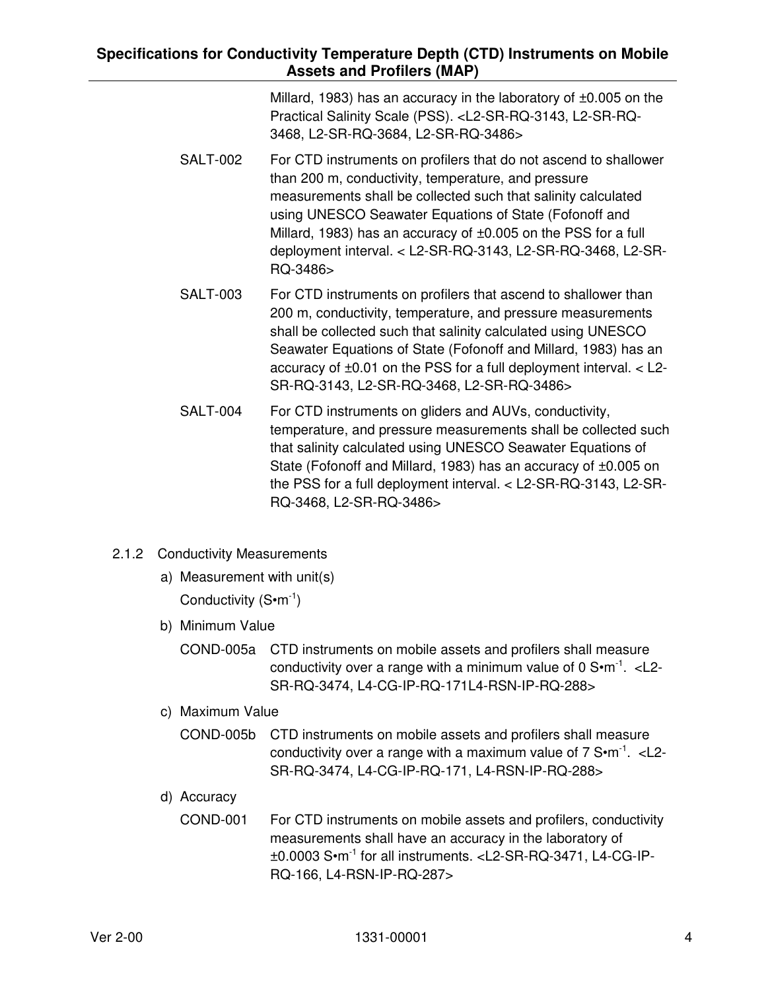| Millard, 1983) has an accuracy in the laboratory of $\pm 0.005$ on the                |
|---------------------------------------------------------------------------------------|
| Practical Salinity Scale (PSS). <l2-sr-rq-3143, l2-sr-rq-<="" th=""></l2-sr-rq-3143,> |
| 3468, L2-SR-RQ-3684, L2-SR-RQ-3486>                                                   |

- SALT-002 For CTD instruments on profilers that do not ascend to shallower than 200 m, conductivity, temperature, and pressure measurements shall be collected such that salinity calculated using UNESCO Seawater Equations of State (Fofonoff and Millard, 1983) has an accuracy of ±0.005 on the PSS for a full deployment interval. < L2-SR-RQ-3143, L2-SR-RQ-3468, L2-SR-RQ-3486>
- SALT-003 For CTD instruments on profilers that ascend to shallower than 200 m, conductivity, temperature, and pressure measurements shall be collected such that salinity calculated using UNESCO Seawater Equations of State (Fofonoff and Millard, 1983) has an accuracy of ±0.01 on the PSS for a full deployment interval. < L2- SR-RQ-3143, L2-SR-RQ-3468, L2-SR-RQ-3486>
- SALT-004 For CTD instruments on gliders and AUVs, conductivity, temperature, and pressure measurements shall be collected such that salinity calculated using UNESCO Seawater Equations of State (Fofonoff and Millard, 1983) has an accuracy of ±0.005 on the PSS for a full deployment interval. < L2-SR-RQ-3143, L2-SR-RQ-3468, L2-SR-RQ-3486>
- 2.1.2 Conductivity Measurements
	- a) Measurement with unit(s)

Conductivity  $(S \cdot m^{-1})$ 

- b) Minimum Value
	- COND-005a CTD instruments on mobile assets and profilers shall measure conductivity over a range with a minimum value of  $0.5 \cdot m^{-1}$ . < L2-SR-RQ-3474, L4-CG-IP-RQ-171L4-RSN-IP-RQ-288>
- c) Maximum Value
	- COND-005b CTD instruments on mobile assets and profilers shall measure conductivity over a range with a maximum value of  $7 \text{ S} \cdot \text{m}^{-1}$ . < L2-SR-RQ-3474, L4-CG-IP-RQ-171, L4-RSN-IP-RQ-288>
- d) Accuracy
	- COND-001 For CTD instruments on mobile assets and profilers, conductivity measurements shall have an accuracy in the laboratory of ±0.0003 S•m-1 for all instruments. <L2-SR-RQ-3471, L4-CG-IP-RQ-166, L4-RSN-IP-RQ-287>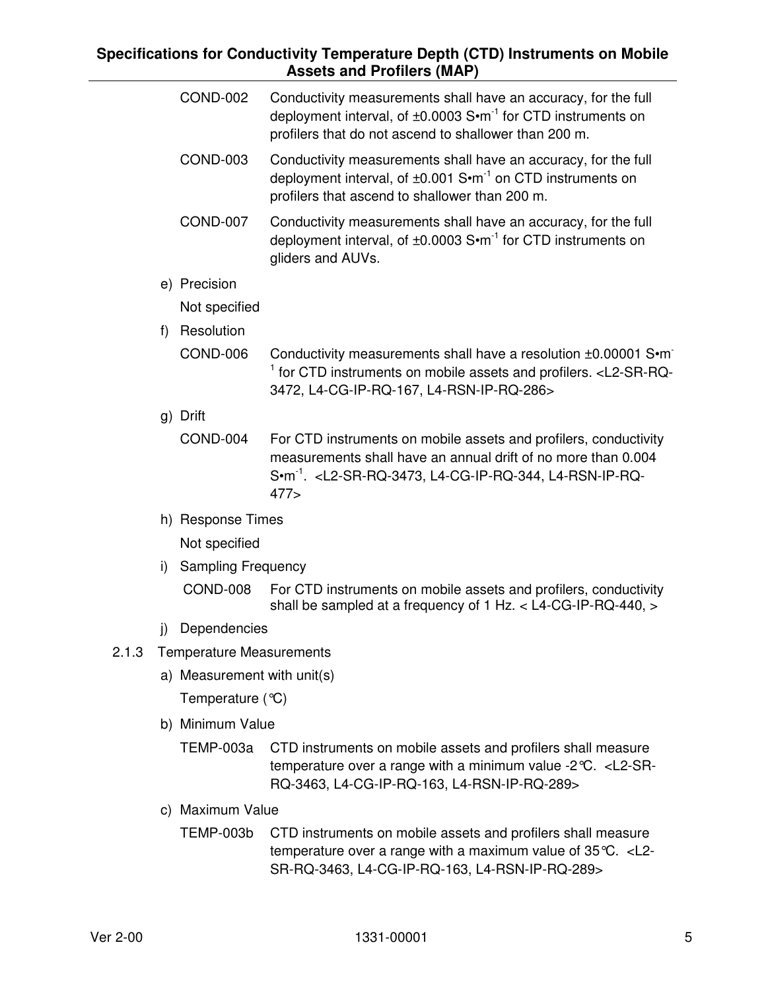|    | <b>COND-002</b>                 | Conductivity measurements shall have an accuracy, for the full<br>deployment interval, of ±0.0003 S•m <sup>-1</sup> for CTD instruments on<br>profilers that do not ascend to shallower than 200 m.                                   |
|----|---------------------------------|---------------------------------------------------------------------------------------------------------------------------------------------------------------------------------------------------------------------------------------|
|    | <b>COND-003</b>                 | Conductivity measurements shall have an accuracy, for the full<br>deployment interval, of ±0.001 S•m <sup>-1</sup> on CTD instruments on<br>profilers that ascend to shallower than 200 m.                                            |
|    | <b>COND-007</b>                 | Conductivity measurements shall have an accuracy, for the full<br>deployment interval, of $\pm 0.0003$ S $\cdot$ m <sup>-1</sup> for CTD instruments on<br>gliders and AUVs.                                                          |
|    | e) Precision                    |                                                                                                                                                                                                                                       |
|    | Not specified                   |                                                                                                                                                                                                                                       |
| f) | Resolution                      |                                                                                                                                                                                                                                       |
|    | COND-006                        | Conductivity measurements shall have a resolution ±0.00001 S•m<br><sup>1</sup> for CTD instruments on mobile assets and profilers. <l2-sr-rq-<br>3472, L4-CG-IP-RQ-167, L4-RSN-IP-RQ-286&gt;</l2-sr-rq-<br>                           |
|    | g) Drift                        |                                                                                                                                                                                                                                       |
|    | COND-004                        | For CTD instruments on mobile assets and profilers, conductivity<br>measurements shall have an annual drift of no more than 0.004<br>S.m <sup>-1</sup> . <l2-sr-rq-3473, l4-cg-ip-rq-344,="" l4-rsn-ip-rq-<br="">477</l2-sr-rq-3473,> |
|    | h) Response Times               |                                                                                                                                                                                                                                       |
|    | Not specified                   |                                                                                                                                                                                                                                       |
| i) | <b>Sampling Frequency</b>       |                                                                                                                                                                                                                                       |
|    | COND-008                        | For CTD instruments on mobile assets and profilers, conductivity<br>shall be sampled at a frequency of 1 Hz. $<$ L4-CG-IP-RQ-440, $>$                                                                                                 |
| j) | Dependencies                    |                                                                                                                                                                                                                                       |
|    | <b>Temperature Measurements</b> |                                                                                                                                                                                                                                       |
|    | a) Measurement with unit(s)     |                                                                                                                                                                                                                                       |
|    | Temperature $(°C)$              |                                                                                                                                                                                                                                       |
|    | b) Minimum Value                |                                                                                                                                                                                                                                       |
|    | TEMP-003a                       | CTD instruments on mobile assets and profilers shall measure<br>temperature over a range with a minimum value -2 $\degree$ C. <l2-sr-<br>RQ-3463, L4-CG-IP-RQ-163, L4-RSN-IP-RQ-289&gt;</l2-sr-<br>                                   |
|    | c) Maximum Value                |                                                                                                                                                                                                                                       |
|    | <b>TEMP-003b</b>                | CTD instruments on mobile assets and profilers shall measure<br>temperature over a range with a maximum value of $35^{\circ}$ C. <l2-< td=""></l2-<>                                                                                  |

 $2.1.3$ 

SR-RQ-3463, L4-CG-IP-RQ-163, L4-RSN-IP-RQ-289>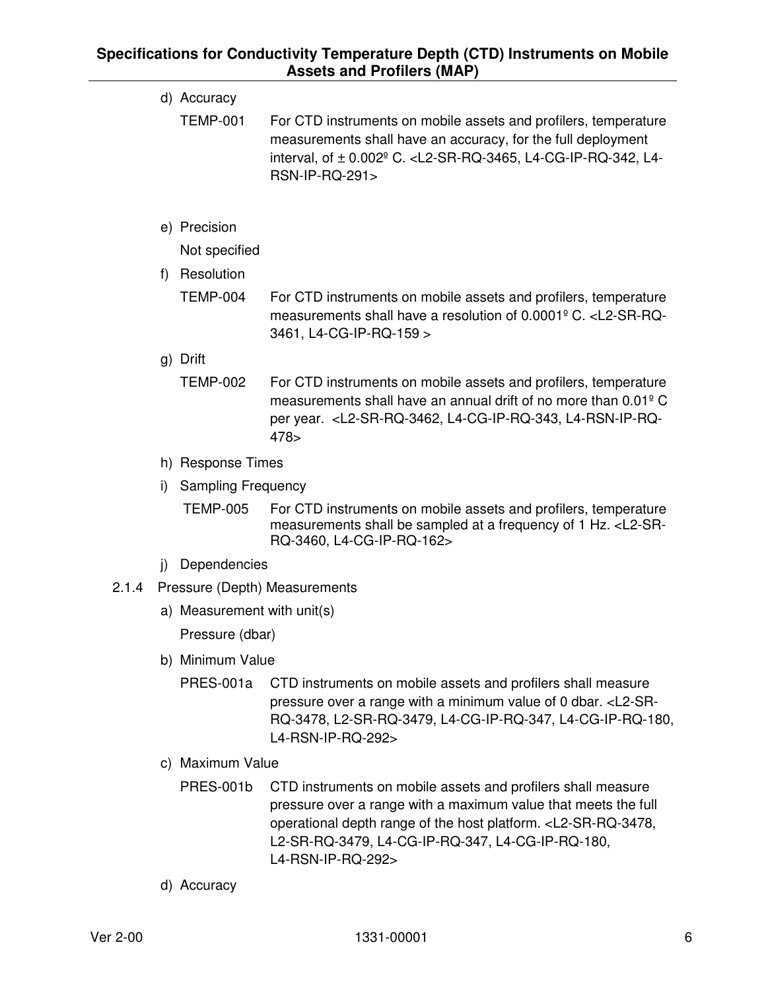|       |    | d) Accuracy                 |                                                                                                                                                                                                                                                          |
|-------|----|-----------------------------|----------------------------------------------------------------------------------------------------------------------------------------------------------------------------------------------------------------------------------------------------------|
|       |    | <b>TEMP-001</b>             | For CTD instruments on mobile assets and profilers, temperature<br>measurements shall have an accuracy, for the full deployment<br>interval, of ± 0.002 <sup>°</sup> C. <l2-sr-rq-3465, l4-<br="" l4-cg-ip-rq-342,="">RSN-IP-RQ-291&gt;</l2-sr-rq-3465,> |
|       |    | e) Precision                |                                                                                                                                                                                                                                                          |
|       |    | Not specified               |                                                                                                                                                                                                                                                          |
|       | f) | Resolution                  |                                                                                                                                                                                                                                                          |
|       |    | <b>TEMP-004</b>             | For CTD instruments on mobile assets and profilers, temperature<br>measurements shall have a resolution of 0.0001 <sup>°</sup> C. <l2-sr-rq-<br>3461, L4-CG-IP-RQ-159 &gt;</l2-sr-rq-<br>                                                                |
|       |    | g) Drift                    |                                                                                                                                                                                                                                                          |
|       |    | <b>TEMP-002</b>             | For CTD instruments on mobile assets and profilers, temperature<br>measurements shall have an annual drift of no more than 0.01 <sup>°</sup> C<br>per year. <l2-sr-rq-3462, l4-cg-ip-rq-343,="" l4-rsn-ip-rq-<br="">478</l2-sr-rq-3462,>                 |
|       |    | h) Response Times           |                                                                                                                                                                                                                                                          |
|       | i) | <b>Sampling Frequency</b>   |                                                                                                                                                                                                                                                          |
|       |    | <b>TEMP-005</b>             | For CTD instruments on mobile assets and profilers, temperature<br>measurements shall be sampled at a frequency of 1 Hz. <l2-sr-<br>RQ-3460, L4-CG-IP-RQ-162&gt;</l2-sr-<br>                                                                             |
|       | j) | Dependencies                |                                                                                                                                                                                                                                                          |
| 2.1.4 |    |                             | Pressure (Depth) Measurements                                                                                                                                                                                                                            |
|       |    | a) Measurement with unit(s) |                                                                                                                                                                                                                                                          |
|       |    | Pressure (dbar)             |                                                                                                                                                                                                                                                          |
|       |    |                             |                                                                                                                                                                                                                                                          |

- b) Minimum Value
	- PRES-001a CTD instruments on mobile assets and profilers shall measure pressure over a range with a minimum value of 0 dbar. <L2-SR-RQ-3478, L2-SR-RQ-3479, L4-CG-IP-RQ-347, L4-CG-IP-RQ-180, L4-RSN-IP-RQ-292>
- c) Maximum Value
	- PRES-001b CTD instruments on mobile assets and profilers shall measure pressure over a range with a maximum value that meets the full operational depth range of the host platform. <L2-SR-RQ-3478, L2-SR-RQ-3479, L4-CG-IP-RQ-347, L4-CG-IP-RQ-180, L4-RSN-IP-RQ-292>
- d) Accuracy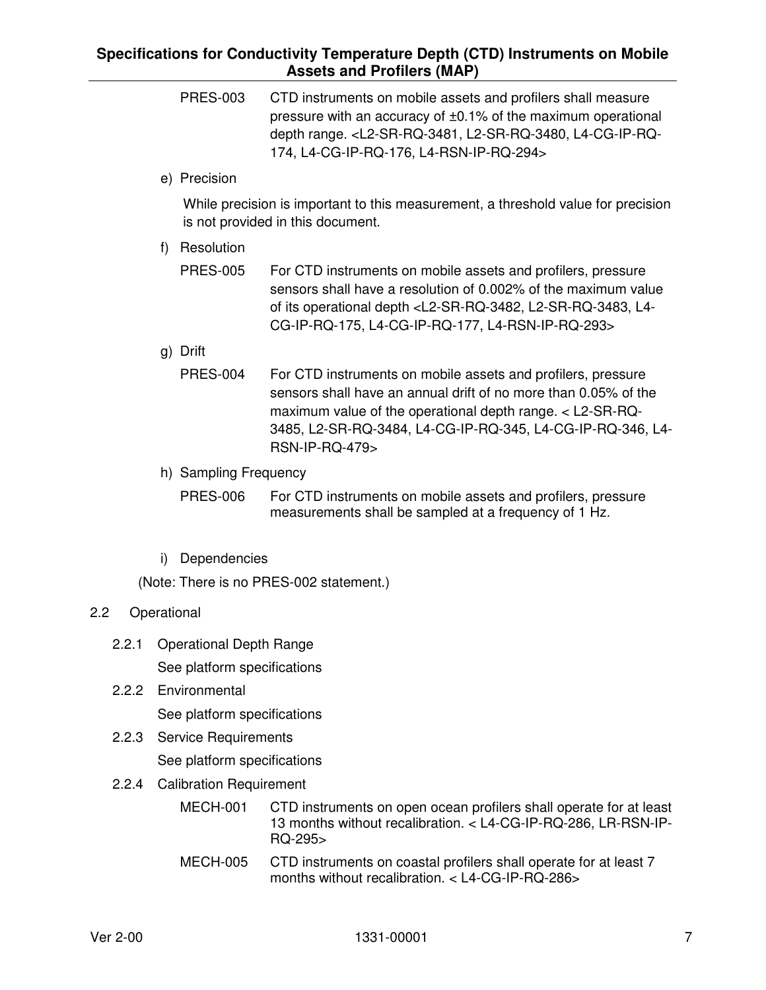- PRES-003 CTD instruments on mobile assets and profilers shall measure pressure with an accuracy of ±0.1% of the maximum operational depth range. <L2-SR-RQ-3481, L2-SR-RQ-3480, L4-CG-IP-RQ-174, L4-CG-IP-RQ-176, L4-RSN-IP-RQ-294>
- e) Precision

While precision is important to this measurement, a threshold value for precision is not provided in this document.

f) Resolution

| PRES-005 | For CTD instruments on mobile assets and profilers, pressure                               |
|----------|--------------------------------------------------------------------------------------------|
|          | sensors shall have a resolution of 0.002% of the maximum value                             |
|          | of its operational depth <l2-sr-rq-3482, l2-sr-rq-3483,="" l4-<="" td=""></l2-sr-rq-3482,> |
|          | CG-IP-RQ-175, L4-CG-IP-RQ-177, L4-RSN-IP-RQ-293>                                           |

- g) Drift
	- PRES-004 For CTD instruments on mobile assets and profilers, pressure sensors shall have an annual drift of no more than 0.05% of the maximum value of the operational depth range. < L2-SR-RQ-3485, L2-SR-RQ-3484, L4-CG-IP-RQ-345, L4-CG-IP-RQ-346, L4- RSN-IP-RQ-479>
- h) Sampling Frequency

PRES-006 For CTD instruments on mobile assets and profilers, pressure measurements shall be sampled at a frequency of 1 Hz.

i) Dependencies

(Note: There is no PRES-002 statement.)

#### 2.2 Operational

- 2.2.1 Operational Depth Range See platform specifications
- 2.2.2 Environmental

See platform specifications

2.2.3 Service Requirements

See platform specifications

2.2.4 Calibration Requirement

| MECH-001 | CTD instruments on open ocean profilers shall operate for at least<br>13 months without recalibration. < L4-CG-IP-RQ-286, LR-RSN-IP-<br>$RO-295$ |
|----------|--------------------------------------------------------------------------------------------------------------------------------------------------|
| MECH-005 | CTD instruments on coastal profilers shall operate for at least 7<br>months without recalibration. $<$ L4-CG-IP-RQ-286 $>$                       |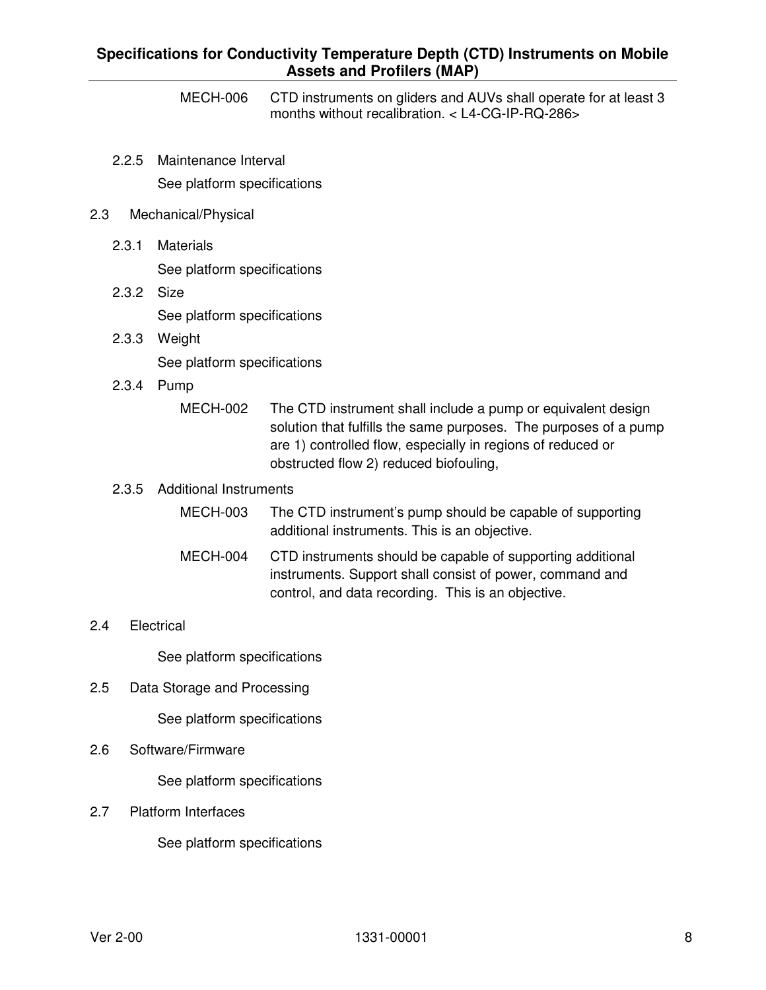MECH-006 CTD instruments on gliders and AUVs shall operate for at least 3 months without recalibration. < L4-CG-IP-RQ-286>

2.2.5 Maintenance Interval See platform specifications

#### 2.3 Mechanical/Physical

- 2.3.1 Materials See platform specifications
- 2.3.2 Size See platform specifications
- 2.3.3 Weight See platform specifications
- 2.3.4 Pump
	- MECH-002 The CTD instrument shall include a pump or equivalent design solution that fulfills the same purposes. The purposes of a pump are 1) controlled flow, especially in regions of reduced or obstructed flow 2) reduced biofouling,

#### 2.3.5 Additional Instruments

- MECH-003 The CTD instrument's pump should be capable of supporting additional instruments. This is an objective.
- MECH-004 CTD instruments should be capable of supporting additional instruments. Support shall consist of power, command and control, and data recording. This is an objective.

#### 2.4 Electrical

See platform specifications

2.5 Data Storage and Processing

See platform specifications

2.6 Software/Firmware

See platform specifications

2.7 Platform Interfaces

See platform specifications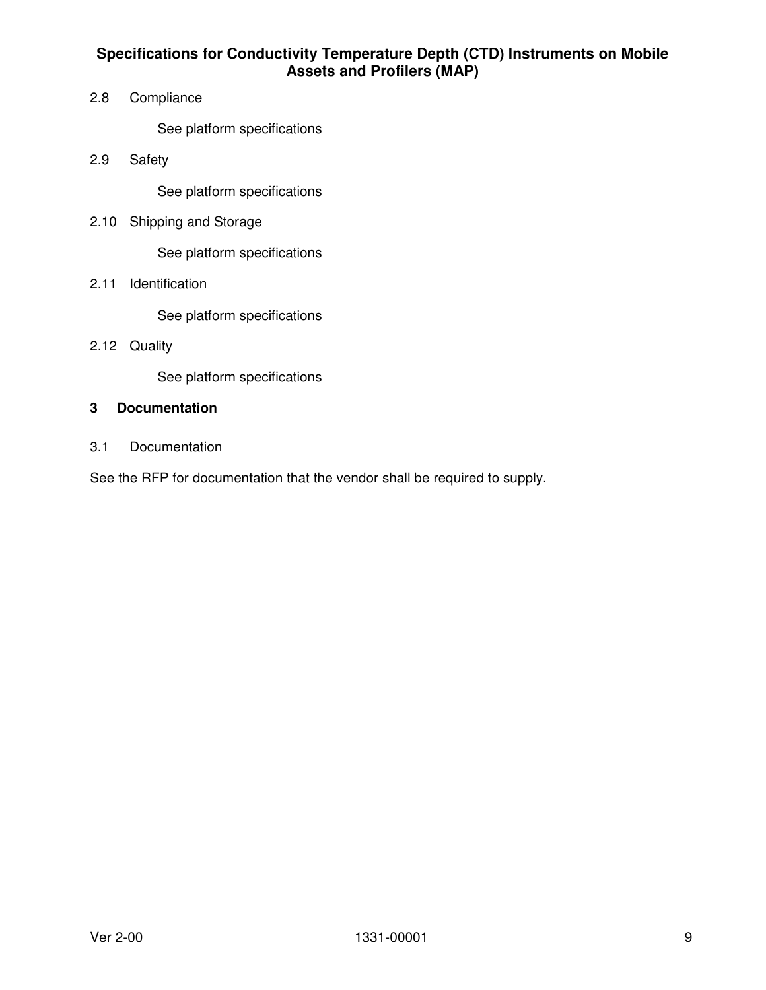2.8 Compliance

See platform specifications

2.9 Safety

See platform specifications

2.10 Shipping and Storage

See platform specifications

2.11 Identification

See platform specifications

2.12 Quality

See platform specifications

#### **3 Documentation**

3.1 Documentation

See the RFP for documentation that the vendor shall be required to supply.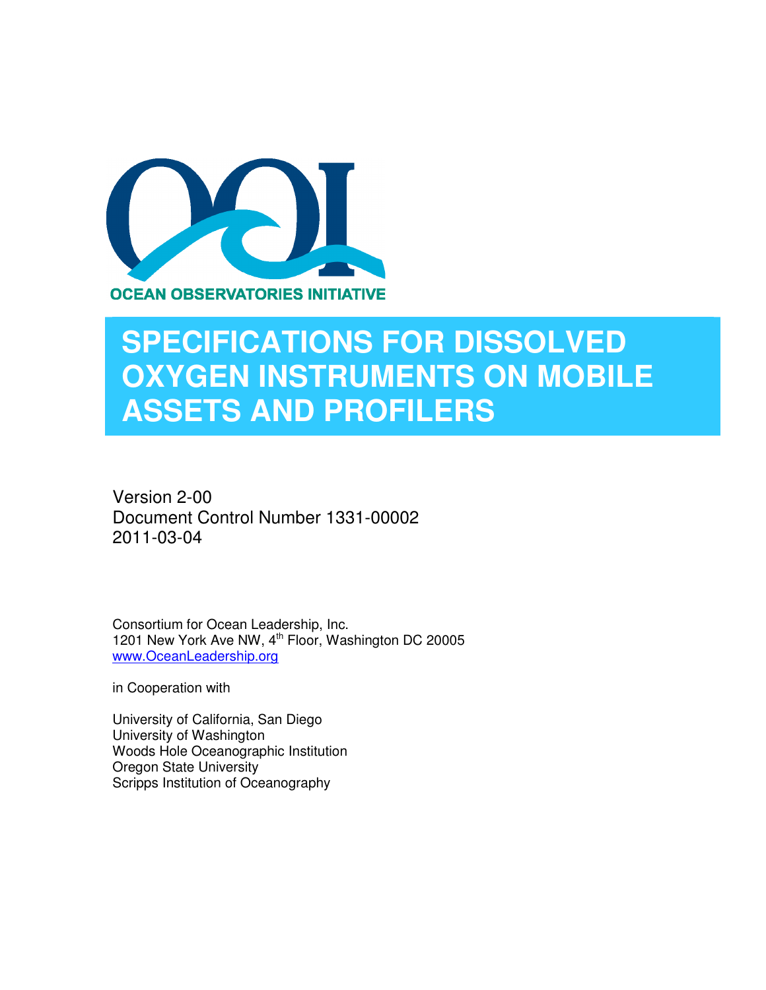

# **SPECIFICATIONS FOR DISSOLVED OXYGEN INSTRUMENTS ON MOBILE ASSETS AND PROFILERS**

Version 2-00 Document Control Number 1331-00002 2011-03-04

Consortium for Ocean Leadership, Inc. 1201 New York Ave NW, 4<sup>th</sup> Floor, Washington DC 20005 www.OceanLeadership.org

in Cooperation with

University of California, San Diego University of Washington Woods Hole Oceanographic Institution Oregon State University Scripps Institution of Oceanography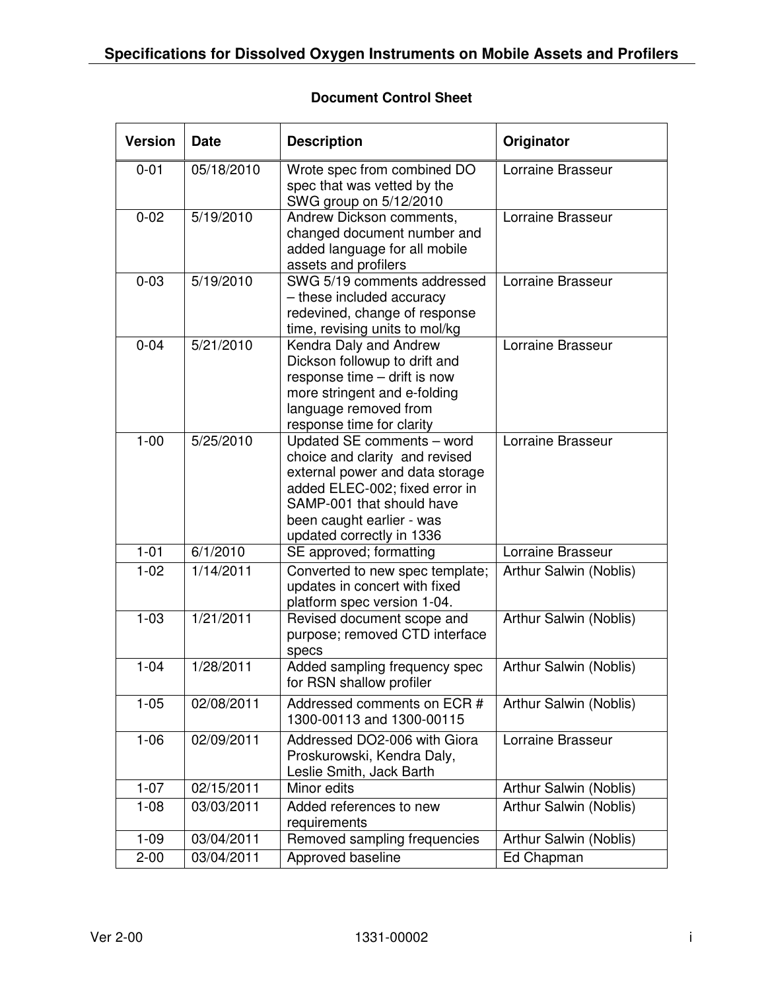#### **Document Control Sheet**

| <b>Version</b> | <b>Date</b> | <b>Description</b>                                                                                                                                                                                                       | Originator             |
|----------------|-------------|--------------------------------------------------------------------------------------------------------------------------------------------------------------------------------------------------------------------------|------------------------|
| $0 - 01$       | 05/18/2010  | Wrote spec from combined DO<br>spec that was vetted by the<br>SWG group on 5/12/2010                                                                                                                                     | Lorraine Brasseur      |
| $0 - 02$       | 5/19/2010   | Andrew Dickson comments,<br>changed document number and<br>added language for all mobile<br>assets and profilers                                                                                                         | Lorraine Brasseur      |
| $0 - 03$       | 5/19/2010   | SWG 5/19 comments addressed<br>- these included accuracy<br>redevined, change of response<br>time, revising units to mol/kg                                                                                              | Lorraine Brasseur      |
| $0 - 04$       | 5/21/2010   | Kendra Daly and Andrew<br>Dickson followup to drift and<br>response time - drift is now<br>more stringent and e-folding<br>language removed from<br>response time for clarity                                            | Lorraine Brasseur      |
| $1 - 00$       | 5/25/2010   | Updated SE comments - word<br>choice and clarity and revised<br>external power and data storage<br>added ELEC-002; fixed error in<br>SAMP-001 that should have<br>been caught earlier - was<br>updated correctly in 1336 | Lorraine Brasseur      |
| $1 - 01$       | 6/1/2010    | SE approved; formatting                                                                                                                                                                                                  | Lorraine Brasseur      |
| $1 - 02$       | 1/14/2011   | Converted to new spec template;<br>updates in concert with fixed<br>platform spec version 1-04.                                                                                                                          | Arthur Salwin (Noblis) |
| $1 - 03$       | 1/21/2011   | Revised document scope and<br>purpose; removed CTD interface<br>specs                                                                                                                                                    | Arthur Salwin (Noblis) |
| $1 - 04$       | 1/28/2011   | Added sampling frequency spec<br>for RSN shallow profiler                                                                                                                                                                | Arthur Salwin (Noblis) |
| $1 - 05$       | 02/08/2011  | Addressed comments on ECR #<br>1300-00113 and 1300-00115                                                                                                                                                                 | Arthur Salwin (Noblis) |
| $1 - 06$       | 02/09/2011  | Addressed DO2-006 with Giora<br>Proskurowski, Kendra Daly,<br>Leslie Smith, Jack Barth                                                                                                                                   | Lorraine Brasseur      |
| $1 - 07$       | 02/15/2011  | Minor edits                                                                                                                                                                                                              | Arthur Salwin (Noblis) |
| $1 - 08$       | 03/03/2011  | Added references to new<br>requirements                                                                                                                                                                                  | Arthur Salwin (Noblis) |
| $1 - 09$       | 03/04/2011  | Removed sampling frequencies                                                                                                                                                                                             | Arthur Salwin (Noblis) |
| $2 - 00$       | 03/04/2011  | Approved baseline                                                                                                                                                                                                        | Ed Chapman             |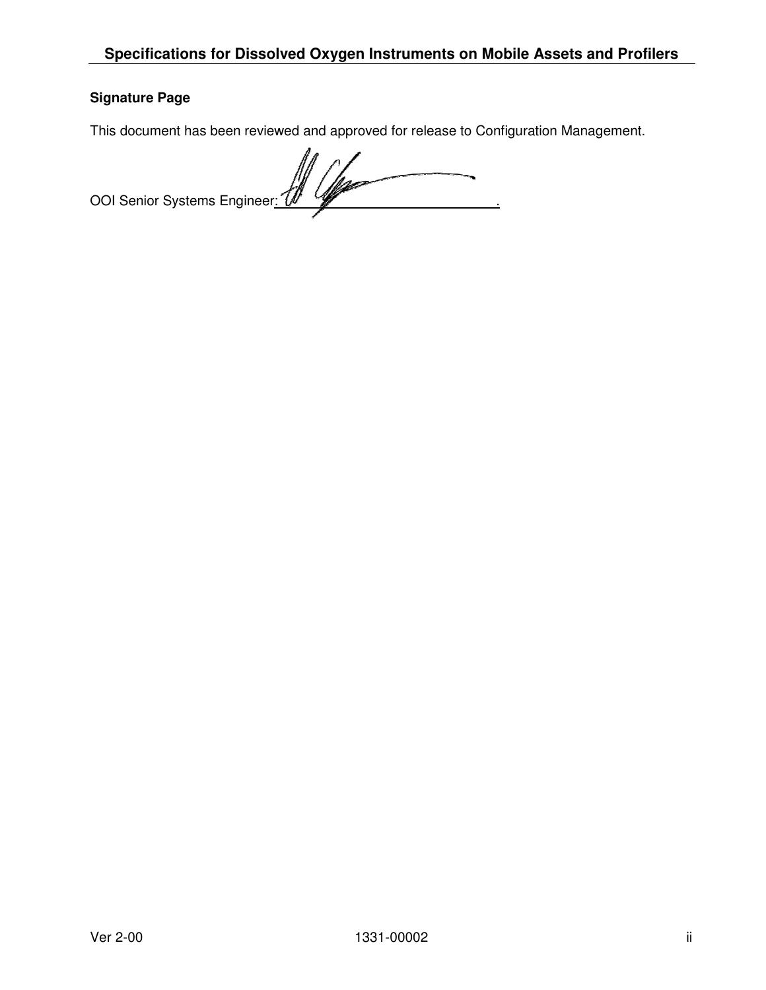#### **Signature Page**

This document has been reviewed and approved for release to Configuration Management.

OOI Senior Systems Engineer: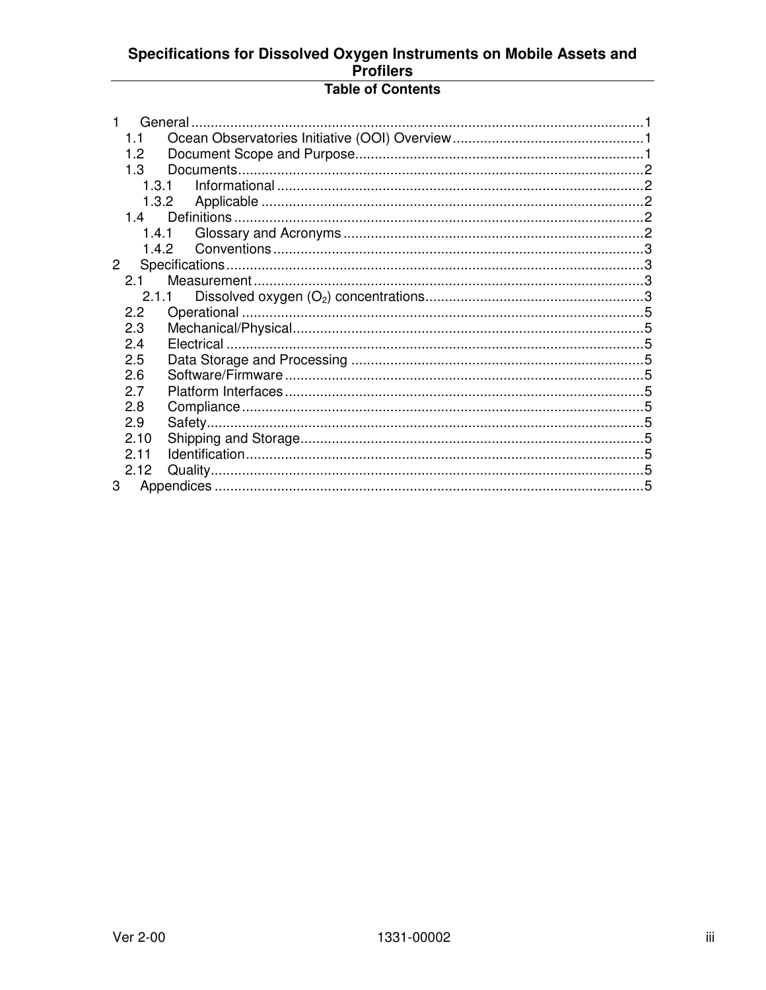# Specifications for Dissolved Oxygen Instruments on Mobile Assets and<br>Profilers

### **Table of Contents**

| 1.1            |       |  |
|----------------|-------|--|
| 1.2            |       |  |
| 1.3            |       |  |
| 1.3.1          |       |  |
| 1.3.2          |       |  |
| 14             |       |  |
| 1.4.1          |       |  |
|                | 1.4.2 |  |
| $\overline{2}$ |       |  |
| 2.1            |       |  |
|                | 2.1.1 |  |
| 2.2            |       |  |
| 2.3            |       |  |
| 2.4            |       |  |
| 2.5            |       |  |
| 2.6            |       |  |
| 2.7            |       |  |
| 2.8            |       |  |
| 2.9            |       |  |
| 2.10           |       |  |
| 2.11           |       |  |
| 2.12           |       |  |
| 3              |       |  |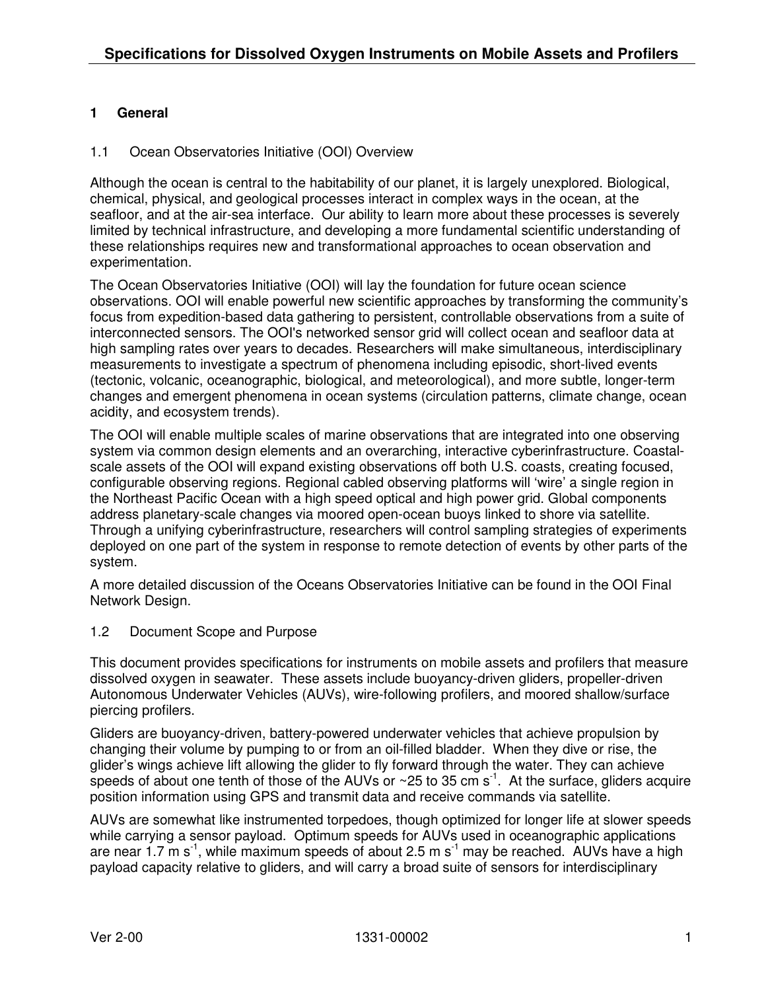#### **1 General**

#### 1.1 Ocean Observatories Initiative (OOI) Overview

Although the ocean is central to the habitability of our planet, it is largely unexplored. Biological, chemical, physical, and geological processes interact in complex ways in the ocean, at the seafloor, and at the air-sea interface. Our ability to learn more about these processes is severely limited by technical infrastructure, and developing a more fundamental scientific understanding of these relationships requires new and transformational approaches to ocean observation and experimentation.

The Ocean Observatories Initiative (OOI) will lay the foundation for future ocean science observations. OOI will enable powerful new scientific approaches by transforming the community's focus from expedition-based data gathering to persistent, controllable observations from a suite of interconnected sensors. The OOI's networked sensor grid will collect ocean and seafloor data at high sampling rates over years to decades. Researchers will make simultaneous, interdisciplinary measurements to investigate a spectrum of phenomena including episodic, short-lived events (tectonic, volcanic, oceanographic, biological, and meteorological), and more subtle, longer-term changes and emergent phenomena in ocean systems (circulation patterns, climate change, ocean acidity, and ecosystem trends).

The OOI will enable multiple scales of marine observations that are integrated into one observing system via common design elements and an overarching, interactive cyberinfrastructure. Coastalscale assets of the OOI will expand existing observations off both U.S. coasts, creating focused, configurable observing regions. Regional cabled observing platforms will 'wire' a single region in the Northeast Pacific Ocean with a high speed optical and high power grid. Global components address planetary-scale changes via moored open-ocean buoys linked to shore via satellite. Through a unifying cyberinfrastructure, researchers will control sampling strategies of experiments deployed on one part of the system in response to remote detection of events by other parts of the system.

A more detailed discussion of the Oceans Observatories Initiative can be found in the OOI Final Network Design.

1.2 Document Scope and Purpose

This document provides specifications for instruments on mobile assets and profilers that measure dissolved oxygen in seawater. These assets include buoyancy-driven gliders, propeller-driven Autonomous Underwater Vehicles (AUVs), wire-following profilers, and moored shallow/surface piercing profilers.

Gliders are buoyancy-driven, battery-powered underwater vehicles that achieve propulsion by changing their volume by pumping to or from an oil-filled bladder. When they dive or rise, the glider's wings achieve lift allowing the glider to fly forward through the water. They can achieve speeds of about one tenth of those of the AUVs or  $\sim$  25 to 35 cm s<sup>-1</sup>. At the surface, gliders acquire position information using GPS and transmit data and receive commands via satellite.

AUVs are somewhat like instrumented torpedoes, though optimized for longer life at slower speeds while carrying a sensor payload. Optimum speeds for AUVs used in oceanographic applications are near 1.7  $\text{m s}^{-1}$ , while maximum speeds of about 2.5 m s<sup>-1</sup> may be reached. AUVs have a high payload capacity relative to gliders, and will carry a broad suite of sensors for interdisciplinary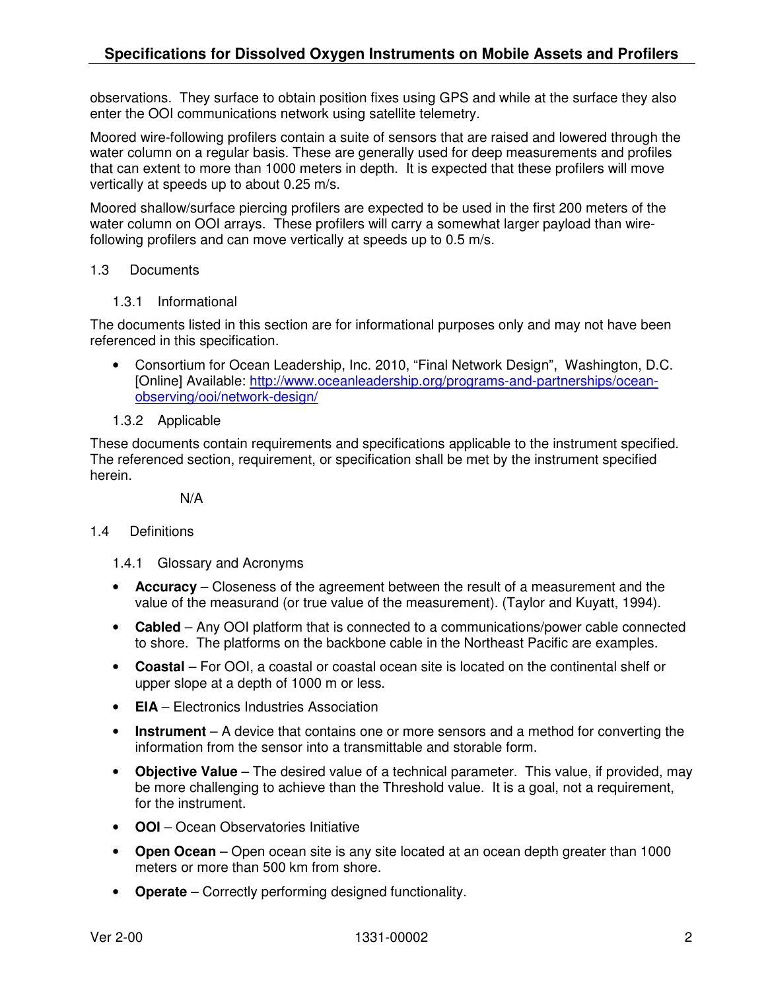observations. They surface to obtain position fixes using GPS and while at the surface they also enter the OOI communications network using satellite telemetry.

Moored wire-following profilers contain a suite of sensors that are raised and lowered through the water column on a regular basis. These are generally used for deep measurements and profiles that can extent to more than 1000 meters in depth. It is expected that these profilers will move vertically at speeds up to about 0.25 m/s.

Moored shallow/surface piercing profilers are expected to be used in the first 200 meters of the water column on OOI arrays. These profilers will carry a somewhat larger payload than wirefollowing profilers and can move vertically at speeds up to 0.5 m/s.

#### 1.3 Documents

1.3.1 Informational

The documents listed in this section are for informational purposes only and may not have been referenced in this specification.

- Consortium for Ocean Leadership, Inc. 2010, "Final Network Design", Washington, D.C. [Online] Available: http://www.oceanleadership.org/programs-and-partnerships/oceanobserving/ooi/network-design/
- 1.3.2 Applicable

These documents contain requirements and specifications applicable to the instrument specified. The referenced section, requirement, or specification shall be met by the instrument specified herein.

N/A

#### 1.4 Definitions

- 1.4.1 Glossary and Acronyms
- **Accuracy** Closeness of the agreement between the result of a measurement and the value of the measurand (or true value of the measurement). (Taylor and Kuyatt, 1994).
- **Cabled**  Any OOI platform that is connected to a communications/power cable connected to shore. The platforms on the backbone cable in the Northeast Pacific are examples.
- **Coastal**  For OOI, a coastal or coastal ocean site is located on the continental shelf or upper slope at a depth of 1000 m or less.
- **EIA** Electronics Industries Association
- **Instrument** A device that contains one or more sensors and a method for converting the information from the sensor into a transmittable and storable form.
- **Objective Value** The desired value of a technical parameter. This value, if provided, may be more challenging to achieve than the Threshold value. It is a goal, not a requirement, for the instrument.
- **OOI**  Ocean Observatories Initiative
- **Open Ocean**  Open ocean site is any site located at an ocean depth greater than 1000 meters or more than 500 km from shore.
- **Operate** Correctly performing designed functionality.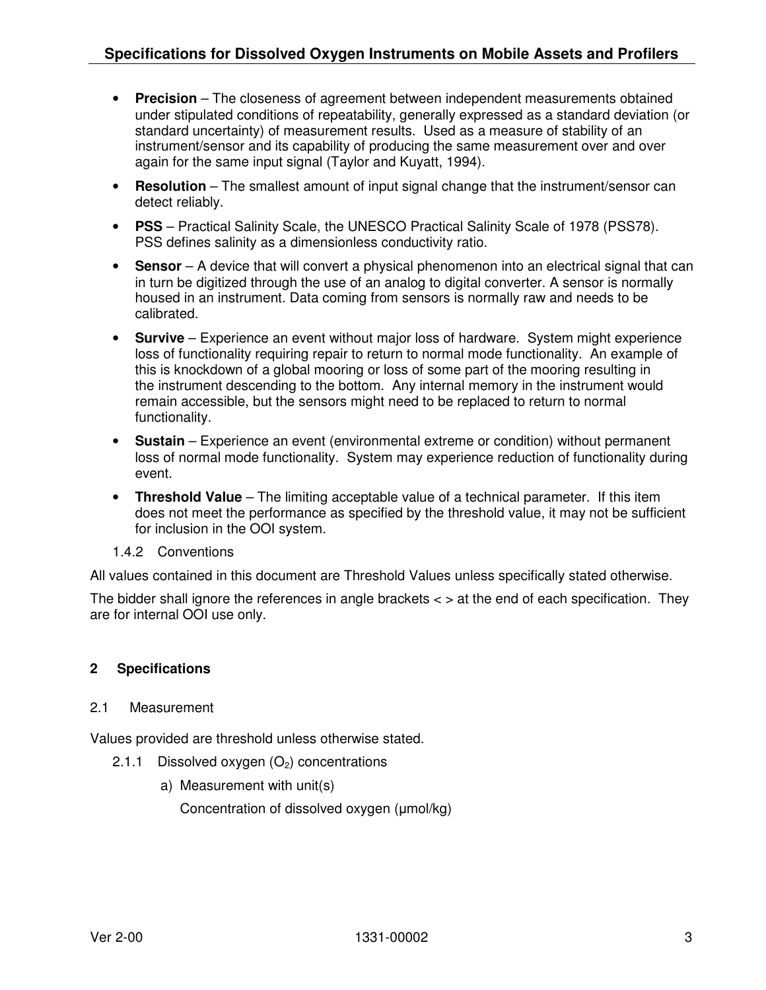- **Precision** The closeness of agreement between independent measurements obtained under stipulated conditions of repeatability, generally expressed as a standard deviation (or standard uncertainty) of measurement results. Used as a measure of stability of an instrument/sensor and its capability of producing the same measurement over and over again for the same input signal (Taylor and Kuyatt, 1994).
- **Resolution** The smallest amount of input signal change that the instrument/sensor can detect reliably.
- **PSS** Practical Salinity Scale, the UNESCO Practical Salinity Scale of 1978 (PSS78). PSS defines salinity as a dimensionless conductivity ratio.
- **Sensor** A device that will convert a physical phenomenon into an electrical signal that can in turn be digitized through the use of an analog to digital converter. A sensor is normally housed in an instrument. Data coming from sensors is normally raw and needs to be calibrated.
- **Survive** Experience an event without major loss of hardware. System might experience loss of functionality requiring repair to return to normal mode functionality. An example of this is knockdown of a global mooring or loss of some part of the mooring resulting in the instrument descending to the bottom. Any internal memory in the instrument would remain accessible, but the sensors might need to be replaced to return to normal functionality.
- **Sustain** Experience an event (environmental extreme or condition) without permanent loss of normal mode functionality. System may experience reduction of functionality during event.
- **Threshold Value** The limiting acceptable value of a technical parameter. If this item does not meet the performance as specified by the threshold value, it may not be sufficient for inclusion in the OOI system.
- 1.4.2 Conventions

All values contained in this document are Threshold Values unless specifically stated otherwise.

The bidder shall ignore the references in angle brackets  $\lt$   $>$  at the end of each specification. They are for internal OOI use only.

#### **2 Specifications**

#### 2.1 Measurement

Values provided are threshold unless otherwise stated.

- 2.1.1 Dissolved oxygen  $(O_2)$  concentrations
	- a) Measurement with unit(s)

Concentration of dissolved oxygen (µmol/kg)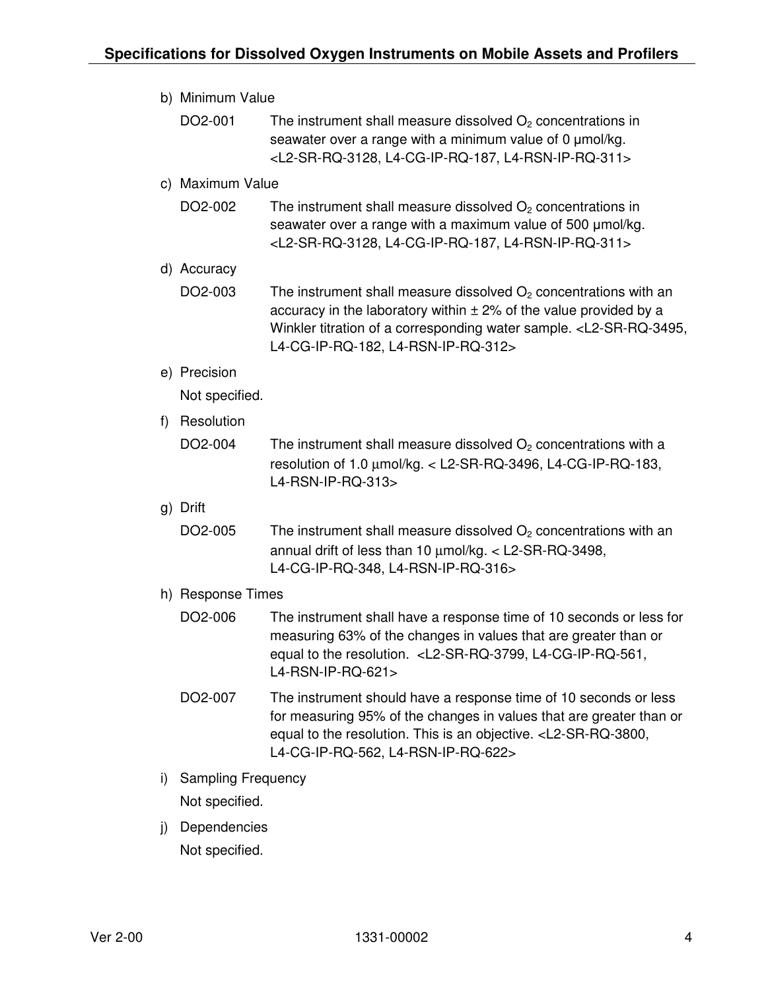| b) Minimum Value |                           |                                                                                                                                                                                                                                                                                |  |  |  |
|------------------|---------------------------|--------------------------------------------------------------------------------------------------------------------------------------------------------------------------------------------------------------------------------------------------------------------------------|--|--|--|
|                  | DO2-001                   | The instrument shall measure dissolved $O2$ concentrations in<br>seawater over a range with a minimum value of 0 µmol/kg.<br><l2-sr-rq-3128, l4-cg-ip-rq-187,="" l4-rsn-ip-rq-311=""></l2-sr-rq-3128,>                                                                         |  |  |  |
|                  | c) Maximum Value          |                                                                                                                                                                                                                                                                                |  |  |  |
|                  | DO2-002                   | The instrument shall measure dissolved $O2$ concentrations in<br>seawater over a range with a maximum value of 500 umol/kg.<br><l2-sr-rq-3128, l4-cg-ip-rq-187,="" l4-rsn-ip-rq-311=""></l2-sr-rq-3128,>                                                                       |  |  |  |
|                  | d) Accuracy               |                                                                                                                                                                                                                                                                                |  |  |  |
|                  | DO2-003                   | The instrument shall measure dissolved $O2$ concentrations with an<br>accuracy in the laboratory within $\pm$ 2% of the value provided by a<br>Winkler titration of a corresponding water sample. <l2-sr-rq-3495,<br>L4-CG-IP-RQ-182, L4-RSN-IP-RQ-312&gt;</l2-sr-rq-3495,<br> |  |  |  |
|                  | e) Precision              |                                                                                                                                                                                                                                                                                |  |  |  |
|                  | Not specified.            |                                                                                                                                                                                                                                                                                |  |  |  |
| f)               | Resolution                |                                                                                                                                                                                                                                                                                |  |  |  |
|                  | DO2-004                   | The instrument shall measure dissolved $O2$ concentrations with a<br>resolution of 1.0 μmol/kg. < L2-SR-RQ-3496, L4-CG-IP-RQ-183,<br>L4-RSN-IP-RQ-313>                                                                                                                         |  |  |  |
|                  | g) Drift                  |                                                                                                                                                                                                                                                                                |  |  |  |
|                  | DO2-005                   | The instrument shall measure dissolved $O2$ concentrations with an<br>annual drift of less than 10 µmol/kg. < L2-SR-RQ-3498,<br>L4-CG-IP-RQ-348, L4-RSN-IP-RQ-316>                                                                                                             |  |  |  |
|                  | h) Response Times         |                                                                                                                                                                                                                                                                                |  |  |  |
|                  | DO2-006                   | The instrument shall have a response time of 10 seconds or less for<br>measuring 63% of the changes in values that are greater than or<br>equal to the resolution. <l2-sr-rq-3799, l4-cg-ip-rq-561,<br="">L4-RSN-IP-RQ-621&gt;</l2-sr-rq-3799,>                                |  |  |  |
|                  | DO2-007                   | The instrument should have a response time of 10 seconds or less<br>for measuring 95% of the changes in values that are greater than or<br>equal to the resolution. This is an objective. <l2-sr-rq-3800,<br>L4-CG-IP-RQ-562, L4-RSN-IP-RQ-622&gt;</l2-sr-rq-3800,<br>         |  |  |  |
| i)               | <b>Sampling Frequency</b> |                                                                                                                                                                                                                                                                                |  |  |  |
|                  | Not specified.            |                                                                                                                                                                                                                                                                                |  |  |  |
| j)               | Dependencies              |                                                                                                                                                                                                                                                                                |  |  |  |
|                  | Not specified.            |                                                                                                                                                                                                                                                                                |  |  |  |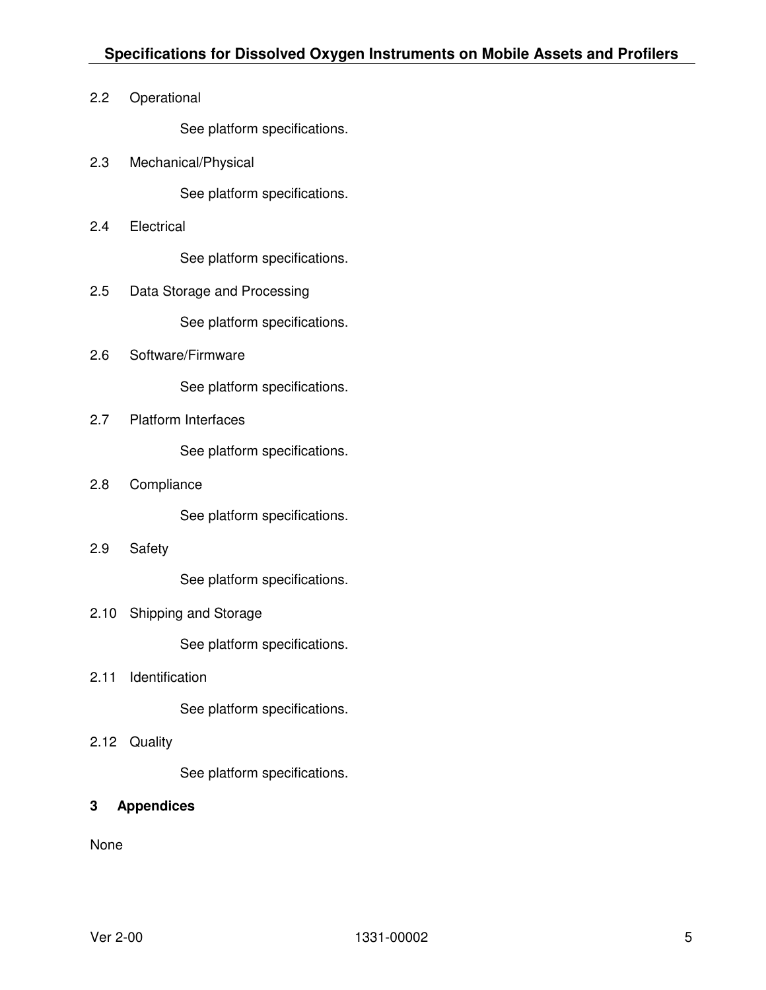2.2 Operational

See platform specifications.

2.3 Mechanical/Physical

See platform specifications.

2.4 Electrical

See platform specifications.

- 2.5 Data Storage and Processing See platform specifications.
- 2.6 Software/Firmware

See platform specifications.

2.7 Platform Interfaces

See platform specifications.

2.8 Compliance

See platform specifications.

2.9 Safety

See platform specifications.

2.10 Shipping and Storage

See platform specifications.

2.11 Identification

See platform specifications.

2.12 Quality

See platform specifications.

#### **3 Appendices**

None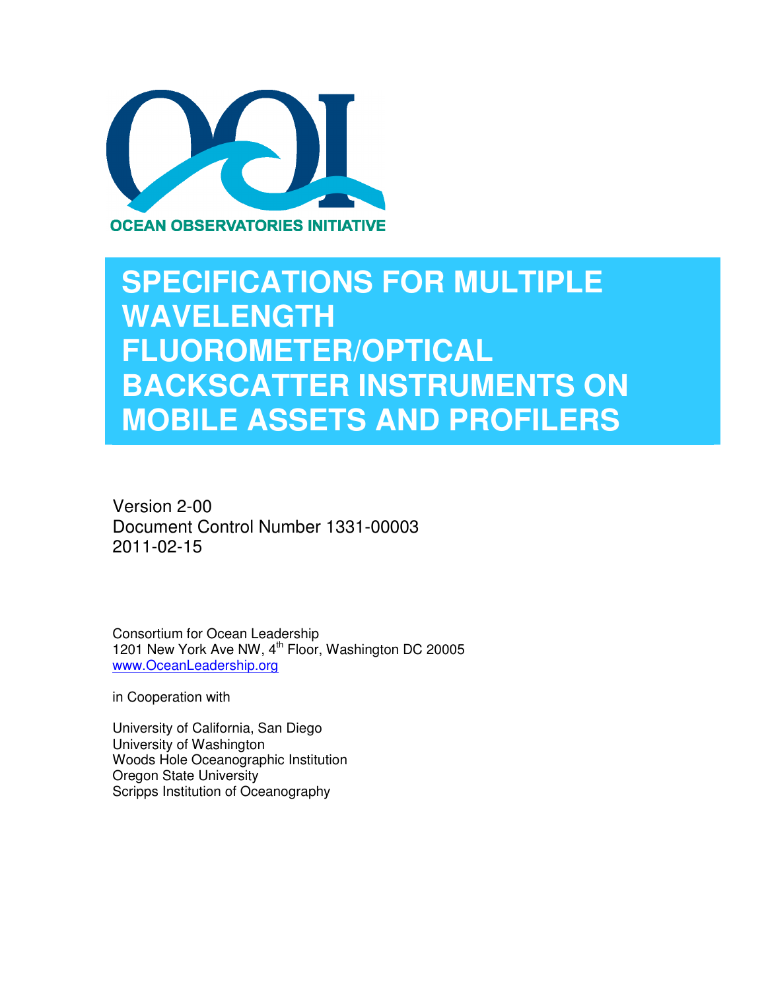

## **SPECIFICATIONS FOR MULTIPLE WAVELENGTH FLUOROMETER/OPTICAL BACKSCATTER INSTRUMENTS ON MOBILE ASSETS AND PROFILERS**

Version 2-00 Document Control Number 1331-00003 2011-02-15

Consortium for Ocean Leadership 1201 New York Ave NW, 4<sup>th</sup> Floor, Washington DC 20005 www.OceanLeadership.org

in Cooperation with

University of California, San Diego University of Washington Woods Hole Oceanographic Institution Oregon State University Scripps Institution of Oceanography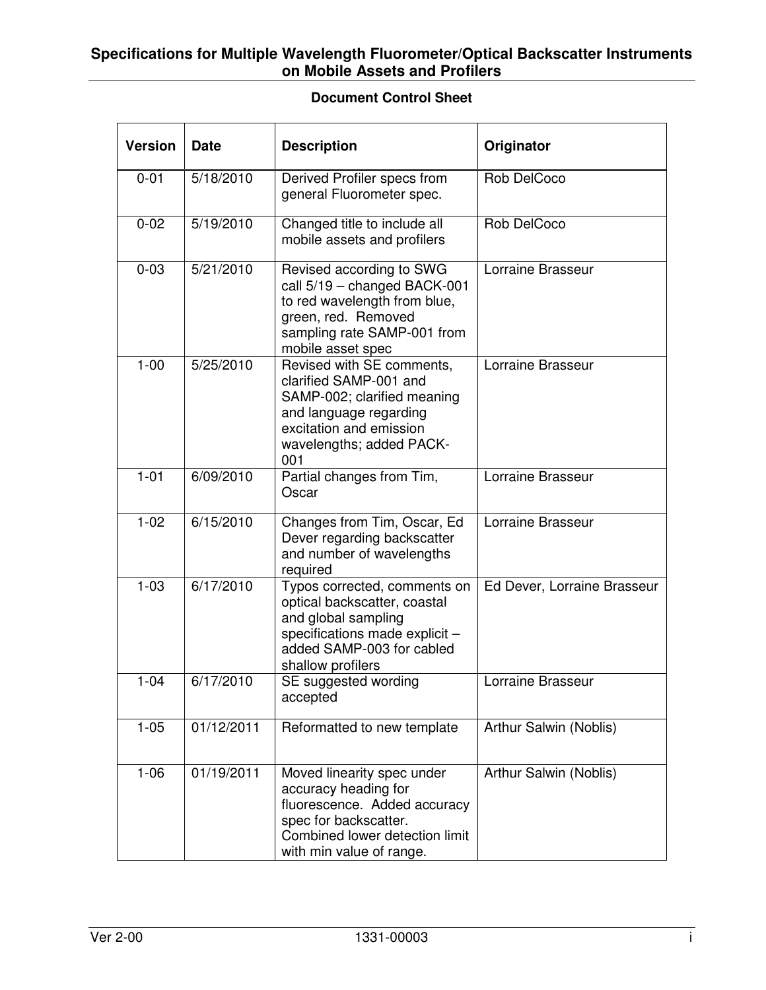#### **Specifications for Multiple Wavelength Fluorometer/Optical Backscatter Instruments on Mobile Assets and Profilers**

#### **Document Control Sheet**

| <b>Version</b> | <b>Date</b> | <b>Description</b>                                                                                                                                                         | Originator                  |
|----------------|-------------|----------------------------------------------------------------------------------------------------------------------------------------------------------------------------|-----------------------------|
| $0 - 01$       | 5/18/2010   | Derived Profiler specs from<br>general Fluorometer spec.                                                                                                                   | Rob DelCoco                 |
| $0 - 02$       | 5/19/2010   | Changed title to include all<br>mobile assets and profilers                                                                                                                | Rob DelCoco                 |
| $0 - 03$       | 5/21/2010   | Revised according to SWG<br>call 5/19 - changed BACK-001<br>to red wavelength from blue,<br>green, red. Removed<br>sampling rate SAMP-001 from<br>mobile asset spec        | Lorraine Brasseur           |
| $1 - 00$       | 5/25/2010   | Revised with SE comments,<br>clarified SAMP-001 and<br>SAMP-002; clarified meaning<br>and language regarding<br>excitation and emission<br>wavelengths; added PACK-<br>001 | Lorraine Brasseur           |
| $1 - 01$       | 6/09/2010   | Partial changes from Tim,<br>Oscar                                                                                                                                         | Lorraine Brasseur           |
| $1 - 02$       | 6/15/2010   | Changes from Tim, Oscar, Ed<br>Dever regarding backscatter<br>and number of wavelengths<br>required                                                                        | Lorraine Brasseur           |
| $1 - 03$       | 6/17/2010   | Typos corrected, comments on<br>optical backscatter, coastal<br>and global sampling<br>specifications made explicit -<br>added SAMP-003 for cabled<br>shallow profilers    | Ed Dever, Lorraine Brasseur |
| $1 - 04$       | 6/17/2010   | SE suggested wording<br>accepted                                                                                                                                           | Lorraine Brasseur           |
| $1 - 05$       | 01/12/2011  | Reformatted to new template                                                                                                                                                | Arthur Salwin (Noblis)      |
| $1 - 06$       | 01/19/2011  | Moved linearity spec under<br>accuracy heading for<br>fluorescence. Added accuracy<br>spec for backscatter.<br>Combined lower detection limit<br>with min value of range.  | Arthur Salwin (Noblis)      |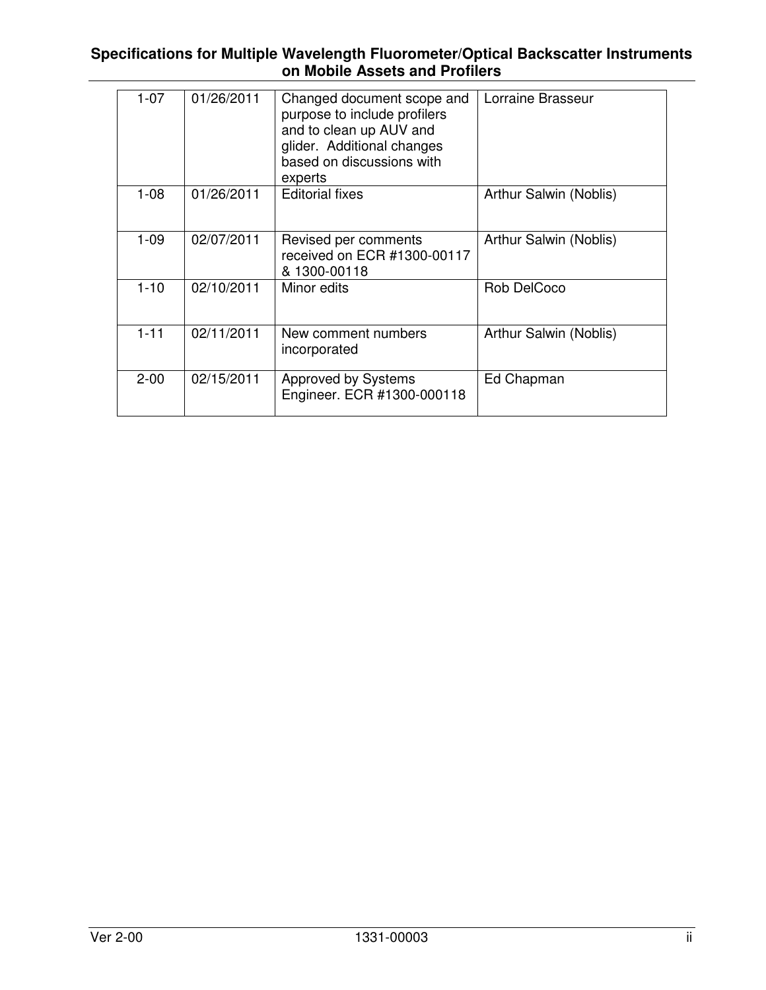#### **Specifications for Multiple Wavelength Fluorometer/Optical Backscatter Instruments on Mobile Assets and Profilers**

| $1 - 07$ | 01/26/2011 | Changed document scope and<br>purpose to include profilers<br>and to clean up AUV and<br>glider. Additional changes<br>based on discussions with<br>experts | Lorraine Brasseur      |
|----------|------------|-------------------------------------------------------------------------------------------------------------------------------------------------------------|------------------------|
| $1 - 08$ | 01/26/2011 | <b>Editorial fixes</b>                                                                                                                                      | Arthur Salwin (Noblis) |
| $1 - 09$ | 02/07/2011 | Revised per comments<br>received on ECR #1300-00117<br>& 1300-00118                                                                                         | Arthur Salwin (Noblis) |
| $1 - 10$ | 02/10/2011 | Minor edits                                                                                                                                                 | Rob DelCoco            |
| $1 - 11$ | 02/11/2011 | New comment numbers<br>incorporated                                                                                                                         | Arthur Salwin (Noblis) |
| $2 - 00$ | 02/15/2011 | <b>Approved by Systems</b><br>Engineer. ECR #1300-000118                                                                                                    | Ed Chapman             |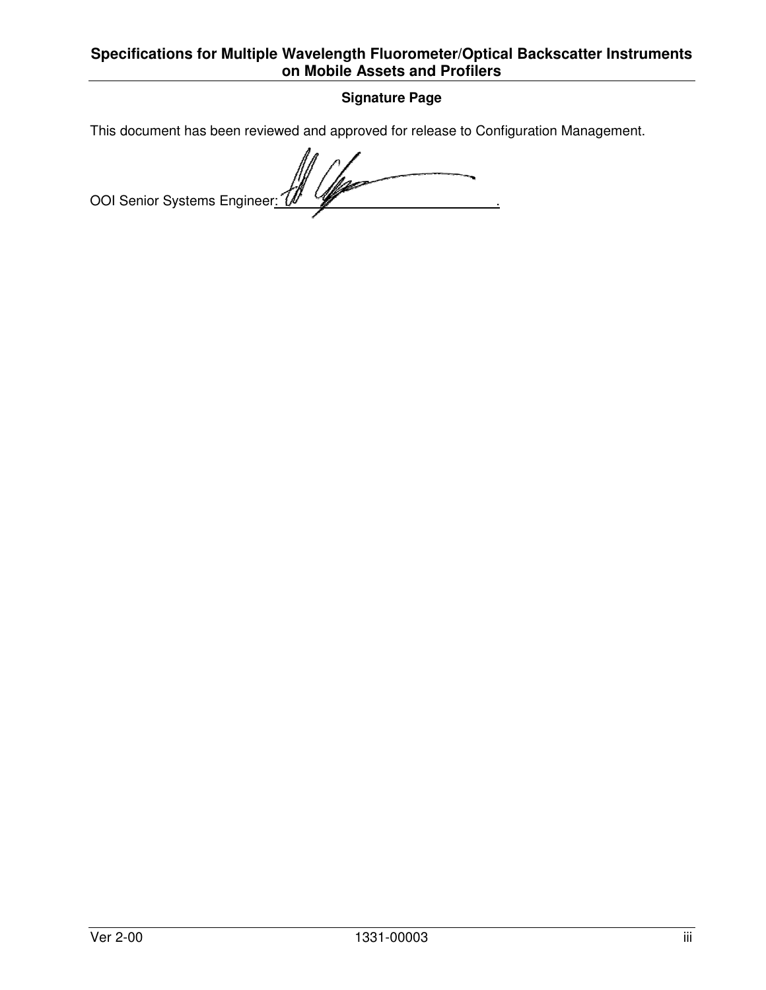### **Specifications for Multiple Wavelength Fluorometer/Optical Backscatter Instruments on Mobile Assets and Profilers**

#### **Signature Page**

This document has been reviewed and approved for release to Configuration Management.

 $\overline{\phantom{0}}$ OOI Senior Systems Engineer: 0 4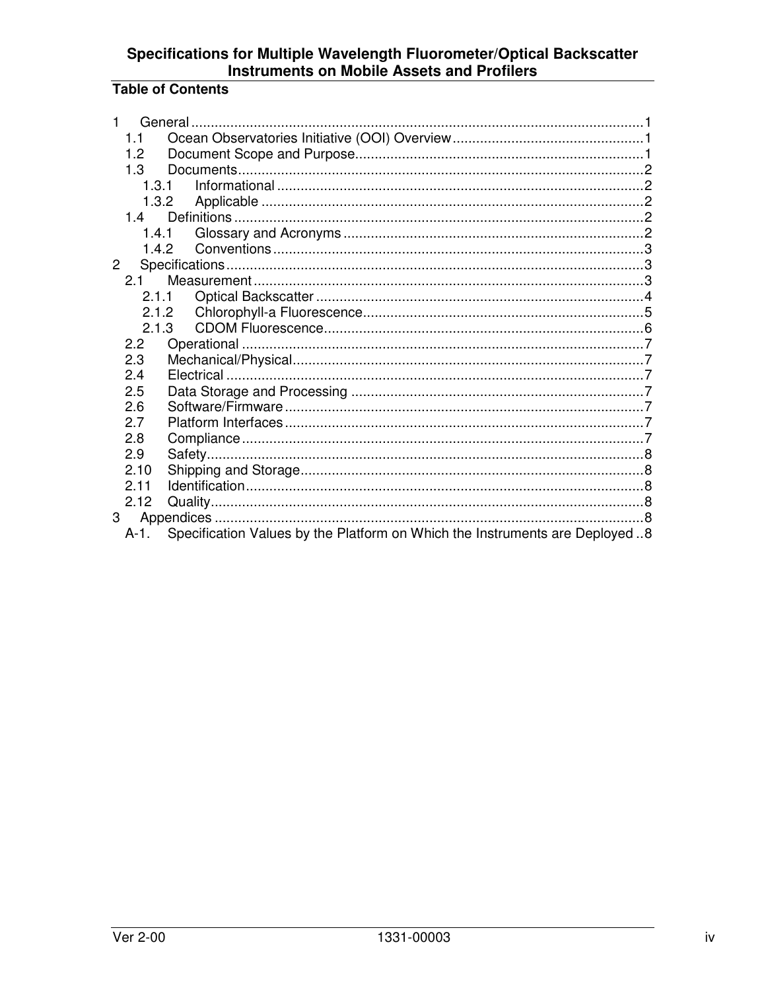## Specifications for Multiple Wavelength Fluorometer/Optical Backscatter<br>Instruments on Mobile Assets and Profilers

## **Table of Contents**

| 1           |                  |                                                                              |  |  |
|-------------|------------------|------------------------------------------------------------------------------|--|--|
|             | 1.1              |                                                                              |  |  |
|             | 1.2 <sub>2</sub> |                                                                              |  |  |
|             | 1.3              |                                                                              |  |  |
|             | 1.3.1            |                                                                              |  |  |
|             | 1.3.2            |                                                                              |  |  |
|             | 1.4              |                                                                              |  |  |
|             | 1.4.1            |                                                                              |  |  |
|             |                  | 142                                                                          |  |  |
| $2^{\circ}$ |                  |                                                                              |  |  |
|             | $2.1 -$          |                                                                              |  |  |
|             |                  | 2.1.1                                                                        |  |  |
|             |                  | 2.1.2                                                                        |  |  |
|             | 2.1.3            |                                                                              |  |  |
|             | $2.2^{\circ}$    |                                                                              |  |  |
|             | 2.3              |                                                                              |  |  |
|             | 2.4              |                                                                              |  |  |
|             | 2.5              |                                                                              |  |  |
|             | 2.6              |                                                                              |  |  |
|             | 2.7              |                                                                              |  |  |
|             | 2.8              |                                                                              |  |  |
|             | 2.9              |                                                                              |  |  |
|             | 2.10             |                                                                              |  |  |
|             | 2.11             |                                                                              |  |  |
|             | 2.12             |                                                                              |  |  |
|             | 3                |                                                                              |  |  |
|             | A-1              | Specification Values by the Platform on Which the Instruments are Deployed 8 |  |  |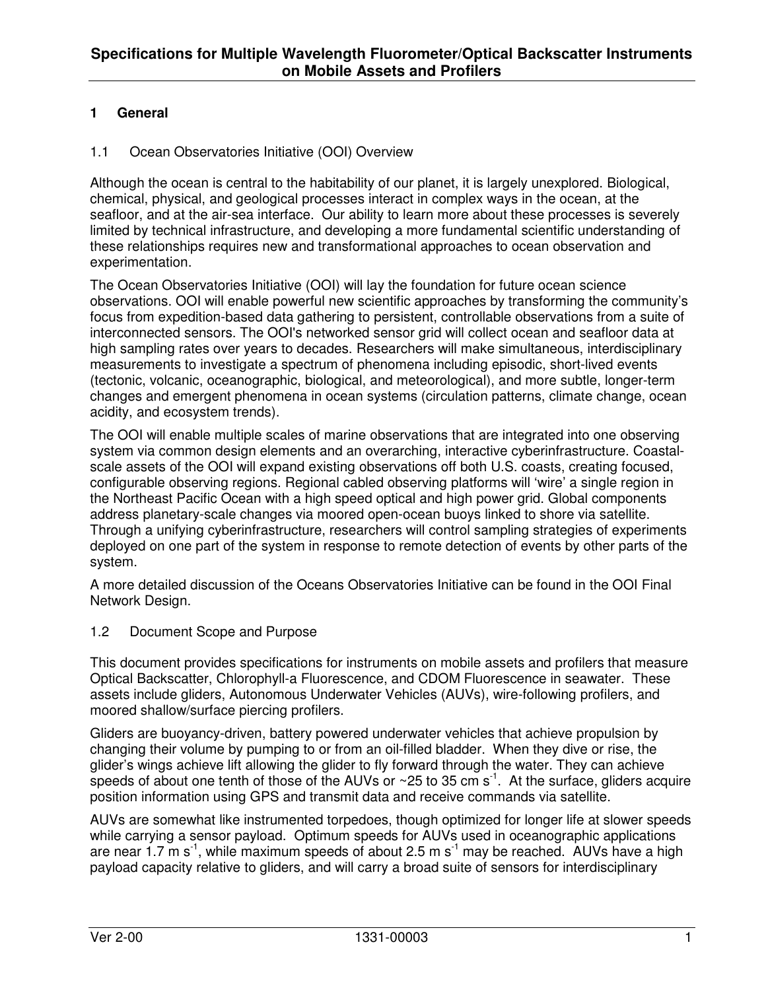## **1 General**

#### 1.1 Ocean Observatories Initiative (OOI) Overview

Although the ocean is central to the habitability of our planet, it is largely unexplored. Biological, chemical, physical, and geological processes interact in complex ways in the ocean, at the seafloor, and at the air-sea interface. Our ability to learn more about these processes is severely limited by technical infrastructure, and developing a more fundamental scientific understanding of these relationships requires new and transformational approaches to ocean observation and experimentation.

The Ocean Observatories Initiative (OOI) will lay the foundation for future ocean science observations. OOI will enable powerful new scientific approaches by transforming the community's focus from expedition-based data gathering to persistent, controllable observations from a suite of interconnected sensors. The OOI's networked sensor grid will collect ocean and seafloor data at high sampling rates over years to decades. Researchers will make simultaneous, interdisciplinary measurements to investigate a spectrum of phenomena including episodic, short-lived events (tectonic, volcanic, oceanographic, biological, and meteorological), and more subtle, longer-term changes and emergent phenomena in ocean systems (circulation patterns, climate change, ocean acidity, and ecosystem trends).

The OOI will enable multiple scales of marine observations that are integrated into one observing system via common design elements and an overarching, interactive cyberinfrastructure. Coastalscale assets of the OOI will expand existing observations off both U.S. coasts, creating focused, configurable observing regions. Regional cabled observing platforms will 'wire' a single region in the Northeast Pacific Ocean with a high speed optical and high power grid. Global components address planetary-scale changes via moored open-ocean buoys linked to shore via satellite. Through a unifying cyberinfrastructure, researchers will control sampling strategies of experiments deployed on one part of the system in response to remote detection of events by other parts of the system.

A more detailed discussion of the Oceans Observatories Initiative can be found in the OOI Final Network Design.

#### 1.2 Document Scope and Purpose

This document provides specifications for instruments on mobile assets and profilers that measure Optical Backscatter, Chlorophyll-a Fluorescence, and CDOM Fluorescence in seawater. These assets include gliders, Autonomous Underwater Vehicles (AUVs), wire-following profilers, and moored shallow/surface piercing profilers.

Gliders are buoyancy-driven, battery powered underwater vehicles that achieve propulsion by changing their volume by pumping to or from an oil-filled bladder. When they dive or rise, the glider's wings achieve lift allowing the glider to fly forward through the water. They can achieve speeds of about one tenth of those of the AUVs or  $\sim$  25 to 35 cm s<sup>-1</sup>. At the surface, gliders acquire position information using GPS and transmit data and receive commands via satellite.

AUVs are somewhat like instrumented torpedoes, though optimized for longer life at slower speeds while carrying a sensor payload. Optimum speeds for AUVs used in oceanographic applications are near 1.7  $\text{m s}^{-1}$ , while maximum speeds of about 2.5 m s<sup>-1</sup> may be reached. AUVs have a high payload capacity relative to gliders, and will carry a broad suite of sensors for interdisciplinary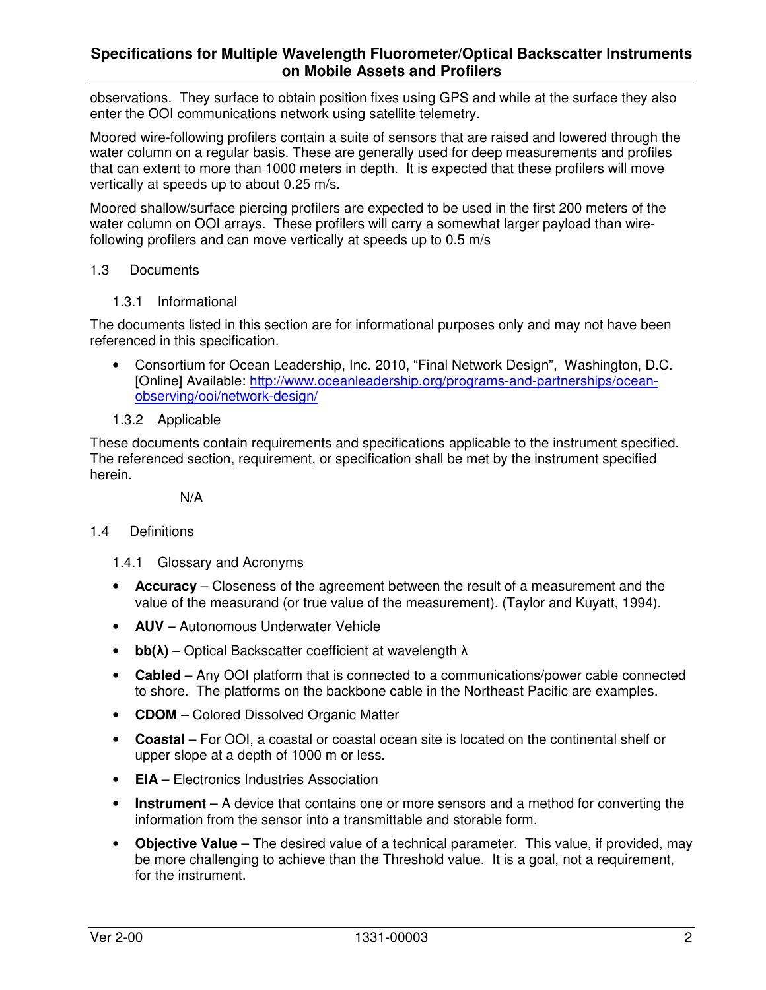#### **Specifications for Multiple Wavelength Fluorometer/Optical Backscatter Instruments on Mobile Assets and Profilers**

observations. They surface to obtain position fixes using GPS and while at the surface they also enter the OOI communications network using satellite telemetry.

Moored wire-following profilers contain a suite of sensors that are raised and lowered through the water column on a regular basis. These are generally used for deep measurements and profiles that can extent to more than 1000 meters in depth. It is expected that these profilers will move vertically at speeds up to about 0.25 m/s.

Moored shallow/surface piercing profilers are expected to be used in the first 200 meters of the water column on OOI arrays. These profilers will carry a somewhat larger payload than wirefollowing profilers and can move vertically at speeds up to 0.5 m/s

#### 1.3 Documents

1.3.1 Informational

The documents listed in this section are for informational purposes only and may not have been referenced in this specification.

- Consortium for Ocean Leadership, Inc. 2010, "Final Network Design", Washington, D.C. [Online] Available: http://www.oceanleadership.org/programs-and-partnerships/oceanobserving/ooi/network-design/
- 1.3.2 Applicable

These documents contain requirements and specifications applicable to the instrument specified. The referenced section, requirement, or specification shall be met by the instrument specified herein.

N/A

#### 1.4 Definitions

- 1.4.1 Glossary and Acronyms
- **Accuracy** Closeness of the agreement between the result of a measurement and the value of the measurand (or true value of the measurement). (Taylor and Kuyatt, 1994).
- **AUV** Autonomous Underwater Vehicle
- **bb(**λ**)** Optical Backscatter coefficient at wavelength λ
- **Cabled**  Any OOI platform that is connected to a communications/power cable connected to shore. The platforms on the backbone cable in the Northeast Pacific are examples.
- **CDOM** Colored Dissolved Organic Matter
- **Coastal**  For OOI, a coastal or coastal ocean site is located on the continental shelf or upper slope at a depth of 1000 m or less.
- **EIA** Electronics Industries Association
- **Instrument** A device that contains one or more sensors and a method for converting the information from the sensor into a transmittable and storable form.
- **Objective Value** The desired value of a technical parameter. This value, if provided, may be more challenging to achieve than the Threshold value. It is a goal, not a requirement, for the instrument.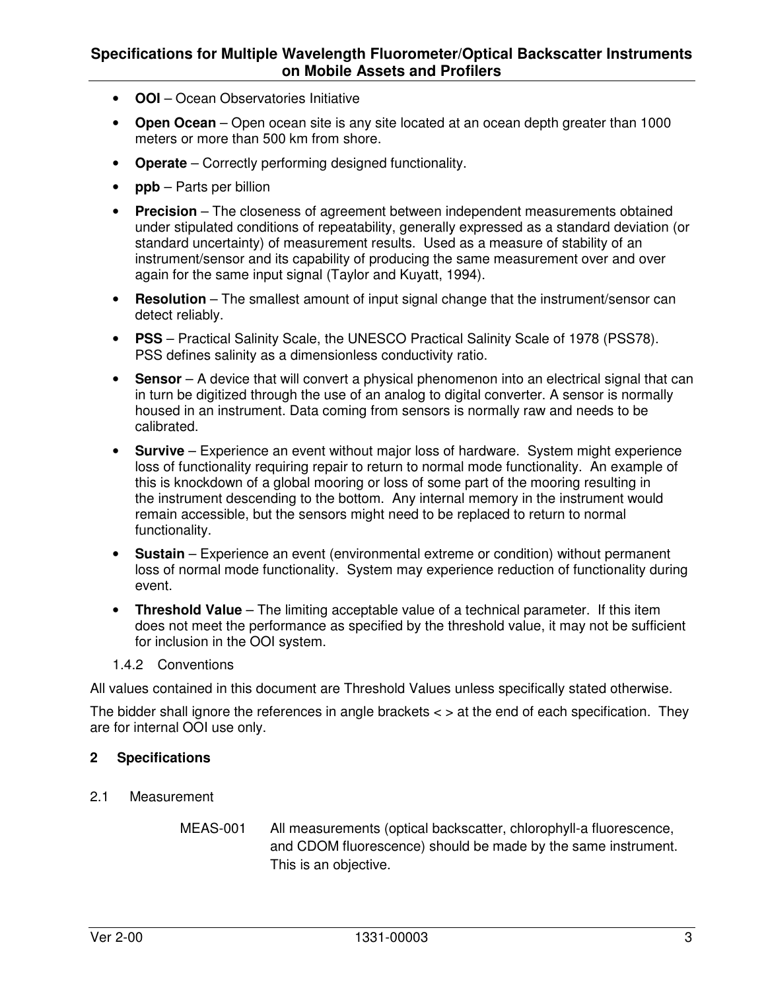#### **Specifications for Multiple Wavelength Fluorometer/Optical Backscatter Instruments on Mobile Assets and Profilers**

- **OOI**  Ocean Observatories Initiative
- **Open Ocean**  Open ocean site is any site located at an ocean depth greater than 1000 meters or more than 500 km from shore.
- **Operate** Correctly performing designed functionality.
- **ppb** Parts per billion
- **Precision** The closeness of agreement between independent measurements obtained under stipulated conditions of repeatability, generally expressed as a standard deviation (or standard uncertainty) of measurement results. Used as a measure of stability of an instrument/sensor and its capability of producing the same measurement over and over again for the same input signal (Taylor and Kuyatt, 1994).
- **Resolution** The smallest amount of input signal change that the instrument/sensor can detect reliably.
- **PSS** Practical Salinity Scale, the UNESCO Practical Salinity Scale of 1978 (PSS78). PSS defines salinity as a dimensionless conductivity ratio.
- **Sensor** A device that will convert a physical phenomenon into an electrical signal that can in turn be digitized through the use of an analog to digital converter. A sensor is normally housed in an instrument. Data coming from sensors is normally raw and needs to be calibrated.
- **Survive** Experience an event without major loss of hardware. System might experience loss of functionality requiring repair to return to normal mode functionality. An example of this is knockdown of a global mooring or loss of some part of the mooring resulting in the instrument descending to the bottom. Any internal memory in the instrument would remain accessible, but the sensors might need to be replaced to return to normal functionality.
- **Sustain** Experience an event (environmental extreme or condition) without permanent loss of normal mode functionality. System may experience reduction of functionality during event.
- **Threshold Value** The limiting acceptable value of a technical parameter. If this item does not meet the performance as specified by the threshold value, it may not be sufficient for inclusion in the OOI system.
- 1.4.2 Conventions

All values contained in this document are Threshold Values unless specifically stated otherwise.

The bidder shall ignore the references in angle brackets  $\lt$   $>$  at the end of each specification. They are for internal OOI use only.

#### **2 Specifications**

- 2.1 Measurement
	- MEAS-001 All measurements (optical backscatter, chlorophyll-a fluorescence, and CDOM fluorescence) should be made by the same instrument. This is an objective.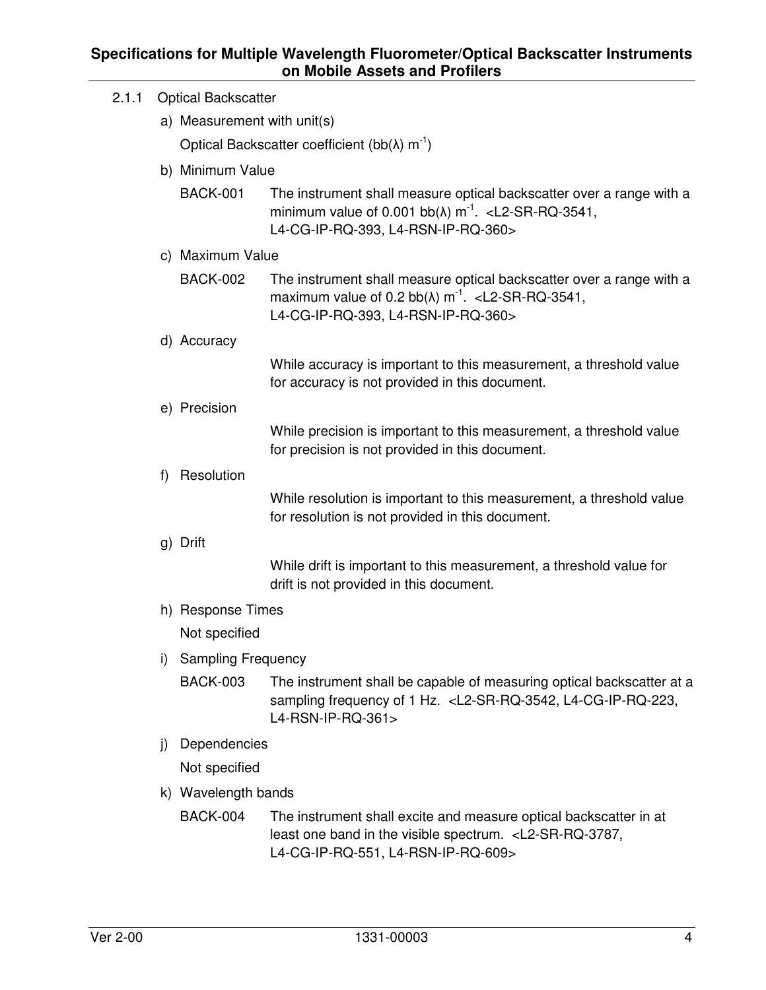| 2.1.1 | <b>Optical Backscatter</b> |                                                                    |                                                                                                                                                                                                             |  |  |  |  |  |
|-------|----------------------------|--------------------------------------------------------------------|-------------------------------------------------------------------------------------------------------------------------------------------------------------------------------------------------------------|--|--|--|--|--|
|       |                            | a) Measurement with unit(s)                                        |                                                                                                                                                                                                             |  |  |  |  |  |
|       |                            | Optical Backscatter coefficient (bb( $\lambda$ ) m <sup>-1</sup> ) |                                                                                                                                                                                                             |  |  |  |  |  |
|       |                            | b) Minimum Value                                                   |                                                                                                                                                                                                             |  |  |  |  |  |
|       |                            | <b>BACK-001</b>                                                    | The instrument shall measure optical backscatter over a range with a<br>minimum value of 0.001 bb( $\lambda$ ) m <sup>-1</sup> . < L2-SR-RQ-3541,<br>L4-CG-IP-RQ-393, L4-RSN-IP-RQ-360>                     |  |  |  |  |  |
|       |                            | c) Maximum Value                                                   |                                                                                                                                                                                                             |  |  |  |  |  |
|       |                            | <b>BACK-002</b>                                                    | The instrument shall measure optical backscatter over a range with a<br>maximum value of 0.2 bb( $\lambda$ ) m <sup>-1</sup> . <l2-sr-rq-3541,<br>L4-CG-IP-RQ-393, L4-RSN-IP-RQ-360&gt;</l2-sr-rq-3541,<br> |  |  |  |  |  |
|       |                            | d) Accuracy                                                        |                                                                                                                                                                                                             |  |  |  |  |  |
|       |                            |                                                                    | While accuracy is important to this measurement, a threshold value<br>for accuracy is not provided in this document.                                                                                        |  |  |  |  |  |
|       |                            | e) Precision                                                       |                                                                                                                                                                                                             |  |  |  |  |  |
|       |                            |                                                                    | While precision is important to this measurement, a threshold value<br>for precision is not provided in this document.                                                                                      |  |  |  |  |  |
|       | f)                         | Resolution                                                         |                                                                                                                                                                                                             |  |  |  |  |  |
|       |                            |                                                                    | While resolution is important to this measurement, a threshold value<br>for resolution is not provided in this document.                                                                                    |  |  |  |  |  |
|       |                            | g) Drift                                                           |                                                                                                                                                                                                             |  |  |  |  |  |
|       |                            |                                                                    | While drift is important to this measurement, a threshold value for<br>drift is not provided in this document.                                                                                              |  |  |  |  |  |
|       |                            | h) Response Times                                                  |                                                                                                                                                                                                             |  |  |  |  |  |
|       |                            | Not specified                                                      |                                                                                                                                                                                                             |  |  |  |  |  |
|       | i)                         | <b>Sampling Frequency</b>                                          |                                                                                                                                                                                                             |  |  |  |  |  |
|       |                            | <b>BACK-003</b>                                                    | The instrument shall be capable of measuring optical backscatter at a<br>sampling frequency of 1 Hz. <l2-sr-rq-3542, l4-cg-ip-rq-223,<br="">L4-RSN-IP-RQ-361&gt;</l2-sr-rq-3542,>                           |  |  |  |  |  |
|       | j)                         | Dependencies                                                       |                                                                                                                                                                                                             |  |  |  |  |  |
|       |                            | Not specified                                                      |                                                                                                                                                                                                             |  |  |  |  |  |
|       |                            | k) Wavelength bands                                                |                                                                                                                                                                                                             |  |  |  |  |  |
|       |                            | <b>BACK-004</b>                                                    | The instrument shall excite and measure optical backscatter in at<br>least one band in the visible spectrum. <l2-sr-rq-3787,<br>L4-CG-IP-RQ-551, L4-RSN-IP-RQ-609&gt;</l2-sr-rq-3787,<br>                   |  |  |  |  |  |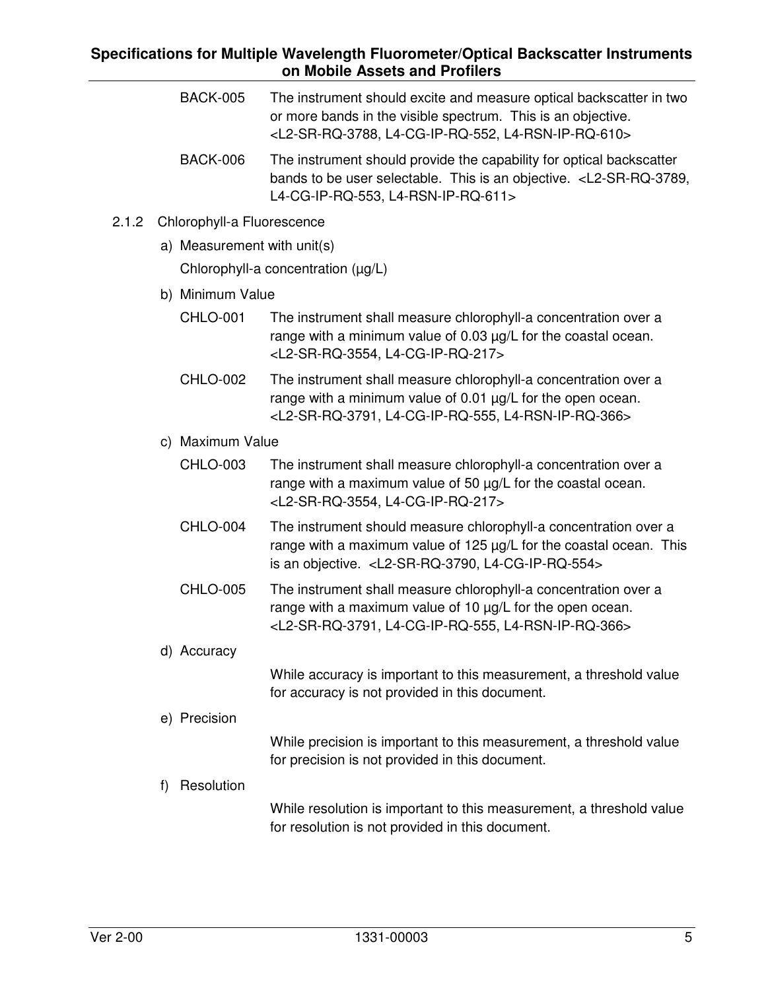#### **Specifications for Multiple Wavelength Fluorometer/Optical Backscatter Instruments on Mobile Assets and Profilers**   $\overline{a}$

|       |    | <b>BACK-005</b>             | The instrument should excite and measure optical backscatter in two<br>or more bands in the visible spectrum. This is an objective.<br><l2-sr-rq-3788, l4-cg-ip-rq-552,="" l4-rsn-ip-rq-610=""></l2-sr-rq-3788,> |
|-------|----|-----------------------------|------------------------------------------------------------------------------------------------------------------------------------------------------------------------------------------------------------------|
|       |    | <b>BACK-006</b>             | The instrument should provide the capability for optical backscatter<br>bands to be user selectable. This is an objective. <l2-sr-rq-3789,<br>L4-CG-IP-RQ-553, L4-RSN-IP-RQ-611&gt;</l2-sr-rq-3789,<br>          |
| 2.1.2 |    | Chlorophyll-a Fluorescence  |                                                                                                                                                                                                                  |
|       |    | a) Measurement with unit(s) |                                                                                                                                                                                                                  |
|       |    |                             | Chlorophyll-a concentration (µg/L)                                                                                                                                                                               |
|       |    | b) Minimum Value            |                                                                                                                                                                                                                  |
|       |    | <b>CHLO-001</b>             | The instrument shall measure chlorophyll-a concentration over a<br>range with a minimum value of 0.03 µg/L for the coastal ocean.<br><l2-sr-rq-3554, l4-cg-ip-rq-217=""></l2-sr-rq-3554,>                        |
|       |    | <b>CHLO-002</b>             | The instrument shall measure chlorophyll-a concentration over a<br>range with a minimum value of 0.01 µg/L for the open ocean.<br><l2-sr-rq-3791, l4-cg-ip-rq-555,="" l4-rsn-ip-rq-366=""></l2-sr-rq-3791,>      |
|       |    | c) Maximum Value            |                                                                                                                                                                                                                  |
|       |    | <b>CHLO-003</b>             | The instrument shall measure chlorophyll-a concentration over a<br>range with a maximum value of 50 µg/L for the coastal ocean.<br><l2-sr-rq-3554, l4-cg-ip-rq-217=""></l2-sr-rq-3554,>                          |
|       |    | <b>CHLO-004</b>             | The instrument should measure chlorophyll-a concentration over a<br>range with a maximum value of 125 µg/L for the coastal ocean. This<br>is an objective. < L2-SR-RQ-3790, L4-CG-IP-RQ-554>                     |
|       |    | <b>CHLO-005</b>             | The instrument shall measure chlorophyll-a concentration over a<br>range with a maximum value of 10 µg/L for the open ocean.<br><l2-sr-rq-3791, l4-cg-ip-rq-555,="" l4-rsn-ip-rq-366=""></l2-sr-rq-3791,>        |
|       |    | d) Accuracy                 |                                                                                                                                                                                                                  |
|       |    |                             | While accuracy is important to this measurement, a threshold value<br>for accuracy is not provided in this document.                                                                                             |
|       |    | e) Precision                |                                                                                                                                                                                                                  |
|       |    |                             | While precision is important to this measurement, a threshold value<br>for precision is not provided in this document.                                                                                           |
|       | f) | Resolution                  |                                                                                                                                                                                                                  |
|       |    |                             | While resolution is important to this measurement, a threshold value<br>for resolution is not provided in this document.                                                                                         |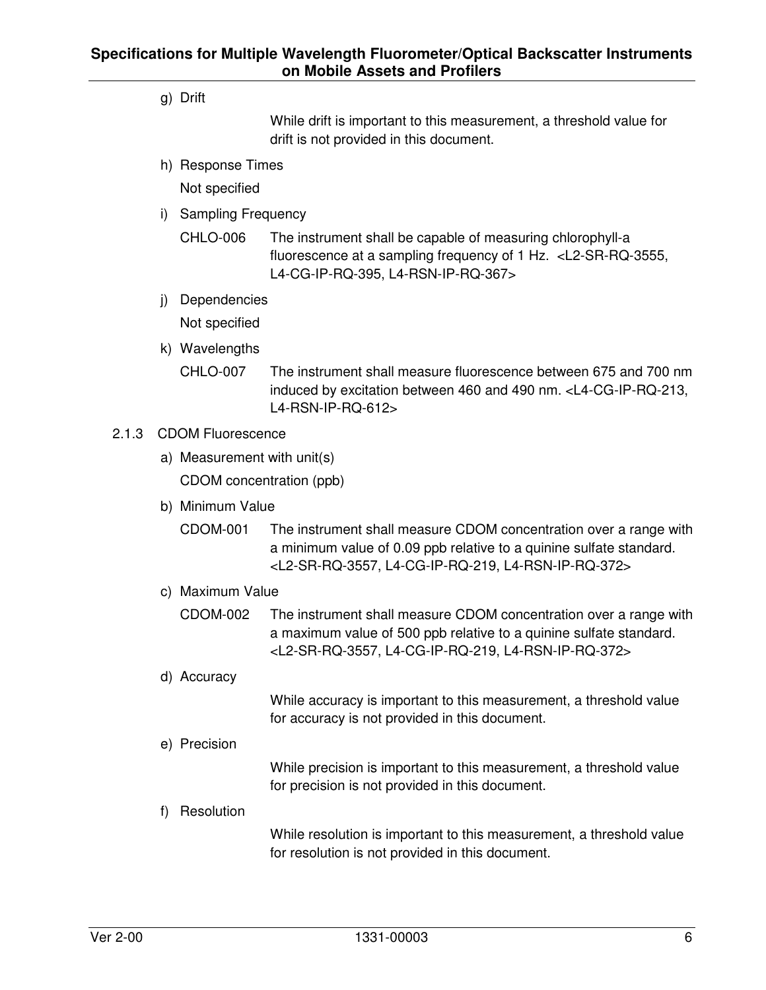g) Drift

While drift is important to this measurement, a threshold value for drift is not provided in this document.

h) Response Times

Not specified

- i) Sampling Frequency
	- CHLO-006 The instrument shall be capable of measuring chlorophyll-a fluorescence at a sampling frequency of 1 Hz. <L2-SR-RQ-3555, L4-CG-IP-RQ-395, L4-RSN-IP-RQ-367>
- j) Dependencies

Not specified

- k) Wavelengths
	- CHLO-007 The instrument shall measure fluorescence between 675 and 700 nm induced by excitation between 460 and 490 nm. <L4-CG-IP-RQ-213, L4-RSN-IP-RQ-612>

#### 2.1.3 CDOM Fluorescence

- a) Measurement with unit(s) CDOM concentration (ppb)
- b) Minimum Value
	- CDOM-001 The instrument shall measure CDOM concentration over a range with a minimum value of 0.09 ppb relative to a quinine sulfate standard. <L2-SR-RQ-3557, L4-CG-IP-RQ-219, L4-RSN-IP-RQ-372>
- c) Maximum Value
	- CDOM-002 The instrument shall measure CDOM concentration over a range with a maximum value of 500 ppb relative to a quinine sulfate standard. <L2-SR-RQ-3557, L4-CG-IP-RQ-219, L4-RSN-IP-RQ-372>
- d) Accuracy

While accuracy is important to this measurement, a threshold value for accuracy is not provided in this document.

e) Precision

While precision is important to this measurement, a threshold value for precision is not provided in this document.

f) Resolution

While resolution is important to this measurement, a threshold value for resolution is not provided in this document.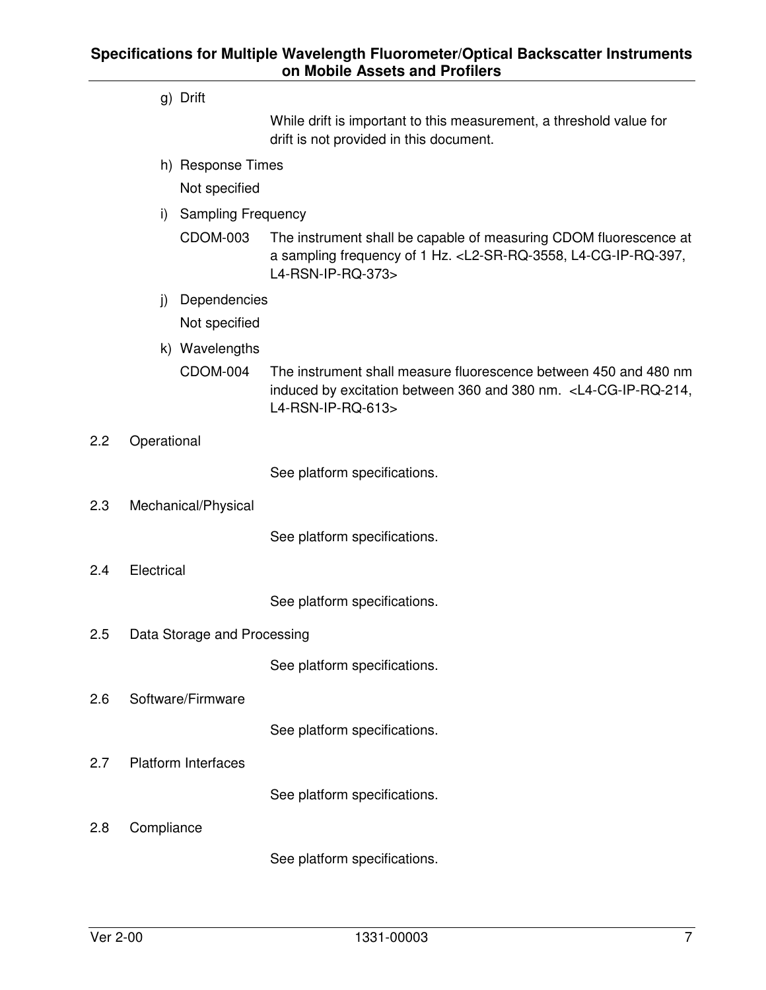g) Drift

While drift is important to this measurement, a threshold value for drift is not provided in this document.

h) Response Times

Not specified

- i) Sampling Frequency
	- CDOM-003 The instrument shall be capable of measuring CDOM fluorescence at a sampling frequency of 1 Hz. <L2-SR-RQ-3558, L4-CG-IP-RQ-397, L4-RSN-IP-RQ-373>
- j) Dependencies Not specified
- k) Wavelengths
	- CDOM-004 The instrument shall measure fluorescence between 450 and 480 nm induced by excitation between 360 and 380 nm. <L4-CG-IP-RQ-214, L4-RSN-IP-RQ-613>
- 2.2 Operational

See platform specifications.

2.3 Mechanical/Physical

See platform specifications.

2.4 Electrical

See platform specifications.

2.5 Data Storage and Processing

See platform specifications.

2.6 Software/Firmware

See platform specifications.

2.7 Platform Interfaces

See platform specifications.

2.8 Compliance

See platform specifications.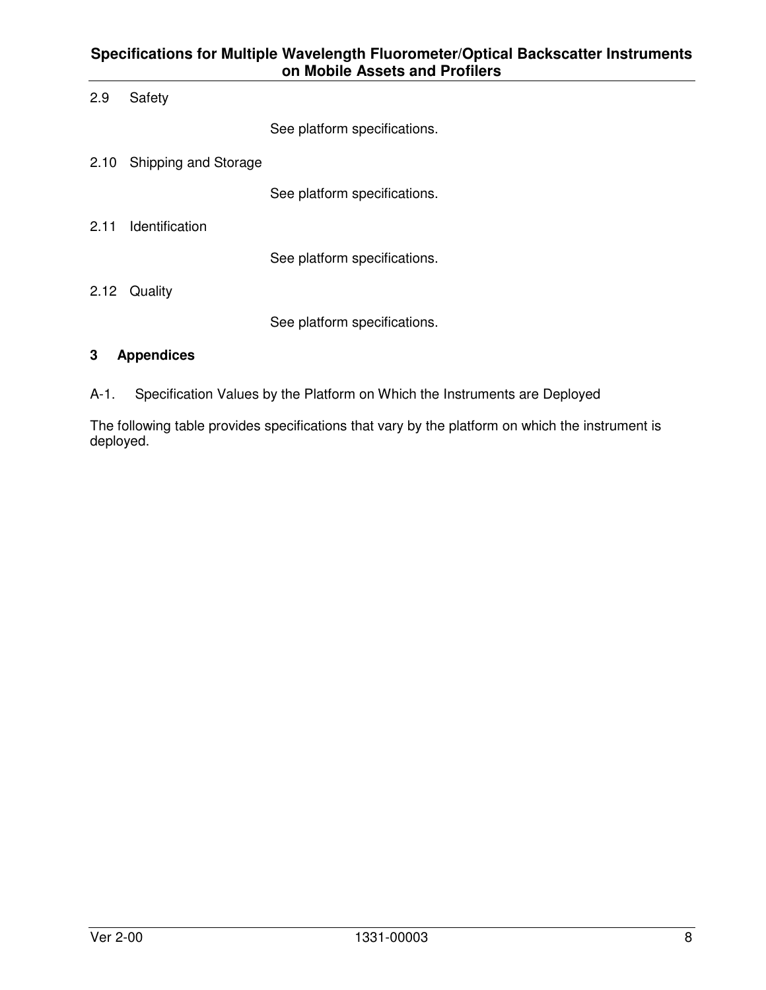## **Specifications for Multiple Wavelength Fluorometer/Optical Backscatter Instruments on Mobile Assets and Profilers**

| 2.9  | Safety                    |                              |
|------|---------------------------|------------------------------|
|      |                           | See platform specifications. |
|      | 2.10 Shipping and Storage |                              |
|      |                           | See platform specifications. |
| 2.11 | Identification            |                              |
|      |                           | See platform specifications. |
| 2.12 | Quality                   |                              |
|      |                           | See platform specifications. |

## **3 Appendices**

A-1. Specification Values by the Platform on Which the Instruments are Deployed

The following table provides specifications that vary by the platform on which the instrument is deployed.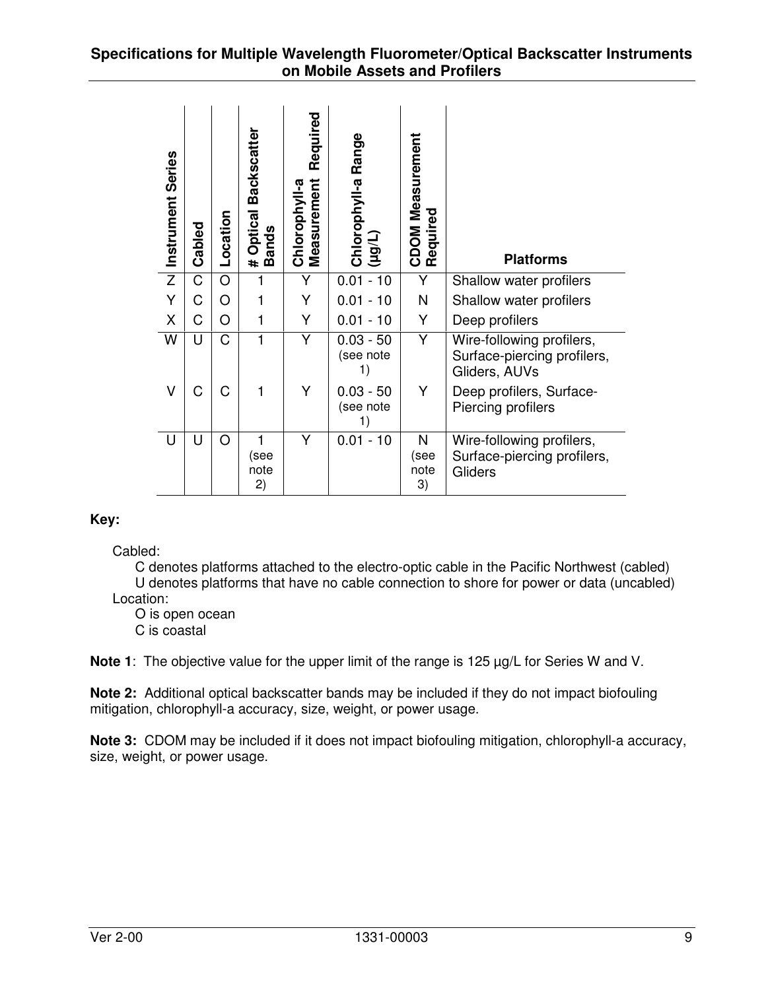#### **Specifications for Multiple Wavelength Fluorometer/Optical Backscatter Instruments on Mobile Assets and Profilers**

|                                                                                                                                           | Instrument Series | Cabled                | Location    | # Optical Backscatter<br>Bands | Required<br>Chlorophyll-a<br>Measurement | Chlorophyll-a Range<br>(hôn)                                      | CDOM Measurement<br>Required | <b>Platforms</b>                                                                                                                                                                     |   |
|-------------------------------------------------------------------------------------------------------------------------------------------|-------------------|-----------------------|-------------|--------------------------------|------------------------------------------|-------------------------------------------------------------------|------------------------------|--------------------------------------------------------------------------------------------------------------------------------------------------------------------------------------|---|
|                                                                                                                                           | $\overline{z}$    | $\overline{\text{C}}$ | O           | 1                              | $\overline{Y}$                           | $0.01 - 10$                                                       | Υ                            | Shallow water profilers                                                                                                                                                              |   |
|                                                                                                                                           | Y                 | C                     | O           | 1                              | Υ                                        | $0.01 - 10$                                                       | $\mathsf{N}$                 | Shallow water profilers                                                                                                                                                              |   |
|                                                                                                                                           | X                 | C                     | O           | 1                              | Υ                                        | $0.01 - 10$                                                       | Υ                            | Deep profilers                                                                                                                                                                       |   |
|                                                                                                                                           | W                 | U                     | $\mathsf C$ | 1                              | Υ                                        | $0.03 - 50$<br>(see note<br>1)                                    | Y                            | Wire-following profilers,<br>Surface-piercing profilers,<br>Gliders, AUVs                                                                                                            |   |
|                                                                                                                                           | $\vee$            | C                     | $\mathsf C$ | 1                              | Υ                                        | $0.03 - 50$<br>(see note<br>1)                                    | Y                            | Deep profilers, Surface-<br>Piercing profilers                                                                                                                                       |   |
|                                                                                                                                           | U                 | U                     | $\circ$     | 1<br>(see<br>note<br>2)        | Y                                        | $0.01 - 10$                                                       | N<br>(see<br>note<br>3)      | Wire-following profilers,<br>Surface-piercing profilers,<br>Gliders                                                                                                                  |   |
| Key:<br>Cabled:<br>Location:                                                                                                              | C is coastal      | O is open ocean       |             |                                |                                          |                                                                   |                              | C denotes platforms attached to the electro-optic cable in the Pacific Northwest (cabled)<br>U denotes platforms that have no cable connection to shore for power or data (uncabled) |   |
|                                                                                                                                           |                   |                       |             |                                |                                          |                                                                   |                              | Note 1: The objective value for the upper limit of the range is 125 µg/L for Series W and V.                                                                                         |   |
|                                                                                                                                           |                   |                       |             |                                |                                          | mitigation, chlorophyll-a accuracy, size, weight, or power usage. |                              | Note 2: Additional optical backscatter bands may be included if they do not impact biofouling                                                                                        |   |
| <b>Note 3:</b> CDOM may be included if it does not impact biofouling mitigation, chlorophyll-a accuracy,<br>size, weight, or power usage. |                   |                       |             |                                |                                          |                                                                   |                              |                                                                                                                                                                                      |   |
| Ver 2-00                                                                                                                                  |                   |                       |             |                                |                                          | 1331-00003                                                        |                              |                                                                                                                                                                                      | 9 |

## **Key:**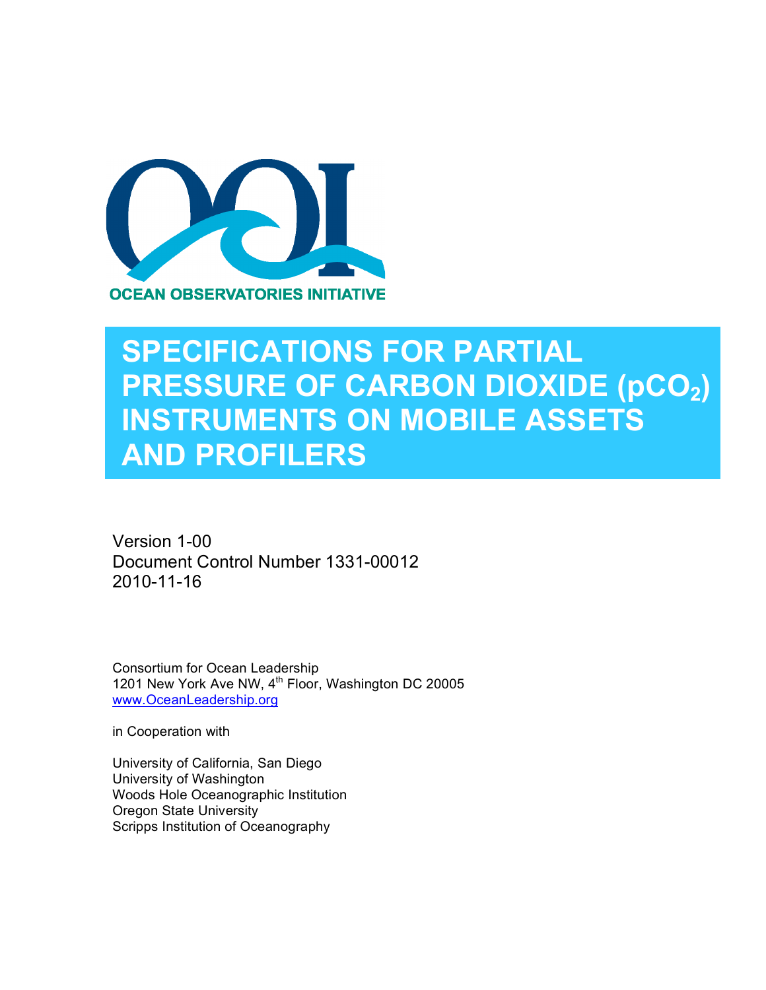

## **SPECIFICATIONS FOR PARTIAL PRESSURE OF CARBON DIOXIDE (pCO2) INSTRUMENTS ON MOBILE ASSETS AND PROFILERS**

Version 1-00 Document Control Number 1331-00012 2010-11-16

Consortium for Ocean Leadership 1201 New York Ave NW, 4<sup>th</sup> Floor, Washington DC 20005 www.OceanLeadership.org

in Cooperation with

University of California, San Diego University of Washington Woods Hole Oceanographic Institution Oregon State University Scripps Institution of Oceanography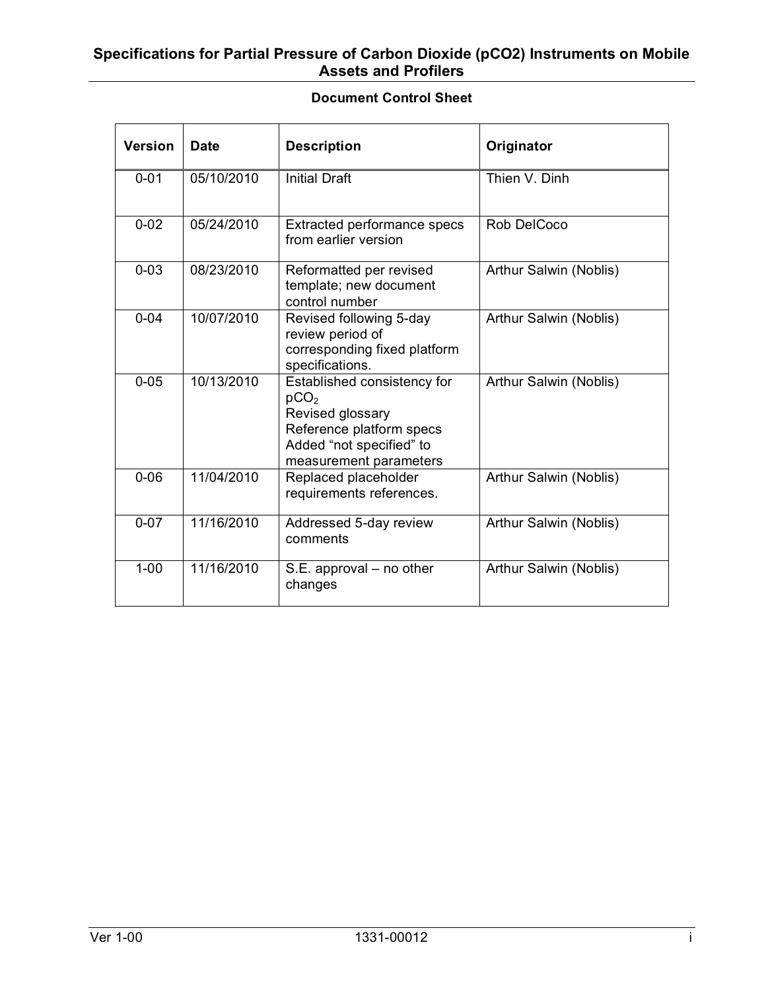## **Document Control Sheet**

| <b>Version</b> | <b>Date</b> | <b>Description</b>                                                                                                                                    | Originator             |
|----------------|-------------|-------------------------------------------------------------------------------------------------------------------------------------------------------|------------------------|
| $0 - 01$       | 05/10/2010  | <b>Initial Draft</b>                                                                                                                                  | Thien V. Dinh          |
| $0 - 02$       | 05/24/2010  | Extracted performance specs<br>from earlier version                                                                                                   | Rob DelCoco            |
| $0 - 03$       | 08/23/2010  | Reformatted per revised<br>template; new document<br>control number                                                                                   | Arthur Salwin (Noblis) |
| $0 - 04$       | 10/07/2010  | Revised following 5-day<br>review period of<br>corresponding fixed platform<br>specifications.                                                        | Arthur Salwin (Noblis) |
| $0 - 0.5$      | 10/13/2010  | Established consistency for<br>pCO <sub>2</sub><br>Revised glossary<br>Reference platform specs<br>Added "not specified" to<br>measurement parameters | Arthur Salwin (Noblis) |
| $0 - 06$       | 11/04/2010  | Replaced placeholder<br>requirements references.                                                                                                      | Arthur Salwin (Noblis) |
| $0 - 07$       | 11/16/2010  | Addressed 5-day review<br>comments                                                                                                                    | Arthur Salwin (Noblis) |
| $1 - 00$       | 11/16/2010  | S.E. approval – no other<br>changes                                                                                                                   | Arthur Salwin (Noblis) |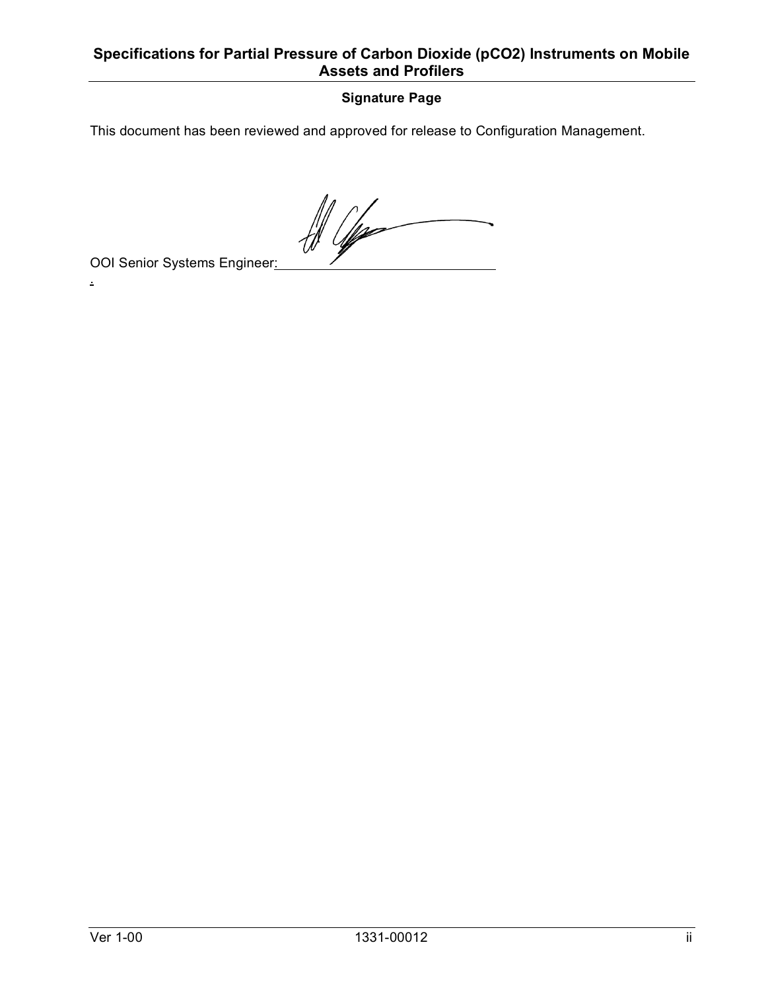## **Signature Page**

This document has been reviewed and approved for release to Configuration Management.

 $\frac{d}{d\theta}$ 

OOI Senior Systems Engineer:

.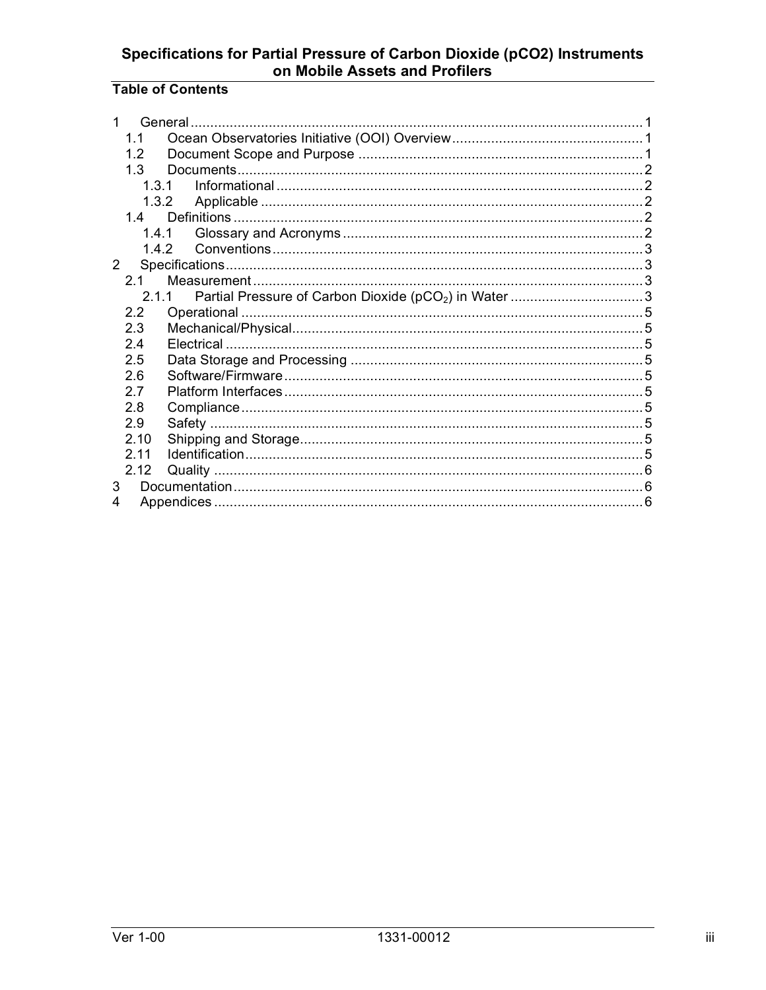## **Table of Contents**

|             | 1.1   |       |  |  |  |
|-------------|-------|-------|--|--|--|
|             | 12    |       |  |  |  |
|             | 1.3   |       |  |  |  |
|             | 1.31  |       |  |  |  |
|             | 1.3.2 |       |  |  |  |
|             | 14    |       |  |  |  |
|             |       |       |  |  |  |
|             |       | 1.4.2 |  |  |  |
| $2^{\circ}$ |       |       |  |  |  |
|             | 21    |       |  |  |  |
|             |       | 211   |  |  |  |
|             | 2.2   |       |  |  |  |
|             | 2.3   |       |  |  |  |
|             | 24    |       |  |  |  |
|             | 2.5   |       |  |  |  |
|             | 26    |       |  |  |  |
|             | 2.7   |       |  |  |  |
|             | 2.8   |       |  |  |  |
|             | 2.9   |       |  |  |  |
|             | 2.10  |       |  |  |  |
|             | 211   |       |  |  |  |
|             | 2.12  |       |  |  |  |
| 3           |       |       |  |  |  |
| 4           |       |       |  |  |  |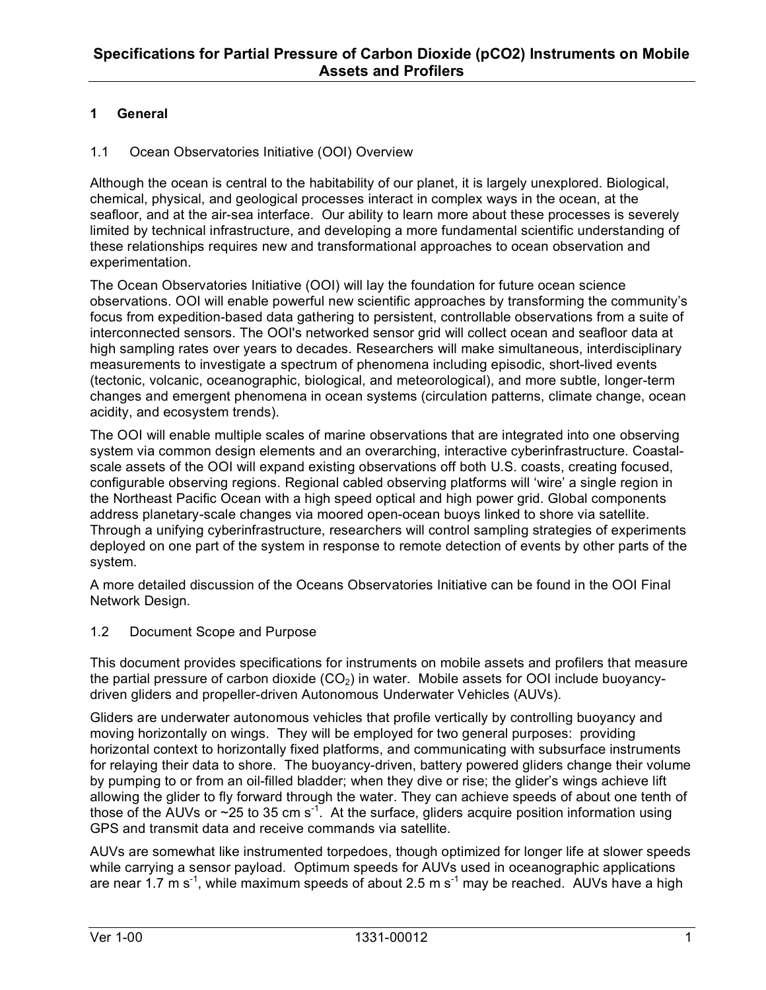## **1 General**

#### 1.1 Ocean Observatories Initiative (OOI) Overview

Although the ocean is central to the habitability of our planet, it is largely unexplored. Biological, chemical, physical, and geological processes interact in complex ways in the ocean, at the seafloor, and at the air-sea interface. Our ability to learn more about these processes is severely limited by technical infrastructure, and developing a more fundamental scientific understanding of these relationships requires new and transformational approaches to ocean observation and experimentation.

The Ocean Observatories Initiative (OOI) will lay the foundation for future ocean science observations. OOI will enable powerful new scientific approaches by transforming the community's focus from expedition-based data gathering to persistent, controllable observations from a suite of interconnected sensors. The OOI's networked sensor grid will collect ocean and seafloor data at high sampling rates over years to decades. Researchers will make simultaneous, interdisciplinary measurements to investigate a spectrum of phenomena including episodic, short-lived events (tectonic, volcanic, oceanographic, biological, and meteorological), and more subtle, longer-term changes and emergent phenomena in ocean systems (circulation patterns, climate change, ocean acidity, and ecosystem trends).

The OOI will enable multiple scales of marine observations that are integrated into one observing system via common design elements and an overarching, interactive cyberinfrastructure. Coastalscale assets of the OOI will expand existing observations off both U.S. coasts, creating focused, configurable observing regions. Regional cabled observing platforms will 'wire' a single region in the Northeast Pacific Ocean with a high speed optical and high power grid. Global components address planetary-scale changes via moored open-ocean buoys linked to shore via satellite. Through a unifying cyberinfrastructure, researchers will control sampling strategies of experiments deployed on one part of the system in response to remote detection of events by other parts of the system.

A more detailed discussion of the Oceans Observatories Initiative can be found in the OOI Final Network Design.

#### 1.2 Document Scope and Purpose

This document provides specifications for instruments on mobile assets and profilers that measure the partial pressure of carbon dioxide  $(CO<sub>2</sub>)$  in water. Mobile assets for OOI include buoyancydriven gliders and propeller-driven Autonomous Underwater Vehicles (AUVs).

Gliders are underwater autonomous vehicles that profile vertically by controlling buoyancy and moving horizontally on wings. They will be employed for two general purposes: providing horizontal context to horizontally fixed platforms, and communicating with subsurface instruments for relaying their data to shore. The buoyancy-driven, battery powered gliders change their volume by pumping to or from an oil-filled bladder; when they dive or rise; the glider's wings achieve lift allowing the glider to fly forward through the water. They can achieve speeds of about one tenth of those of the AUVs or  $\sim$  25 to 35 cm s<sup>-1</sup>. At the surface, gliders acquire position information using GPS and transmit data and receive commands via satellite.

AUVs are somewhat like instrumented torpedoes, though optimized for longer life at slower speeds while carrying a sensor payload. Optimum speeds for AUVs used in oceanographic applications are near 1.7 m s<sup>-1</sup>, while maximum speeds of about 2.5 m s<sup>-1</sup> may be reached. AUVs have a high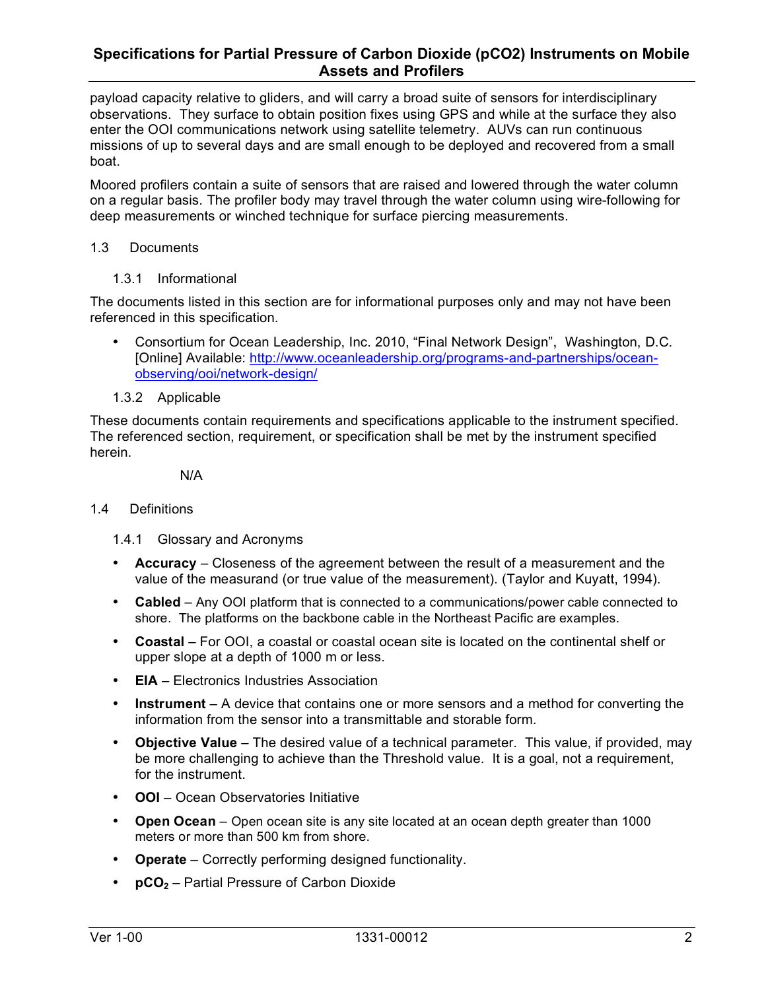payload capacity relative to gliders, and will carry a broad suite of sensors for interdisciplinary observations. They surface to obtain position fixes using GPS and while at the surface they also enter the OOI communications network using satellite telemetry. AUVs can run continuous missions of up to several days and are small enough to be deployed and recovered from a small boat.

Moored profilers contain a suite of sensors that are raised and lowered through the water column on a regular basis. The profiler body may travel through the water column using wire-following for deep measurements or winched technique for surface piercing measurements.

#### 1.3 Documents

1.3.1 Informational

The documents listed in this section are for informational purposes only and may not have been referenced in this specification.

- Consortium for Ocean Leadership, Inc. 2010, "Final Network Design", Washington, D.C. [Online] Available: http://www.oceanleadership.org/programs-and-partnerships/oceanobserving/ooi/network-design/
- 1.3.2 Applicable

These documents contain requirements and specifications applicable to the instrument specified. The referenced section, requirement, or specification shall be met by the instrument specified herein.

N/A

#### 1.4 Definitions

1.4.1 Glossary and Acronyms

- **Accuracy** Closeness of the agreement between the result of a measurement and the value of the measurand (or true value of the measurement). (Taylor and Kuyatt, 1994).
- **Cabled**  Any OOI platform that is connected to a communications/power cable connected to shore. The platforms on the backbone cable in the Northeast Pacific are examples.
- **Coastal**  For OOI, a coastal or coastal ocean site is located on the continental shelf or upper slope at a depth of 1000 m or less.
- **EIA** Electronics Industries Association
- **Instrument** A device that contains one or more sensors and a method for converting the information from the sensor into a transmittable and storable form.
- **Objective Value** The desired value of a technical parameter. This value, if provided, may be more challenging to achieve than the Threshold value. It is a goal, not a requirement, for the instrument.
- **OOI**  Ocean Observatories Initiative
- **Open Ocean**  Open ocean site is any site located at an ocean depth greater than 1000 meters or more than 500 km from shore.
- **Operate** Correctly performing designed functionality.
- **pCO<sub>2</sub>** Partial Pressure of Carbon Dioxide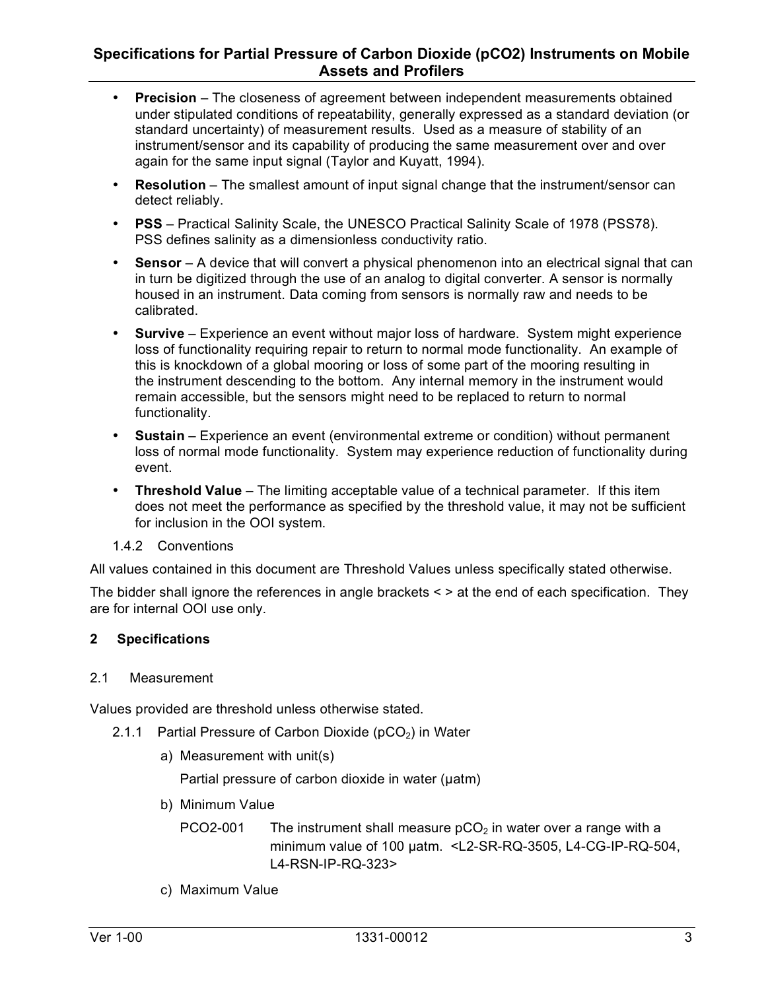- **Precision** The closeness of agreement between independent measurements obtained under stipulated conditions of repeatability, generally expressed as a standard deviation (or standard uncertainty) of measurement results. Used as a measure of stability of an instrument/sensor and its capability of producing the same measurement over and over again for the same input signal (Taylor and Kuyatt, 1994).
- **Resolution** The smallest amount of input signal change that the instrument/sensor can detect reliably.
- **PSS** Practical Salinity Scale, the UNESCO Practical Salinity Scale of 1978 (PSS78). PSS defines salinity as a dimensionless conductivity ratio.
- **Sensor** A device that will convert a physical phenomenon into an electrical signal that can in turn be digitized through the use of an analog to digital converter. A sensor is normally housed in an instrument. Data coming from sensors is normally raw and needs to be calibrated.
- **Survive** Experience an event without major loss of hardware. System might experience loss of functionality requiring repair to return to normal mode functionality. An example of this is knockdown of a global mooring or loss of some part of the mooring resulting in the instrument descending to the bottom. Any internal memory in the instrument would remain accessible, but the sensors might need to be replaced to return to normal functionality.
- **Sustain** Experience an event (environmental extreme or condition) without permanent loss of normal mode functionality. System may experience reduction of functionality during event.
- **Threshold Value** The limiting acceptable value of a technical parameter. If this item does not meet the performance as specified by the threshold value, it may not be sufficient for inclusion in the OOI system.
- 1.4.2 Conventions

All values contained in this document are Threshold Values unless specifically stated otherwise.

The bidder shall ignore the references in angle brackets < > at the end of each specification. They are for internal OOI use only.

#### **2 Specifications**

#### 2.1 Measurement

Values provided are threshold unless otherwise stated.

- 2.1.1 Partial Pressure of Carbon Dioxide ( $pCO<sub>2</sub>$ ) in Water
	- a) Measurement with unit(s)

Partial pressure of carbon dioxide in water (uatm)

- b) Minimum Value
	- PCO2-001 The instrument shall measure  $pCO<sub>2</sub>$  in water over a range with a minimum value of 100 µatm. <L2-SR-RQ-3505, L4-CG-IP-RQ-504, L4-RSN-IP-RQ-323>
- c) Maximum Value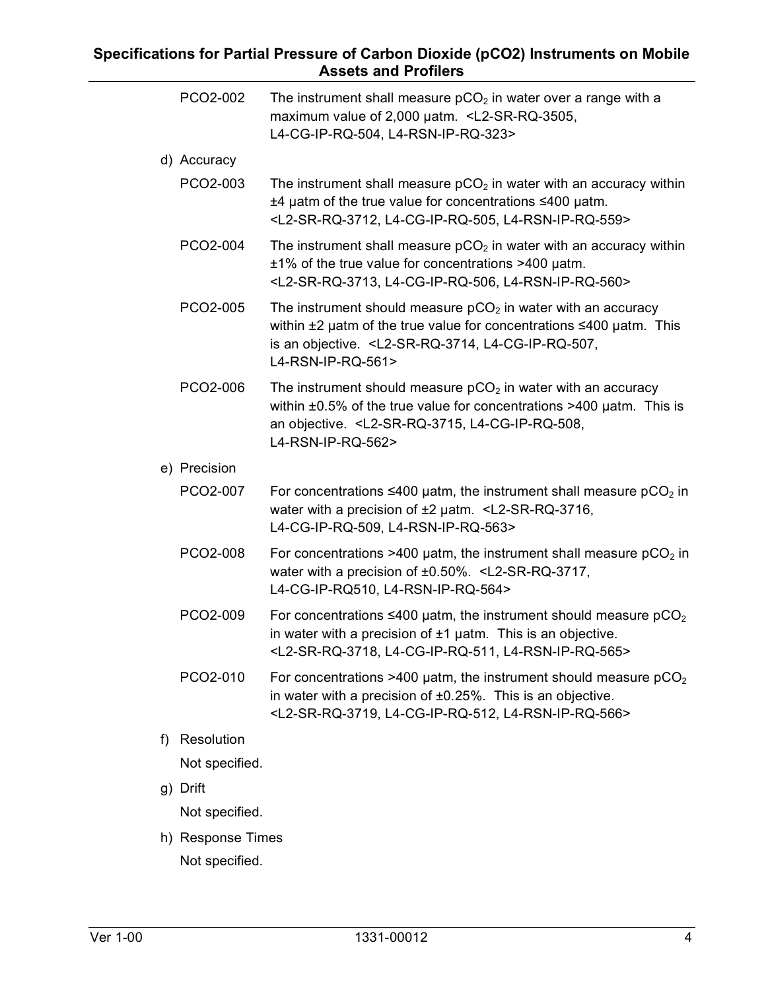|    | PCO2-002       | The instrument shall measure $pCO2$ in water over a range with a<br>maximum value of 2,000 uatm. <l2-sr-rq-3505,<br>L4-CG-IP-RQ-504, L4-RSN-IP-RQ-323&gt;</l2-sr-rq-3505,<br>                                                                     |
|----|----------------|---------------------------------------------------------------------------------------------------------------------------------------------------------------------------------------------------------------------------------------------------|
|    | d) Accuracy    |                                                                                                                                                                                                                                                   |
|    | PCO2-003       | The instrument shall measure $pCO2$ in water with an accuracy within<br>$±4$ µatm of the true value for concentrations $≤400$ µatm.<br><l2-sr-rq-3712, l4-cg-ip-rq-505,="" l4-rsn-ip-rq-559=""></l2-sr-rq-3712,>                                  |
|    | PCO2-004       | The instrument shall measure $pCO2$ in water with an accuracy within<br>$±1\%$ of the true value for concentrations >400 $\mu$ atm.<br><l2-sr-rq-3713, l4-cg-ip-rq-506,="" l4-rsn-ip-rq-560=""></l2-sr-rq-3713,>                                  |
|    | PCO2-005       | The instrument should measure $pCO2$ in water with an accuracy<br>within $\pm 2$ µatm of the true value for concentrations $\leq 400$ µatm. This<br>is an objective. <l2-sr-rq-3714, l4-cg-ip-rq-507,<br="">L4-RSN-IP-RQ-561&gt;</l2-sr-rq-3714,> |
|    | PCO2-006       | The instrument should measure $pCO2$ in water with an accuracy<br>within $\pm 0.5\%$ of the true value for concentrations >400 $\mu$ atm. This is<br>an objective. <l2-sr-rq-3715, l4-cg-ip-rq-508,<br="">L4-RSN-IP-RQ-562&gt;</l2-sr-rq-3715,>   |
|    | e) Precision   |                                                                                                                                                                                                                                                   |
|    | PCO2-007       | For concentrations $\leq 400$ µatm, the instrument shall measure pCO <sub>2</sub> in<br>water with a precision of $\pm 2$ µatm. <l2-sr-rq-3716,<br>L4-CG-IP-RQ-509, L4-RSN-IP-RQ-563&gt;</l2-sr-rq-3716,<br>                                      |
|    | PCO2-008       | For concentrations >400 $\mu$ atm, the instrument shall measure $pCO2$ in<br>water with a precision of ±0.50%. <l2-sr-rq-3717,<br>L4-CG-IP-RQ510, L4-RSN-IP-RQ-564&gt;</l2-sr-rq-3717,<br>                                                        |
|    | PCO2-009       | For concentrations $\leq 400$ µatm, the instrument should measure pCO <sub>2</sub><br>in water with a precision of $±1$ µatm. This is an objective.<br><l2-sr-rq-3718, l4-cg-ip-rq-511,="" l4-rsn-ip-rq-565=""></l2-sr-rq-3718,>                  |
|    | PCO2-010       | For concentrations >400 $\mu$ atm, the instrument should measure $pCO2$<br>in water with a precision of $\pm 0.25\%$ . This is an objective.<br><l2-sr-rq-3719, l4-cg-ip-rq-512,="" l4-rsn-ip-rq-566=""></l2-sr-rq-3719,>                         |
| f) | Resolution     |                                                                                                                                                                                                                                                   |
|    | Not specified. |                                                                                                                                                                                                                                                   |
| g) | Drift          |                                                                                                                                                                                                                                                   |
|    | Not specified. |                                                                                                                                                                                                                                                   |

h) Response Times Not specified.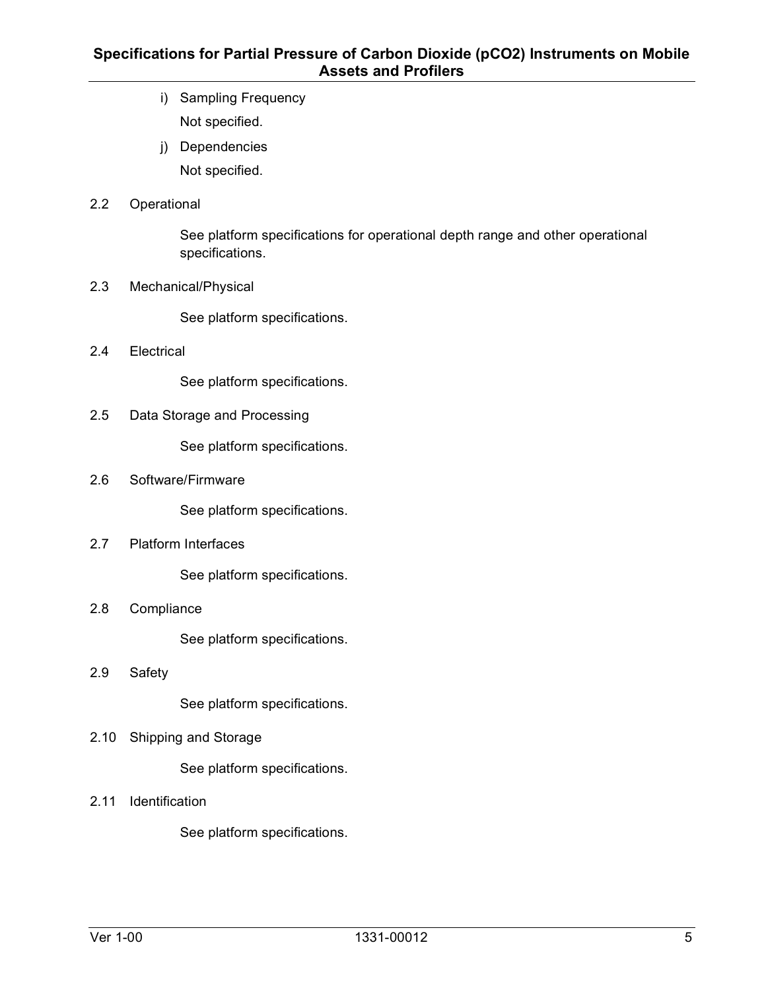- i) Sampling Frequency Not specified.
- j) Dependencies Not specified.

#### 2.2 Operational

See platform specifications for operational depth range and other operational specifications.

2.3 Mechanical/Physical

See platform specifications.

2.4 Electrical

See platform specifications.

2.5 Data Storage and Processing

See platform specifications.

2.6 Software/Firmware

See platform specifications.

2.7 Platform Interfaces

See platform specifications.

2.8 Compliance

See platform specifications.

2.9 Safety

See platform specifications.

2.10 Shipping and Storage

See platform specifications.

2.11 Identification

See platform specifications.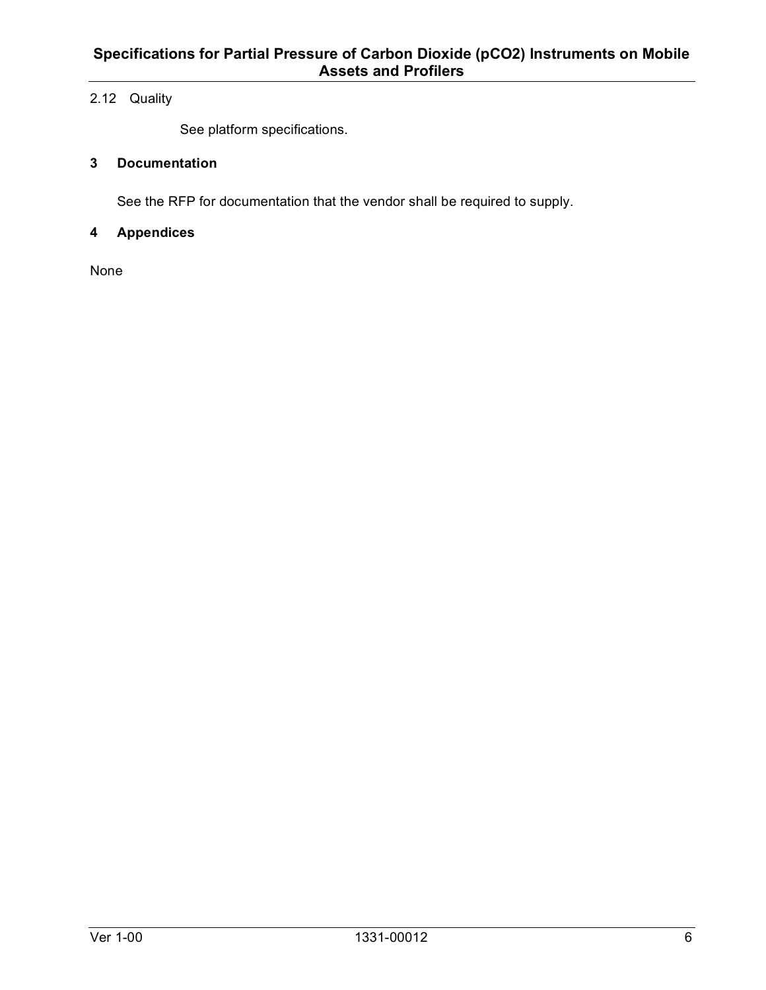## 2.12 Quality

See platform specifications.

## **3 Documentation**

See the RFP for documentation that the vendor shall be required to supply.

#### **4 Appendices**

None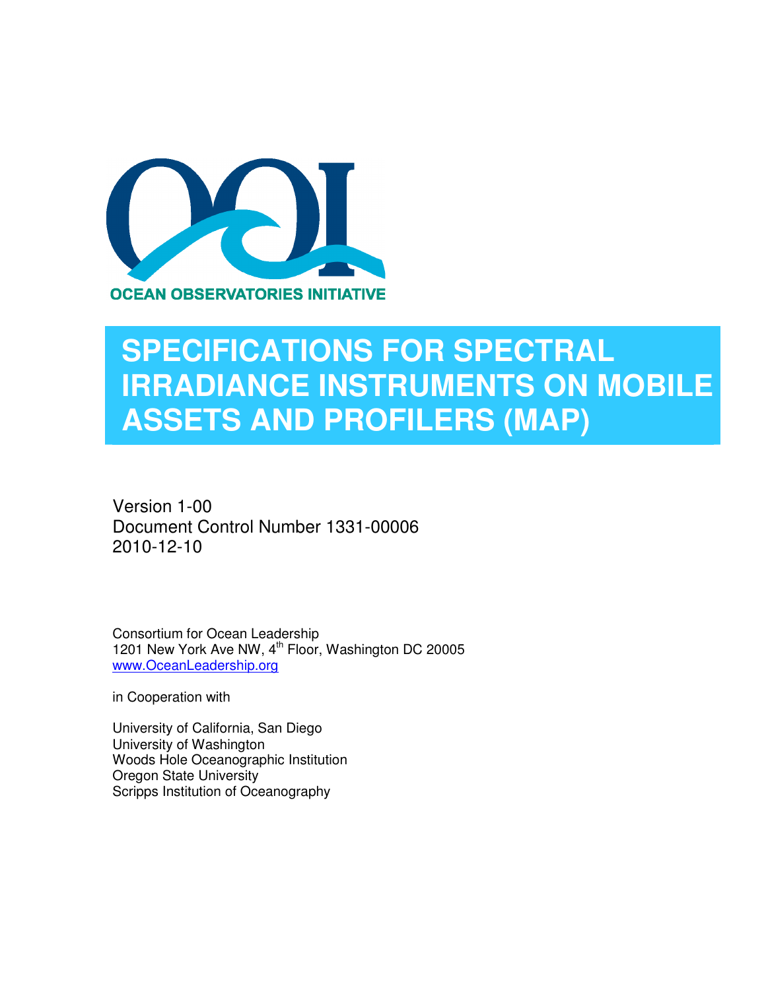

## **SPECIFICATIONS FOR SPECTRAL IRRADIANCE INSTRUMENTS ON MOBILE ASSETS AND PROFILERS (MAP)**

Version 1-00 Document Control Number 1331-00006 2010-12-10

Consortium for Ocean Leadership 1201 New York Ave NW, 4<sup>th</sup> Floor, Washington DC 20005 www.OceanLeadership.org

in Cooperation with

University of California, San Diego University of Washington Woods Hole Oceanographic Institution Oregon State University Scripps Institution of Oceanography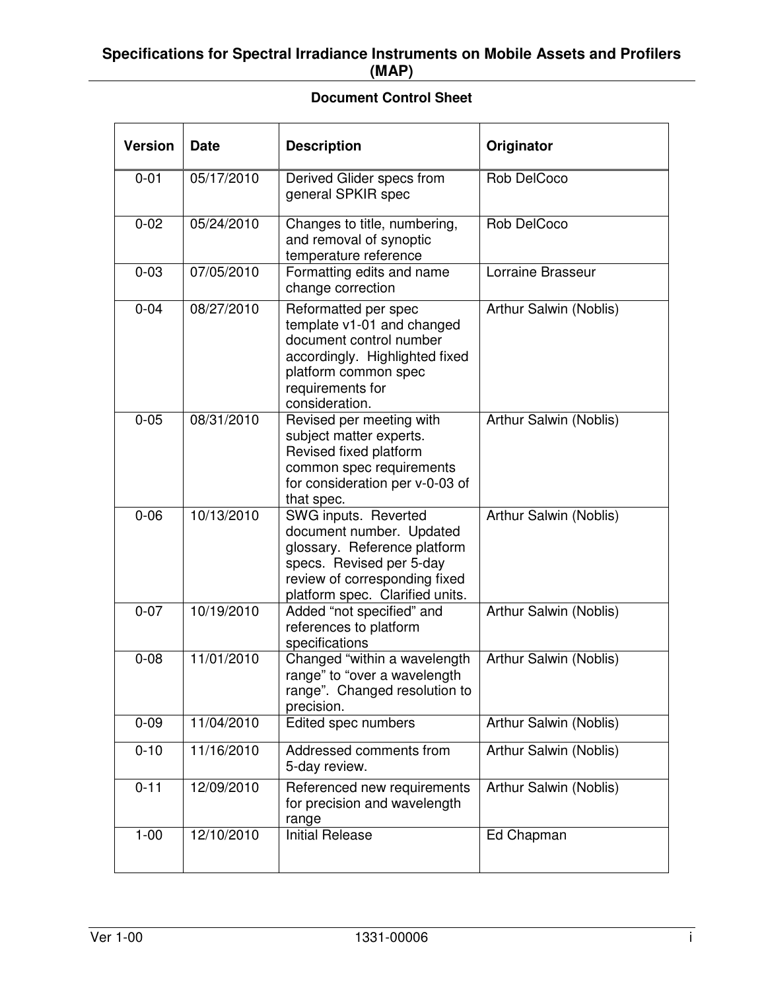### **Specifications for Spectral Irradiance Instruments on Mobile Assets and Profilers (MAP)**

## **Document Control Sheet**

| <b>Version</b> | <b>Date</b> | <b>Description</b>                                                                                                                                                               | Originator             |
|----------------|-------------|----------------------------------------------------------------------------------------------------------------------------------------------------------------------------------|------------------------|
| $0 - 01$       | 05/17/2010  | Derived Glider specs from<br>general SPKIR spec                                                                                                                                  | Rob DelCoco            |
| $0 - 02$       | 05/24/2010  | Changes to title, numbering,<br>and removal of synoptic<br>temperature reference                                                                                                 | Rob DelCoco            |
| $0 - 03$       | 07/05/2010  | Formatting edits and name<br>change correction                                                                                                                                   | Lorraine Brasseur      |
| $0 - 04$       | 08/27/2010  | Reformatted per spec<br>template v1-01 and changed<br>document control number<br>accordingly. Highlighted fixed<br>platform common spec<br>requirements for<br>consideration.    | Arthur Salwin (Noblis) |
| $0 - 05$       | 08/31/2010  | Revised per meeting with<br>subject matter experts.<br>Revised fixed platform<br>common spec requirements<br>for consideration per v-0-03 of<br>that spec.                       | Arthur Salwin (Noblis) |
| $0 - 06$       | 10/13/2010  | SWG inputs. Reverted<br>document number. Updated<br>glossary. Reference platform<br>specs. Revised per 5-day<br>review of corresponding fixed<br>platform spec. Clarified units. | Arthur Salwin (Noblis) |
| $0 - 07$       | 10/19/2010  | Added "not specified" and<br>references to platform<br>specifications                                                                                                            | Arthur Salwin (Noblis) |
| $0 - 08$       | 11/01/2010  | Changed "within a wavelength<br>range" to "over a wavelength<br>range". Changed resolution to<br>precision.                                                                      | Arthur Salwin (Noblis) |
| $0 - 09$       | 11/04/2010  | Edited spec numbers                                                                                                                                                              | Arthur Salwin (Noblis) |
| $0 - 10$       | 11/16/2010  | Addressed comments from<br>5-day review.                                                                                                                                         | Arthur Salwin (Noblis) |
| $0 - 11$       | 12/09/2010  | Referenced new requirements<br>for precision and wavelength<br>range                                                                                                             | Arthur Salwin (Noblis) |
| $1 - 00$       | 12/10/2010  | <b>Initial Release</b>                                                                                                                                                           | Ed Chapman             |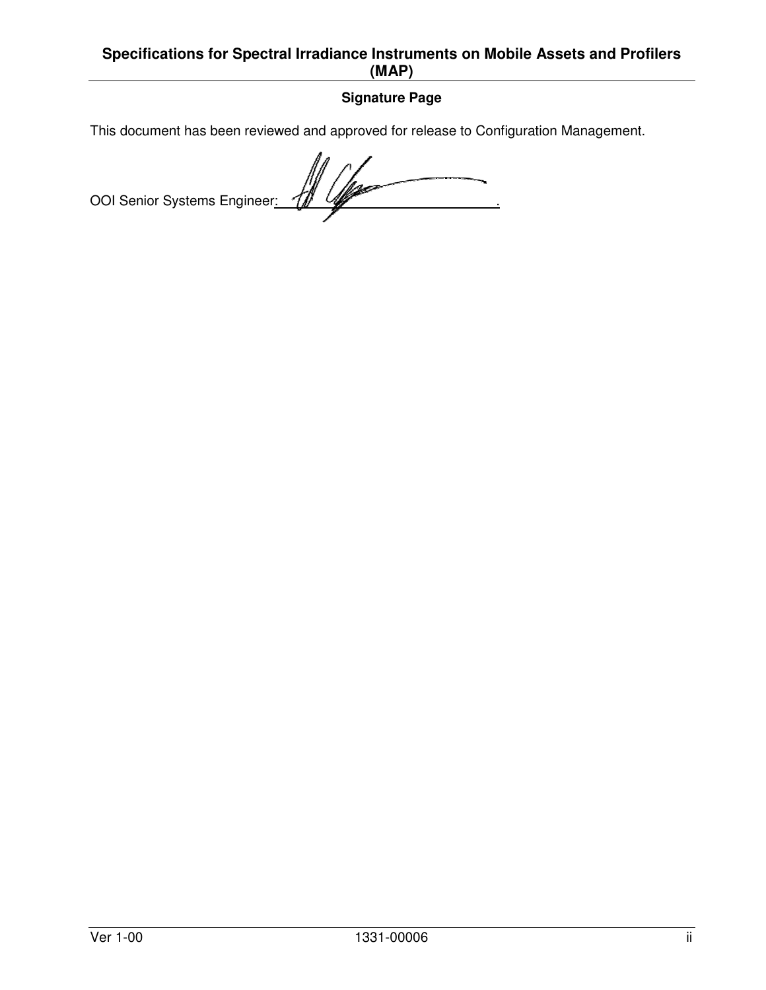## **Specifications for Spectral Irradiance Instruments on Mobile Assets and Profilers (MAP)**

## **Signature Page**

This document has been reviewed and approved for release to Configuration Management.

OOI Senior Systems Engineer: 4 4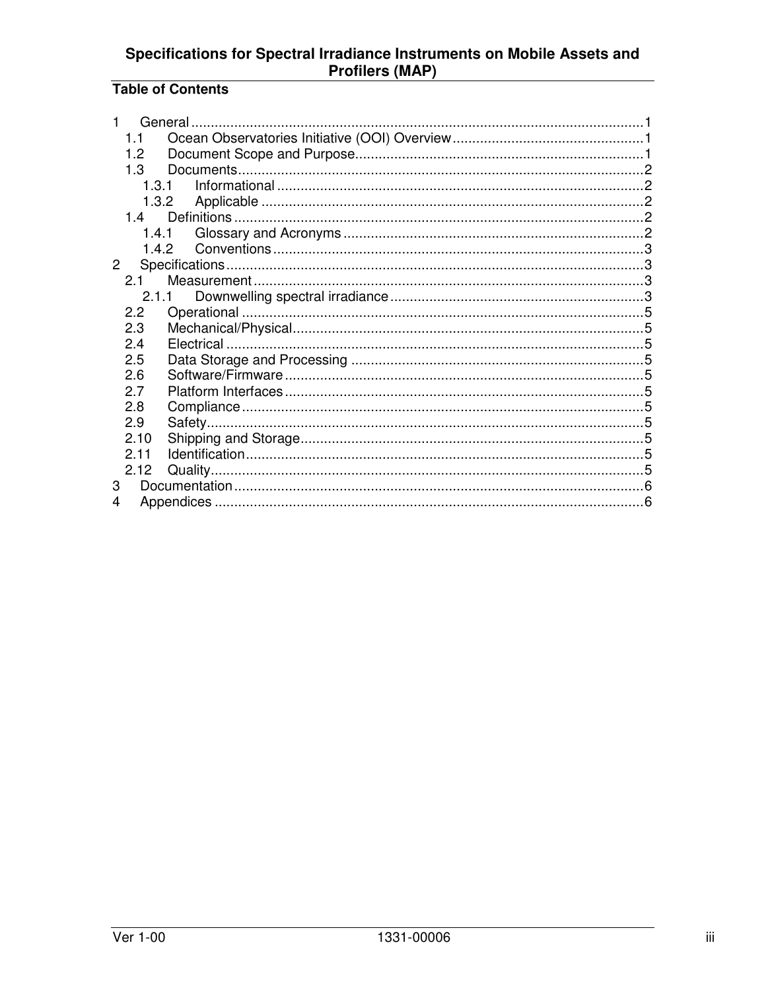## Specifications for Spectral Irradiance Instruments on Mobile Assets and<br>Profilers (MAP)

## **Table of Contents**

| 1.1          |       |  |
|--------------|-------|--|
| 1.2          |       |  |
| 1.3          |       |  |
| 1.3.1        |       |  |
|              | 1.3.2 |  |
| 14           |       |  |
|              |       |  |
|              |       |  |
| $\mathbf{2}$ |       |  |
| 2.1          |       |  |
|              | 2.1.1 |  |
| 2.2          |       |  |
| 2.3          |       |  |
| 2.4          |       |  |
| 2.5          |       |  |
| 2.6          |       |  |
| 2.7          |       |  |
| 2.8          |       |  |
| 2.9          |       |  |
| 2.10         |       |  |
| 2.11         |       |  |
| 2.12         |       |  |
| 3            |       |  |
| 4            |       |  |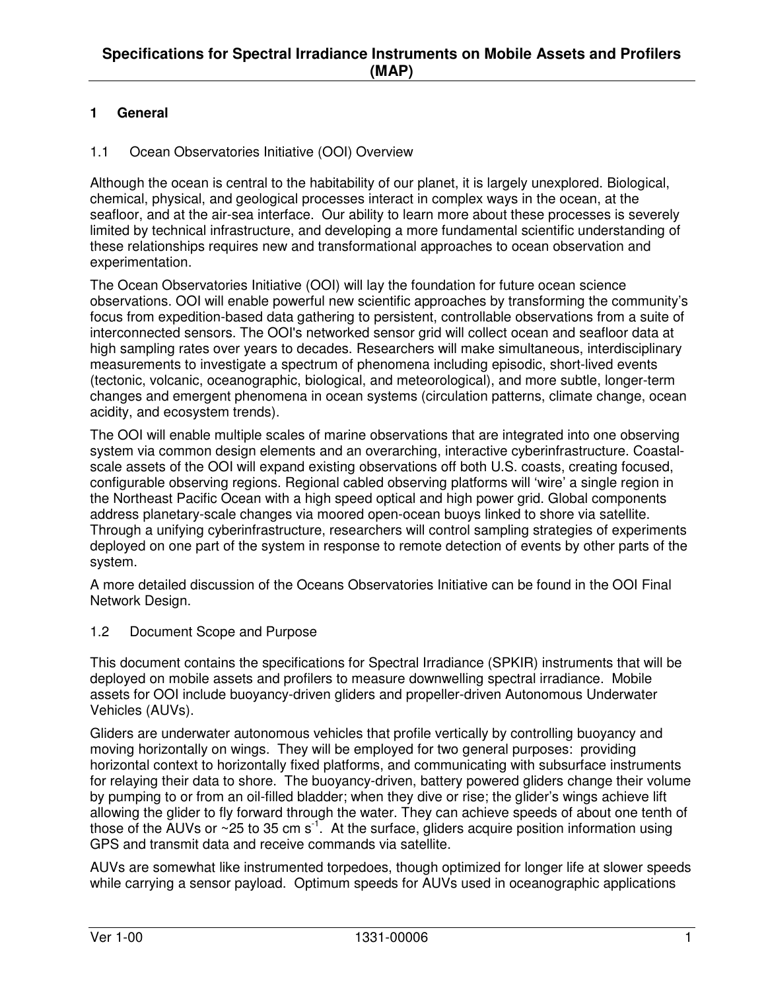### **1 General**

#### 1.1 Ocean Observatories Initiative (OOI) Overview

Although the ocean is central to the habitability of our planet, it is largely unexplored. Biological, chemical, physical, and geological processes interact in complex ways in the ocean, at the seafloor, and at the air-sea interface. Our ability to learn more about these processes is severely limited by technical infrastructure, and developing a more fundamental scientific understanding of these relationships requires new and transformational approaches to ocean observation and experimentation.

The Ocean Observatories Initiative (OOI) will lay the foundation for future ocean science observations. OOI will enable powerful new scientific approaches by transforming the community's focus from expedition-based data gathering to persistent, controllable observations from a suite of interconnected sensors. The OOI's networked sensor grid will collect ocean and seafloor data at high sampling rates over years to decades. Researchers will make simultaneous, interdisciplinary measurements to investigate a spectrum of phenomena including episodic, short-lived events (tectonic, volcanic, oceanographic, biological, and meteorological), and more subtle, longer-term changes and emergent phenomena in ocean systems (circulation patterns, climate change, ocean acidity, and ecosystem trends).

The OOI will enable multiple scales of marine observations that are integrated into one observing system via common design elements and an overarching, interactive cyberinfrastructure. Coastalscale assets of the OOI will expand existing observations off both U.S. coasts, creating focused, configurable observing regions. Regional cabled observing platforms will 'wire' a single region in the Northeast Pacific Ocean with a high speed optical and high power grid. Global components address planetary-scale changes via moored open-ocean buoys linked to shore via satellite. Through a unifying cyberinfrastructure, researchers will control sampling strategies of experiments deployed on one part of the system in response to remote detection of events by other parts of the system.

A more detailed discussion of the Oceans Observatories Initiative can be found in the OOI Final Network Design.

1.2 Document Scope and Purpose

This document contains the specifications for Spectral Irradiance (SPKIR) instruments that will be deployed on mobile assets and profilers to measure downwelling spectral irradiance. Mobile assets for OOI include buoyancy-driven gliders and propeller-driven Autonomous Underwater Vehicles (AUVs).

Gliders are underwater autonomous vehicles that profile vertically by controlling buoyancy and moving horizontally on wings. They will be employed for two general purposes: providing horizontal context to horizontally fixed platforms, and communicating with subsurface instruments for relaying their data to shore. The buoyancy-driven, battery powered gliders change their volume by pumping to or from an oil-filled bladder; when they dive or rise; the glider's wings achieve lift allowing the glider to fly forward through the water. They can achieve speeds of about one tenth of those of the  $\text{AUVs}$  or ~25 to 35 cm s<sup>-1</sup>. At the surface, gliders acquire position information using GPS and transmit data and receive commands via satellite.

AUVs are somewhat like instrumented torpedoes, though optimized for longer life at slower speeds while carrying a sensor payload. Optimum speeds for AUVs used in oceanographic applications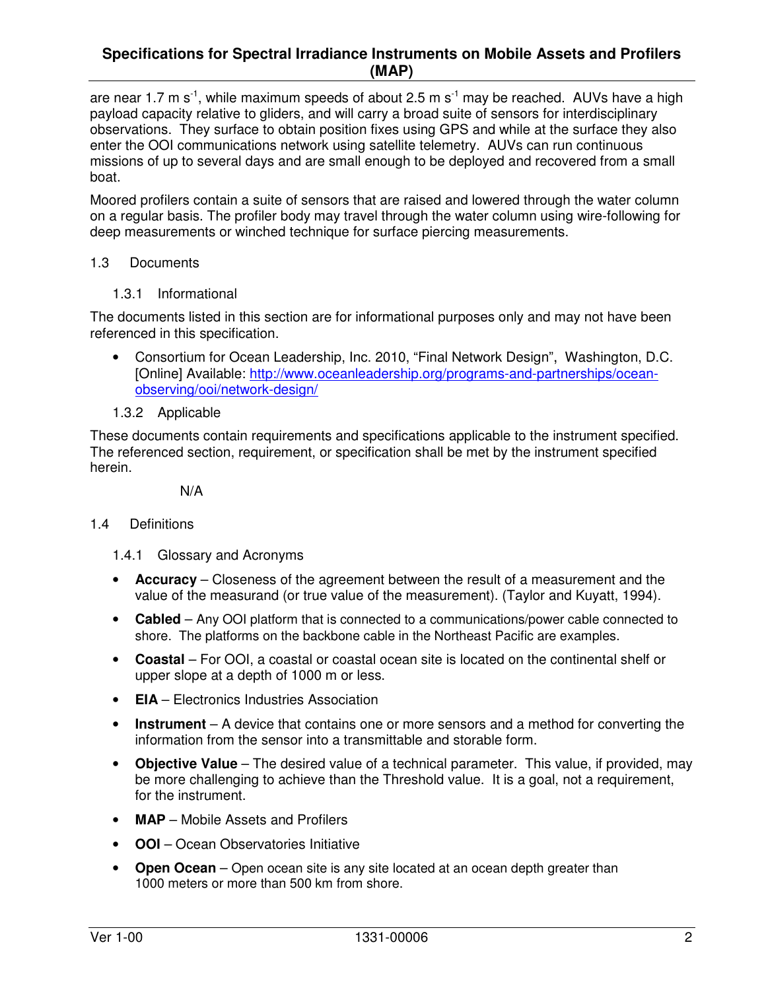#### **Specifications for Spectral Irradiance Instruments on Mobile Assets and Profilers (MAP)**

are near 1.7 m s<sup>-1</sup>, while maximum speeds of about 2.5 m s<sup>-1</sup> may be reached. AUVs have a high payload capacity relative to gliders, and will carry a broad suite of sensors for interdisciplinary observations. They surface to obtain position fixes using GPS and while at the surface they also enter the OOI communications network using satellite telemetry. AUVs can run continuous missions of up to several days and are small enough to be deployed and recovered from a small boat.

Moored profilers contain a suite of sensors that are raised and lowered through the water column on a regular basis. The profiler body may travel through the water column using wire-following for deep measurements or winched technique for surface piercing measurements.

#### 1.3 Documents

1.3.1 Informational

The documents listed in this section are for informational purposes only and may not have been referenced in this specification.

- Consortium for Ocean Leadership, Inc. 2010, "Final Network Design", Washington, D.C. [Online] Available: http://www.oceanleadership.org/programs-and-partnerships/oceanobserving/ooi/network-design/
- 1.3.2 Applicable

These documents contain requirements and specifications applicable to the instrument specified. The referenced section, requirement, or specification shall be met by the instrument specified herein.

N/A

#### 1.4 Definitions

- 1.4.1 Glossary and Acronyms
- **Accuracy** Closeness of the agreement between the result of a measurement and the value of the measurand (or true value of the measurement). (Taylor and Kuyatt, 1994).
- **Cabled**  Any OOI platform that is connected to a communications/power cable connected to shore. The platforms on the backbone cable in the Northeast Pacific are examples.
- **Coastal**  For OOI, a coastal or coastal ocean site is located on the continental shelf or upper slope at a depth of 1000 m or less.
- **EIA** Electronics Industries Association
- **Instrument** A device that contains one or more sensors and a method for converting the information from the sensor into a transmittable and storable form.
- **Objective Value** The desired value of a technical parameter. This value, if provided, may be more challenging to achieve than the Threshold value. It is a goal, not a requirement, for the instrument.
- **MAP**  Mobile Assets and Profilers
- **OOI**  Ocean Observatories Initiative
- **Open Ocean**  Open ocean site is any site located at an ocean depth greater than 1000 meters or more than 500 km from shore.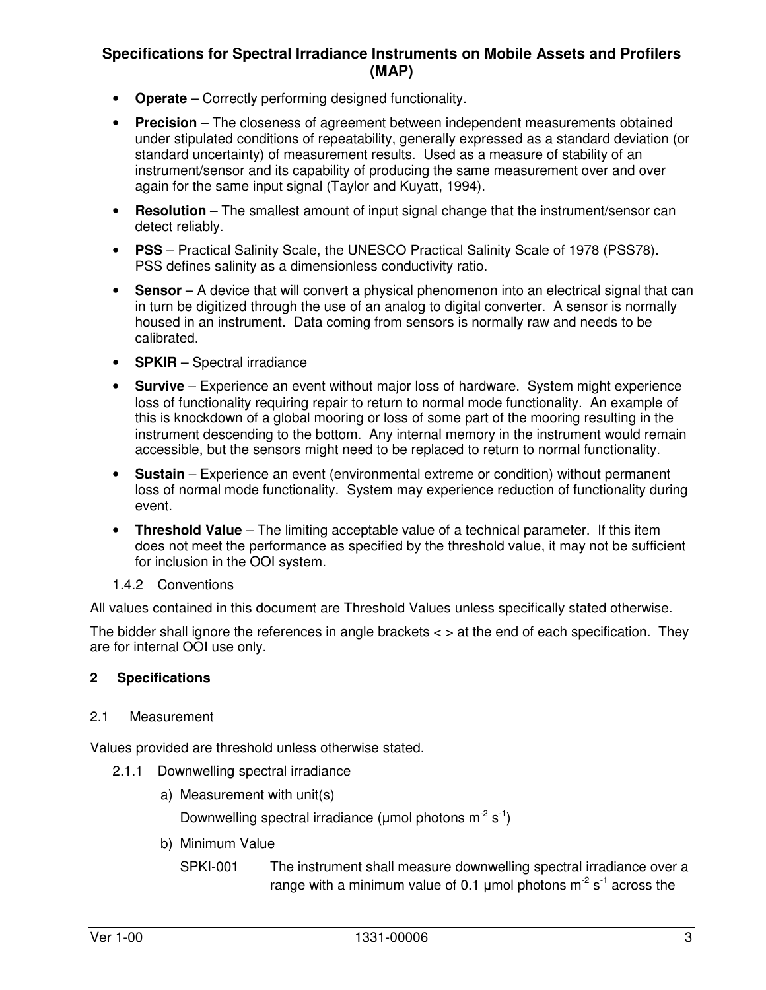#### **Specifications for Spectral Irradiance Instruments on Mobile Assets and Profilers (MAP)**

- **Operate** Correctly performing designed functionality.
- **Precision** The closeness of agreement between independent measurements obtained under stipulated conditions of repeatability, generally expressed as a standard deviation (or standard uncertainty) of measurement results. Used as a measure of stability of an instrument/sensor and its capability of producing the same measurement over and over again for the same input signal (Taylor and Kuyatt, 1994).
- **Resolution** The smallest amount of input signal change that the instrument/sensor can detect reliably.
- **PSS** Practical Salinity Scale, the UNESCO Practical Salinity Scale of 1978 (PSS78). PSS defines salinity as a dimensionless conductivity ratio.
- **Sensor** A device that will convert a physical phenomenon into an electrical signal that can in turn be digitized through the use of an analog to digital converter. A sensor is normally housed in an instrument. Data coming from sensors is normally raw and needs to be calibrated.
- **SPKIR** Spectral irradiance
- **Survive** Experience an event without major loss of hardware. System might experience loss of functionality requiring repair to return to normal mode functionality. An example of this is knockdown of a global mooring or loss of some part of the mooring resulting in the instrument descending to the bottom. Any internal memory in the instrument would remain accessible, but the sensors might need to be replaced to return to normal functionality.
- **Sustain** Experience an event (environmental extreme or condition) without permanent loss of normal mode functionality. System may experience reduction of functionality during event.
- **Threshold Value** The limiting acceptable value of a technical parameter. If this item does not meet the performance as specified by the threshold value, it may not be sufficient for inclusion in the OOI system.
- 1.4.2 Conventions

All values contained in this document are Threshold Values unless specifically stated otherwise.

The bidder shall ignore the references in angle brackets < > at the end of each specification. They are for internal OOI use only.

#### **2 Specifications**

2.1 Measurement

Values provided are threshold unless otherwise stated.

- 2.1.1 Downwelling spectral irradiance
	- a) Measurement with unit(s)

Downwelling spectral irradiance ( $\mu$ mol photons m<sup>-2</sup> s<sup>-1</sup>)

b) Minimum Value

SPKI-001 The instrument shall measure downwelling spectral irradiance over a range with a minimum value of 0.1 umol photons  $m^2 s^1$  across the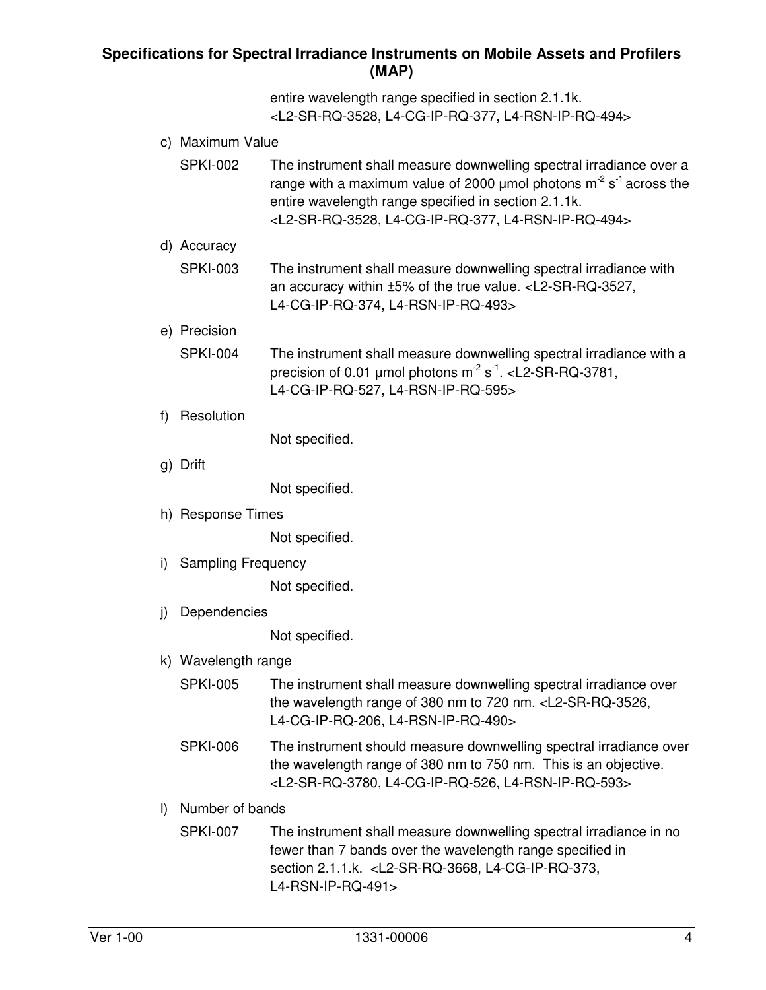| entire wavelength range specified in section 2.1.1k.                      |
|---------------------------------------------------------------------------|
| <l2-sr-rq-3528, l4-cg-ip-rq-377,="" l4-rsn-ip-rq-494=""></l2-sr-rq-3528,> |

- c) Maximum Value
	- SPKI-002 The instrument shall measure downwelling spectral irradiance over a range with a maximum value of 2000 µmol photons  $m<sup>2</sup> s<sup>-1</sup>$  across the entire wavelength range specified in section 2.1.1k. <L2-SR-RQ-3528, L4-CG-IP-RQ-377, L4-RSN-IP-RQ-494>
- d) Accuracy
	- SPKI-003 The instrument shall measure downwelling spectral irradiance with an accuracy within ±5% of the true value. <L2-SR-RQ-3527, L4-CG-IP-RQ-374, L4-RSN-IP-RQ-493>
- e) Precision
	- SPKI-004 The instrument shall measure downwelling spectral irradiance with a precision of 0.01 µmol photons  $m^2 s^{-1}$ . <L2-SR-RQ-3781, L4-CG-IP-RQ-527, L4-RSN-IP-RQ-595>
- f) Resolution

Not specified.

g) Drift

Not specified.

h) Response Times

Not specified.

i) Sampling Frequency

Not specified.

j) Dependencies

Not specified.

#### k) Wavelength range

- SPKI-005 The instrument shall measure downwelling spectral irradiance over the wavelength range of 380 nm to 720 nm. <L2-SR-RQ-3526, L4-CG-IP-RQ-206, L4-RSN-IP-RQ-490>
- SPKI-006 The instrument should measure downwelling spectral irradiance over the wavelength range of 380 nm to 750 nm. This is an objective. <L2-SR-RQ-3780, L4-CG-IP-RQ-526, L4-RSN-IP-RQ-593>
- l) Number of bands
	- SPKI-007 The instrument shall measure downwelling spectral irradiance in no fewer than 7 bands over the wavelength range specified in section 2.1.1.k. <L2-SR-RQ-3668, L4-CG-IP-RQ-373, L4-RSN-IP-RQ-491>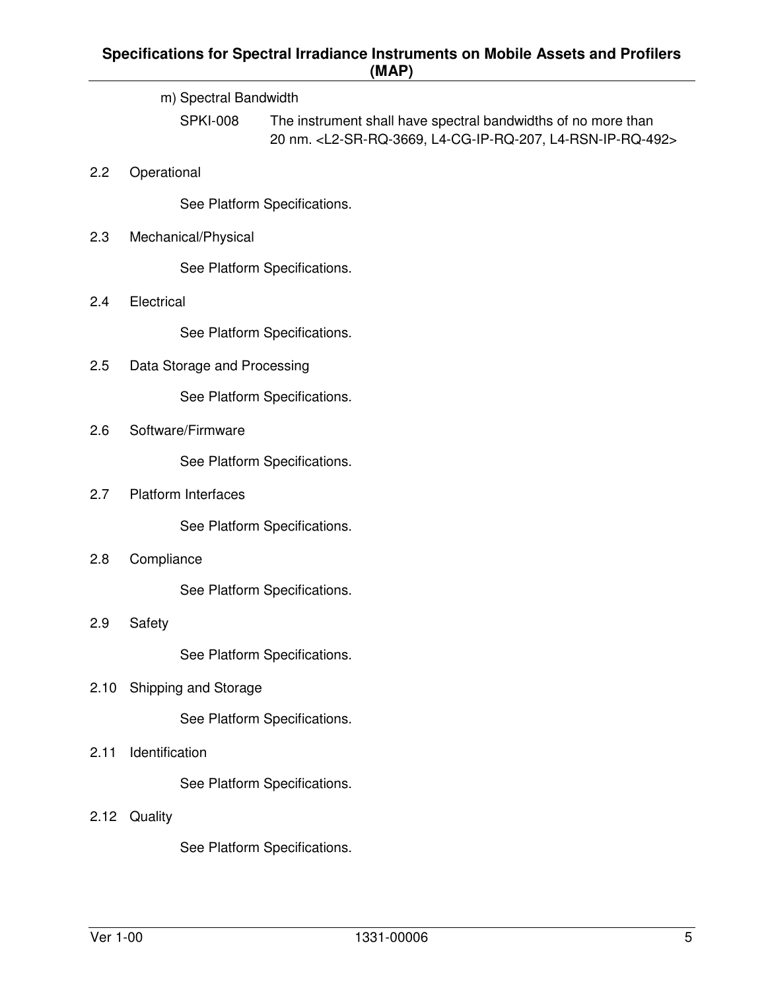## **Specifications for Spectral Irradiance Instruments on Mobile Assets and Profilers (MAP)**

|      |                             | (                                                                                                                                                 |  |  |  |
|------|-----------------------------|---------------------------------------------------------------------------------------------------------------------------------------------------|--|--|--|
|      | m) Spectral Bandwidth       |                                                                                                                                                   |  |  |  |
|      | <b>SPKI-008</b>             | The instrument shall have spectral bandwidths of no more than<br>20 nm. <l2-sr-rq-3669, l4-cg-ip-rq-207,="" l4-rsn-ip-rq-492=""></l2-sr-rq-3669,> |  |  |  |
| 2.2  | Operational                 |                                                                                                                                                   |  |  |  |
|      |                             | See Platform Specifications.                                                                                                                      |  |  |  |
| 2.3  | Mechanical/Physical         |                                                                                                                                                   |  |  |  |
|      |                             | See Platform Specifications.                                                                                                                      |  |  |  |
| 2.4  | Electrical                  |                                                                                                                                                   |  |  |  |
|      |                             | See Platform Specifications.                                                                                                                      |  |  |  |
| 2.5  | Data Storage and Processing |                                                                                                                                                   |  |  |  |
|      |                             | See Platform Specifications.                                                                                                                      |  |  |  |
| 2.6  | Software/Firmware           |                                                                                                                                                   |  |  |  |
|      |                             | See Platform Specifications.                                                                                                                      |  |  |  |
| 2.7  | Platform Interfaces         |                                                                                                                                                   |  |  |  |
|      |                             | See Platform Specifications.                                                                                                                      |  |  |  |
| 2.8  | Compliance                  |                                                                                                                                                   |  |  |  |
|      |                             | See Platform Specifications.                                                                                                                      |  |  |  |
| 2.9  | Safety                      |                                                                                                                                                   |  |  |  |
|      |                             | See Platform Specifications.                                                                                                                      |  |  |  |
| 2.10 | Shipping and Storage        |                                                                                                                                                   |  |  |  |
|      |                             | See Platform Specifications.                                                                                                                      |  |  |  |
| 2.11 | Identification              |                                                                                                                                                   |  |  |  |
|      |                             | See Platform Specifications.                                                                                                                      |  |  |  |
| 2.12 | Quality                     |                                                                                                                                                   |  |  |  |
|      |                             |                                                                                                                                                   |  |  |  |

See Platform Specifications.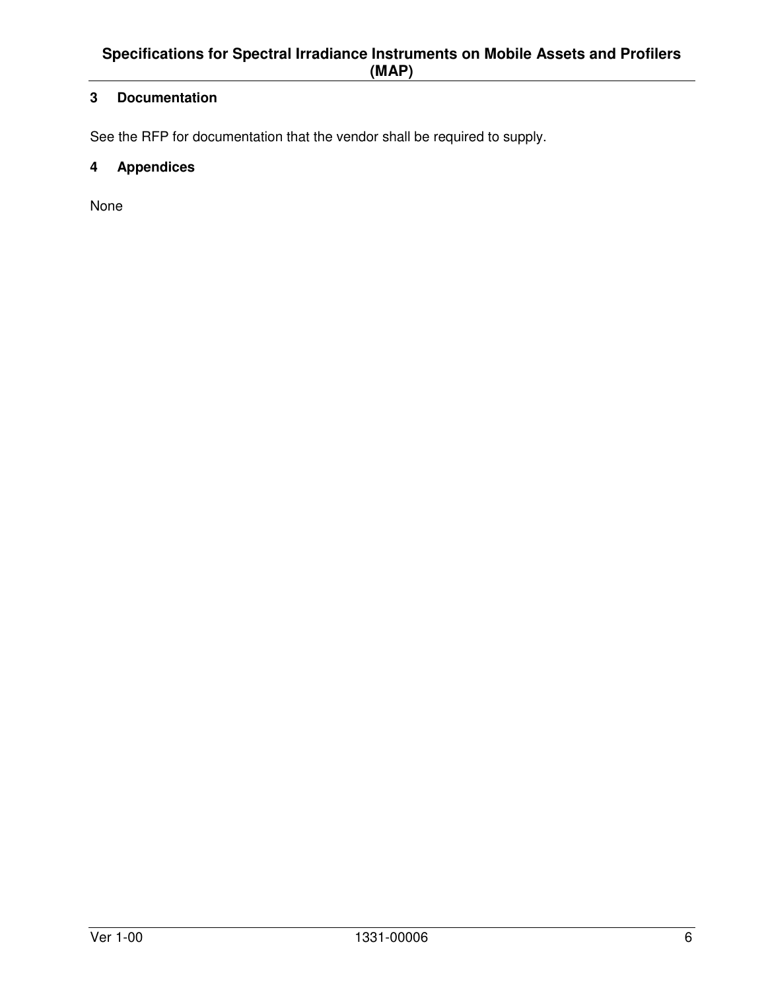## **3 Documentation**

See the RFP for documentation that the vendor shall be required to supply.

## **4 Appendices**

None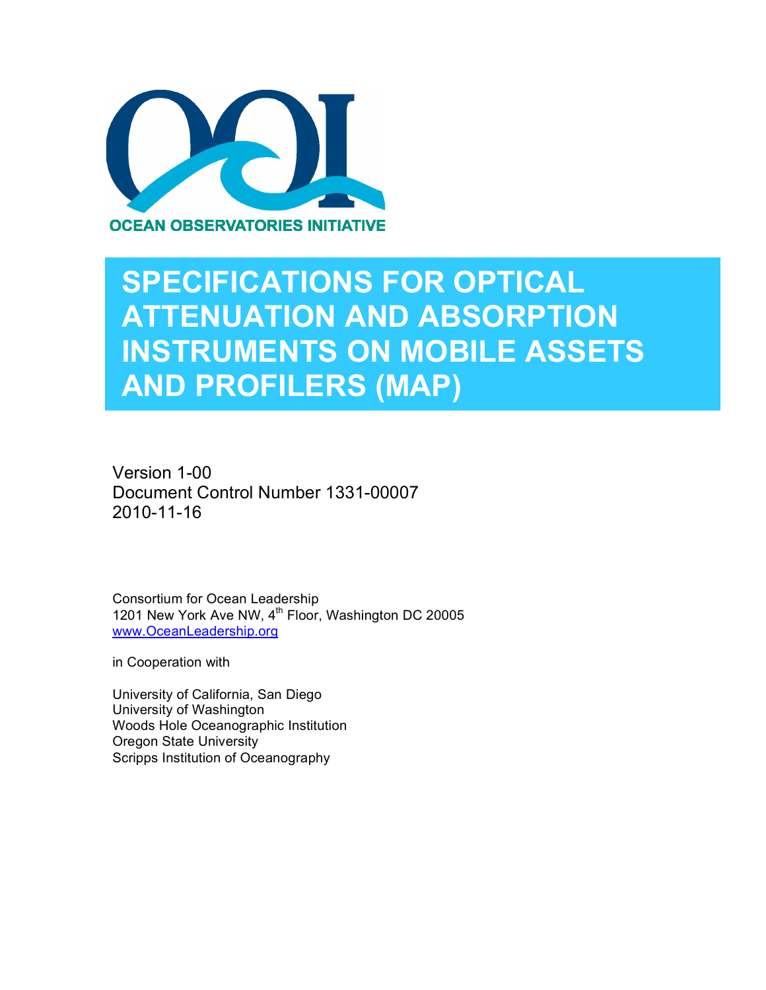

## **SPECIFICATIONS FOR OPTICAL ATTENUATION AND ABSORPTION INSTRUMENTS ON MOBILE ASSETS AND PROFILERS (MAP)**

Version 1-00 Document Control Number 1331-00007 2010-11-16

Consortium for Ocean Leadership 1201 New York Ave NW, 4<sup>th</sup> Floor, Washington DC 20005 www.OceanLeadership.org

in Cooperation with

University of California, San Diego University of Washington Woods Hole Oceanographic Institution Oregon State University Scripps Institution of Oceanography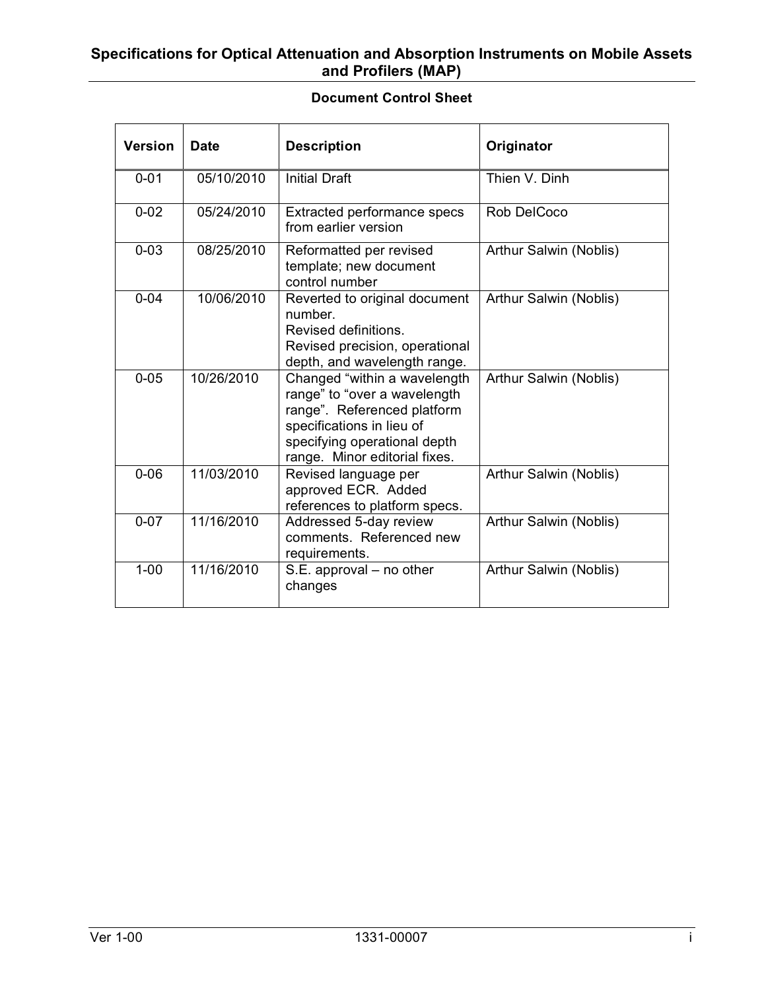#### **Specifications for Optical Attenuation and Absorption Instruments on Mobile Assets and Profilers (MAP)**

#### **Document Control Sheet**

| <b>Version</b> | <b>Date</b> | <b>Description</b>                                                                                                                                                                        | Originator             |
|----------------|-------------|-------------------------------------------------------------------------------------------------------------------------------------------------------------------------------------------|------------------------|
| $0 - 01$       | 05/10/2010  | <b>Initial Draft</b>                                                                                                                                                                      | Thien V. Dinh          |
| $0 - 02$       | 05/24/2010  | Extracted performance specs<br>from earlier version                                                                                                                                       | Rob DelCoco            |
| $0 - 03$       | 08/25/2010  | Reformatted per revised<br>template; new document<br>control number                                                                                                                       | Arthur Salwin (Noblis) |
| $0 - 04$       | 10/06/2010  | Reverted to original document<br>number.<br>Revised definitions.<br>Revised precision, operational<br>depth, and wavelength range.                                                        | Arthur Salwin (Noblis) |
| $0 - 05$       | 10/26/2010  | Changed "within a wavelength<br>range" to "over a wavelength<br>range". Referenced platform<br>specifications in lieu of<br>specifying operational depth<br>range. Minor editorial fixes. | Arthur Salwin (Noblis) |
| $0 - 06$       | 11/03/2010  | Revised language per<br>approved ECR. Added<br>references to platform specs.                                                                                                              | Arthur Salwin (Noblis) |
| $0 - 07$       | 11/16/2010  | Addressed 5-day review<br>comments. Referenced new<br>requirements.                                                                                                                       | Arthur Salwin (Noblis) |
| $1 - 00$       | 11/16/2010  | S.E. approval - no other<br>changes                                                                                                                                                       | Arthur Salwin (Noblis) |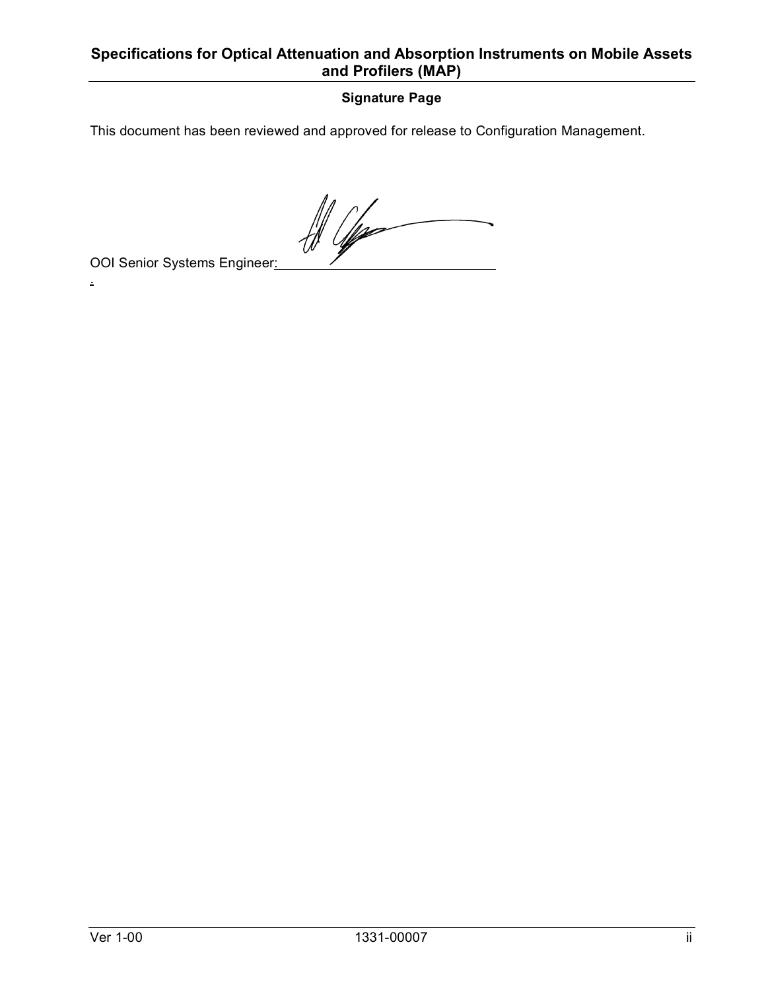## **Specifications for Optical Attenuation and Absorption Instruments on Mobile Assets and Profilers (MAP)**

## **Signature Page**

This document has been reviewed and approved for release to Configuration Management.

 $\frac{1}{2}$ 

OOI Senior Systems Engineer:

.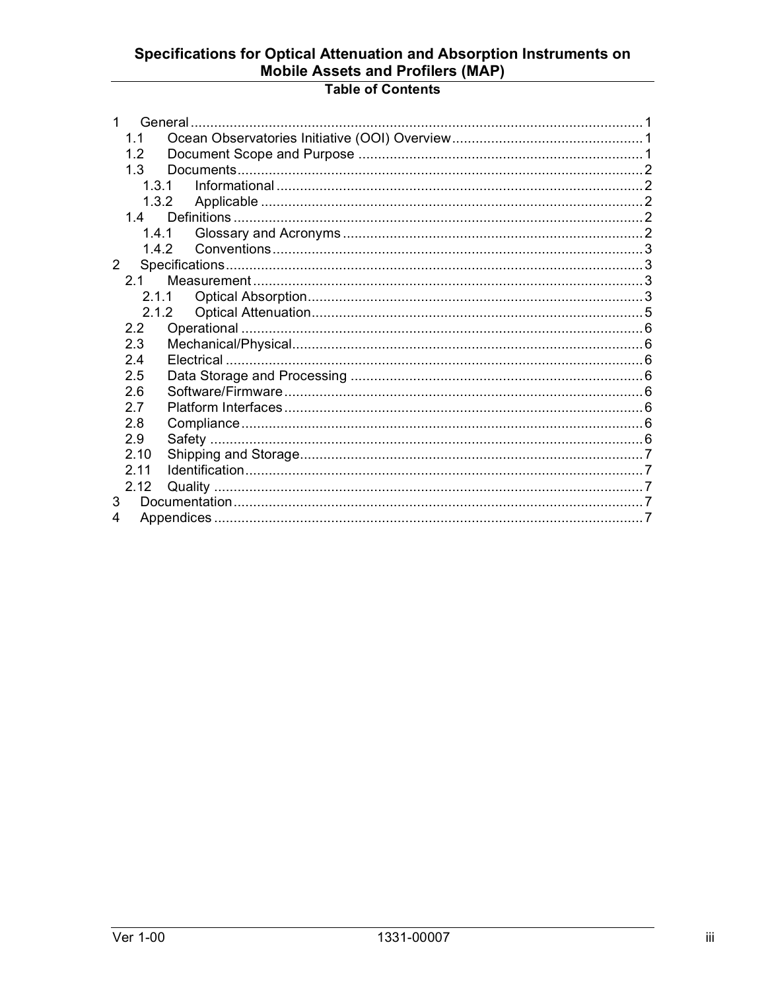# Specifications for Optical Attenuation and Absorption Instruments on<br>Mobile Assets and Profilers (MAP)

## **Table of Contents**

|             | 1 <sub>1</sub> |       |  |
|-------------|----------------|-------|--|
|             | 12             |       |  |
|             | 1.3            |       |  |
|             | 1.3.1          |       |  |
|             | 1.3.2          |       |  |
|             | 14             |       |  |
|             | 1.4.1          |       |  |
|             | 1.4.2          |       |  |
| $2^{\circ}$ |                |       |  |
|             | 2.1            |       |  |
|             |                |       |  |
|             |                | 2.1.2 |  |
|             | 22             |       |  |
|             | 2.3            |       |  |
|             | 2.4            |       |  |
|             | 2.5            |       |  |
|             | 2.6            |       |  |
|             | 27             |       |  |
|             | 2.8            |       |  |
|             | 2.9            |       |  |
|             | 2.10           |       |  |
|             | 211            |       |  |
|             | 2.12           |       |  |
| 3           |                |       |  |
| 4           |                |       |  |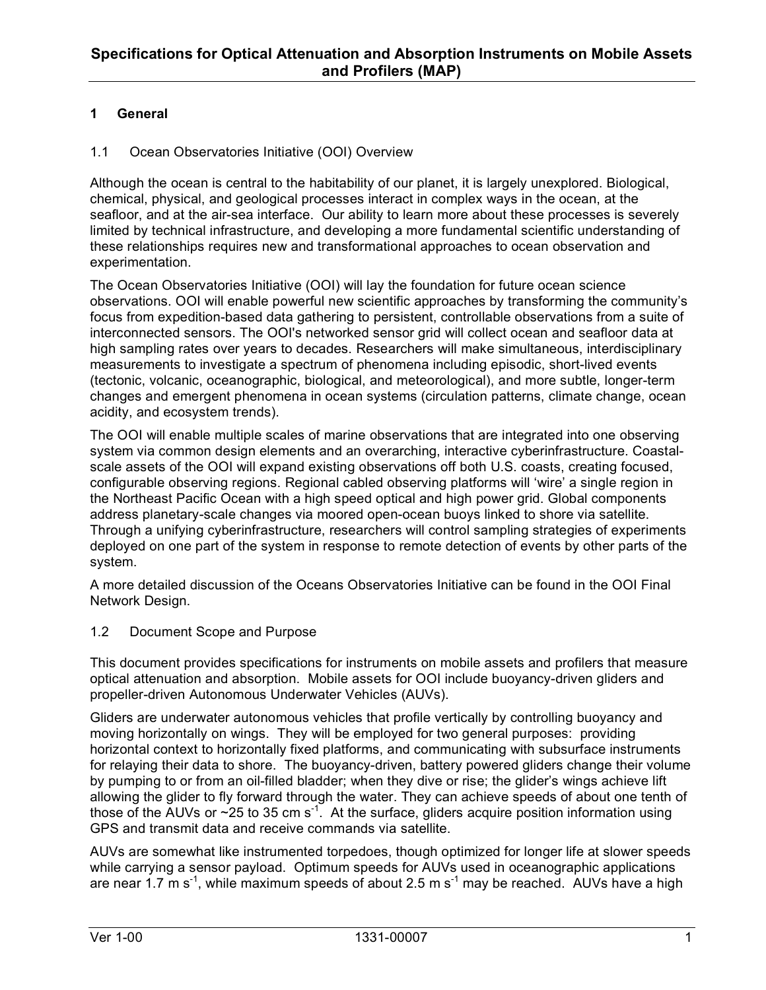### **1 General**

#### 1.1 Ocean Observatories Initiative (OOI) Overview

Although the ocean is central to the habitability of our planet, it is largely unexplored. Biological, chemical, physical, and geological processes interact in complex ways in the ocean, at the seafloor, and at the air-sea interface. Our ability to learn more about these processes is severely limited by technical infrastructure, and developing a more fundamental scientific understanding of these relationships requires new and transformational approaches to ocean observation and experimentation.

The Ocean Observatories Initiative (OOI) will lay the foundation for future ocean science observations. OOI will enable powerful new scientific approaches by transforming the community's focus from expedition-based data gathering to persistent, controllable observations from a suite of interconnected sensors. The OOI's networked sensor grid will collect ocean and seafloor data at high sampling rates over years to decades. Researchers will make simultaneous, interdisciplinary measurements to investigate a spectrum of phenomena including episodic, short-lived events (tectonic, volcanic, oceanographic, biological, and meteorological), and more subtle, longer-term changes and emergent phenomena in ocean systems (circulation patterns, climate change, ocean acidity, and ecosystem trends).

The OOI will enable multiple scales of marine observations that are integrated into one observing system via common design elements and an overarching, interactive cyberinfrastructure. Coastalscale assets of the OOI will expand existing observations off both U.S. coasts, creating focused, configurable observing regions. Regional cabled observing platforms will 'wire' a single region in the Northeast Pacific Ocean with a high speed optical and high power grid. Global components address planetary-scale changes via moored open-ocean buoys linked to shore via satellite. Through a unifying cyberinfrastructure, researchers will control sampling strategies of experiments deployed on one part of the system in response to remote detection of events by other parts of the system.

A more detailed discussion of the Oceans Observatories Initiative can be found in the OOI Final Network Design.

#### 1.2 Document Scope and Purpose

This document provides specifications for instruments on mobile assets and profilers that measure optical attenuation and absorption. Mobile assets for OOI include buoyancy-driven gliders and propeller-driven Autonomous Underwater Vehicles (AUVs).

Gliders are underwater autonomous vehicles that profile vertically by controlling buoyancy and moving horizontally on wings. They will be employed for two general purposes: providing horizontal context to horizontally fixed platforms, and communicating with subsurface instruments for relaying their data to shore. The buoyancy-driven, battery powered gliders change their volume by pumping to or from an oil-filled bladder; when they dive or rise; the glider's wings achieve lift allowing the glider to fly forward through the water. They can achieve speeds of about one tenth of those of the AUVs or  $\sim$  25 to 35 cm s<sup>-1</sup>. At the surface, gliders acquire position information using GPS and transmit data and receive commands via satellite.

AUVs are somewhat like instrumented torpedoes, though optimized for longer life at slower speeds while carrying a sensor payload. Optimum speeds for AUVs used in oceanographic applications are near 1.7 m s<sup>-1</sup>, while maximum speeds of about 2.5 m s<sup>-1</sup> may be reached. AUVs have a high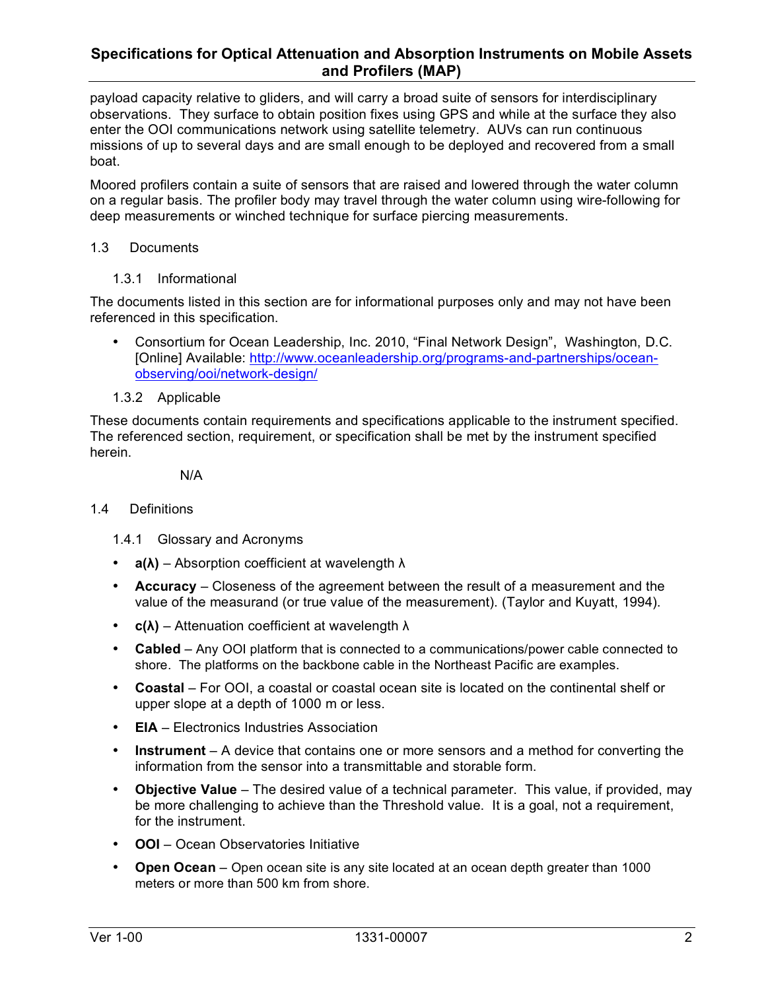payload capacity relative to gliders, and will carry a broad suite of sensors for interdisciplinary observations. They surface to obtain position fixes using GPS and while at the surface they also enter the OOI communications network using satellite telemetry. AUVs can run continuous missions of up to several days and are small enough to be deployed and recovered from a small boat.

Moored profilers contain a suite of sensors that are raised and lowered through the water column on a regular basis. The profiler body may travel through the water column using wire-following for deep measurements or winched technique for surface piercing measurements.

### 1.3 Documents

1.3.1 Informational

The documents listed in this section are for informational purposes only and may not have been referenced in this specification.

- Consortium for Ocean Leadership, Inc. 2010, "Final Network Design", Washington, D.C. [Online] Available: http://www.oceanleadership.org/programs-and-partnerships/oceanobserving/ooi/network-design/
- 1.3.2 Applicable

These documents contain requirements and specifications applicable to the instrument specified. The referenced section, requirement, or specification shall be met by the instrument specified herein.

N/A

#### 1.4 Definitions

1.4.1 Glossary and Acronyms

- **a(λ)** Absorption coefficient at wavelength λ
- **Accuracy** Closeness of the agreement between the result of a measurement and the value of the measurand (or true value of the measurement). (Taylor and Kuyatt, 1994).
- **c(λ)** Attenuation coefficient at wavelength λ
- **Cabled**  Any OOI platform that is connected to a communications/power cable connected to shore. The platforms on the backbone cable in the Northeast Pacific are examples.
- **Coastal**  For OOI, a coastal or coastal ocean site is located on the continental shelf or upper slope at a depth of 1000 m or less.
- **EIA** Electronics Industries Association
- **Instrument** A device that contains one or more sensors and a method for converting the information from the sensor into a transmittable and storable form.
- **Objective Value** The desired value of a technical parameter. This value, if provided, may be more challenging to achieve than the Threshold value. It is a goal, not a requirement, for the instrument.
- **OOI**  Ocean Observatories Initiative
- **Open Ocean**  Open ocean site is any site located at an ocean depth greater than 1000 meters or more than 500 km from shore.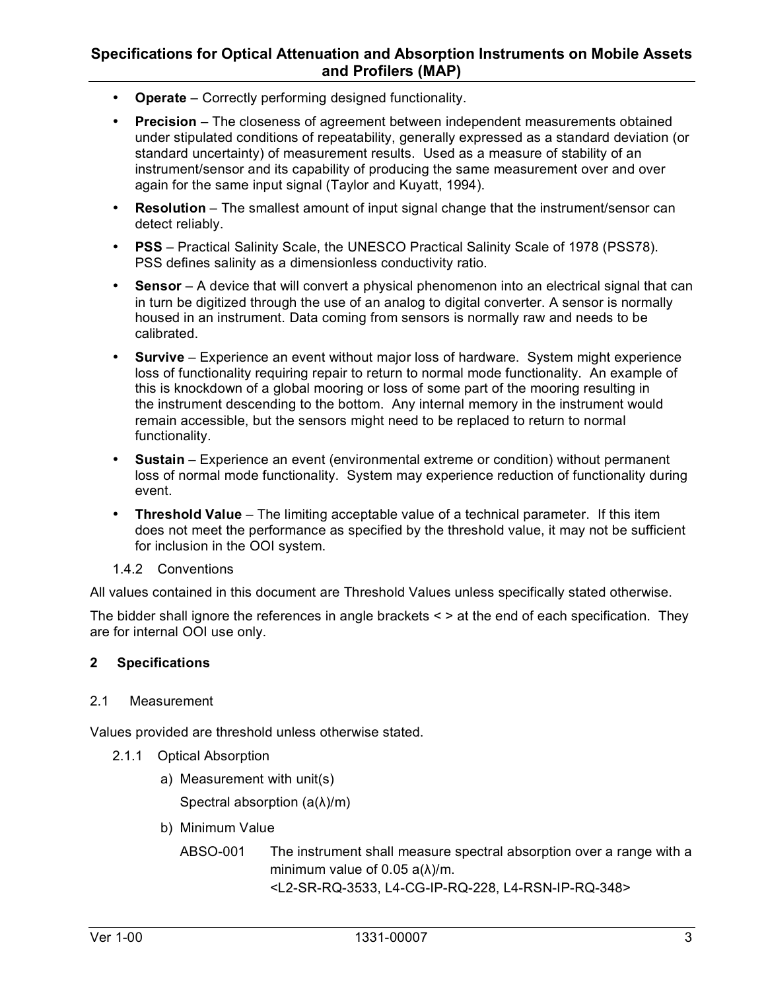- **Operate** Correctly performing designed functionality.
- **Precision** The closeness of agreement between independent measurements obtained under stipulated conditions of repeatability, generally expressed as a standard deviation (or standard uncertainty) of measurement results. Used as a measure of stability of an instrument/sensor and its capability of producing the same measurement over and over again for the same input signal (Taylor and Kuyatt, 1994).
- **Resolution** The smallest amount of input signal change that the instrument/sensor can detect reliably.
- **PSS** Practical Salinity Scale, the UNESCO Practical Salinity Scale of 1978 (PSS78). PSS defines salinity as a dimensionless conductivity ratio.
- **Sensor** A device that will convert a physical phenomenon into an electrical signal that can in turn be digitized through the use of an analog to digital converter. A sensor is normally housed in an instrument. Data coming from sensors is normally raw and needs to be calibrated.
- **Survive** Experience an event without major loss of hardware. System might experience loss of functionality requiring repair to return to normal mode functionality. An example of this is knockdown of a global mooring or loss of some part of the mooring resulting in the instrument descending to the bottom. Any internal memory in the instrument would remain accessible, but the sensors might need to be replaced to return to normal functionality.
- **Sustain** Experience an event (environmental extreme or condition) without permanent loss of normal mode functionality. System may experience reduction of functionality during event.
- **Threshold Value** The limiting acceptable value of a technical parameter. If this item does not meet the performance as specified by the threshold value, it may not be sufficient for inclusion in the OOI system.
- 1.4.2 Conventions

All values contained in this document are Threshold Values unless specifically stated otherwise.

The bidder shall ignore the references in angle brackets  $\leq$  > at the end of each specification. They are for internal OOI use only.

### **2 Specifications**

#### 2.1 Measurement

Values provided are threshold unless otherwise stated.

- 2.1.1 Optical Absorption
	- a) Measurement with unit(s)

Spectral absorption  $(a(\lambda)/m)$ 

- b) Minimum Value
	- ABSO-001 The instrument shall measure spectral absorption over a range with a minimum value of 0.05 a(λ)/m. <L2-SR-RQ-3533, L4-CG-IP-RQ-228, L4-RSN-IP-RQ-348>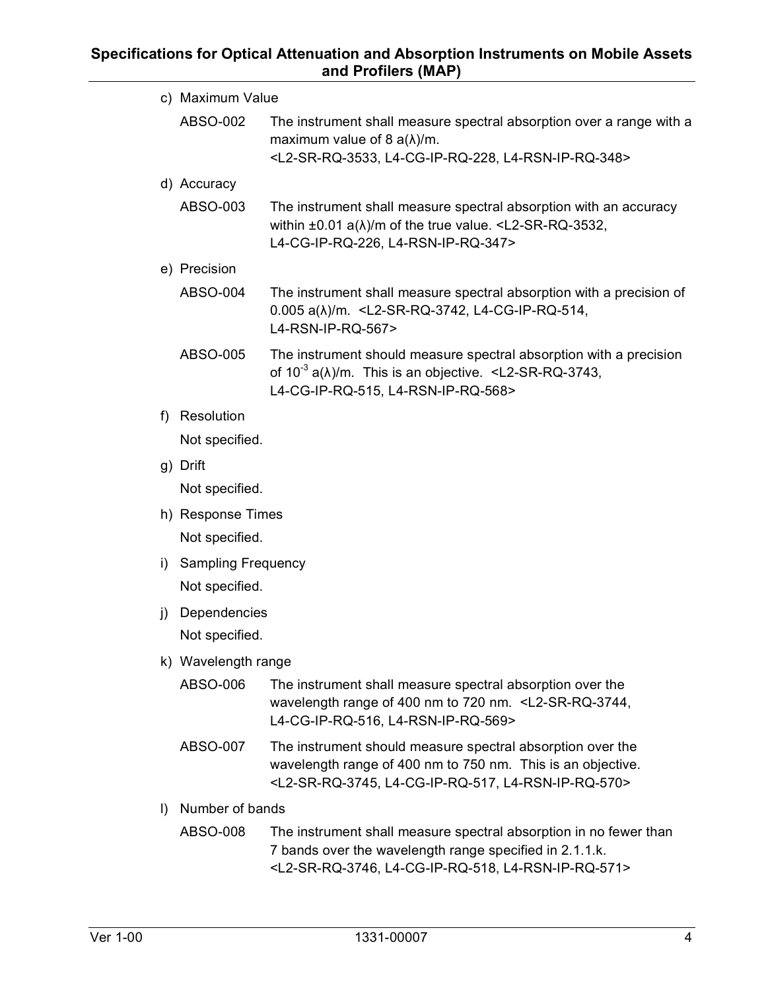|                                         | c) Maximum Value    |                                                                                                                                                                                                           |  |  |
|-----------------------------------------|---------------------|-----------------------------------------------------------------------------------------------------------------------------------------------------------------------------------------------------------|--|--|
|                                         | ABSO-002            | The instrument shall measure spectral absorption over a range with a<br>maximum value of 8 $a(\lambda)/m$ .<br><l2-sr-rq-3533, l4-cg-ip-rq-228,="" l4-rsn-ip-rq-348=""></l2-sr-rq-3533,>                  |  |  |
|                                         | d) Accuracy         |                                                                                                                                                                                                           |  |  |
|                                         | ABSO-003            | The instrument shall measure spectral absorption with an accuracy<br>within $\pm 0.01$ a( $\lambda$ )/m of the true value. <l2-sr-rq-3532,<br>L4-CG-IP-RQ-226, L4-RSN-IP-RQ-347&gt;</l2-sr-rq-3532,<br>   |  |  |
|                                         | e) Precision        |                                                                                                                                                                                                           |  |  |
|                                         | ABSO-004            | The instrument shall measure spectral absorption with a precision of<br>$0.005 a(\lambda)/m.$ <l2-sr-rq-3742, l4-cg-ip-rq-514,<br="">L4-RSN-IP-RQ-567&gt;</l2-sr-rq-3742,>                                |  |  |
|                                         | ABSO-005            | The instrument should measure spectral absorption with a precision<br>of $10^{-3}$ a( $\lambda$ )/m. This is an objective. <l2-sr-rq-3743,<br>L4-CG-IP-RQ-515, L4-RSN-IP-RQ-568&gt;</l2-sr-rq-3743,<br>   |  |  |
| f                                       | Resolution          |                                                                                                                                                                                                           |  |  |
|                                         | Not specified.      |                                                                                                                                                                                                           |  |  |
|                                         | g) Drift            |                                                                                                                                                                                                           |  |  |
|                                         | Not specified.      |                                                                                                                                                                                                           |  |  |
|                                         | h) Response Times   |                                                                                                                                                                                                           |  |  |
|                                         | Not specified.      |                                                                                                                                                                                                           |  |  |
| i) Sampling Frequency<br>Not specified. |                     |                                                                                                                                                                                                           |  |  |
|                                         |                     |                                                                                                                                                                                                           |  |  |
| j)                                      | Dependencies        |                                                                                                                                                                                                           |  |  |
|                                         | Not specified.      |                                                                                                                                                                                                           |  |  |
|                                         | k) Wavelength range |                                                                                                                                                                                                           |  |  |
|                                         | ABSO-006            | The instrument shall measure spectral absorption over the<br>wavelength range of 400 nm to 720 nm. <l2-sr-rq-3744,<br>L4-CG-IP-RQ-516, L4-RSN-IP-RQ-569&gt;</l2-sr-rq-3744,<br>                           |  |  |
|                                         | ABSO-007            | The instrument should measure spectral absorption over the<br>wavelength range of 400 nm to 750 nm. This is an objective.<br><l2-sr-rq-3745, l4-cg-ip-rq-517,="" l4-rsn-ip-rq-570=""></l2-sr-rq-3745,>    |  |  |
| $\vert$                                 | Number of bands     |                                                                                                                                                                                                           |  |  |
|                                         | ABSO-008            | The instrument shall measure spectral absorption in no fewer than<br>7 bands over the wavelength range specified in 2.1.1.k.<br><l2-sr-rq-3746, l4-cg-ip-rq-518,="" l4-rsn-ip-rq-571=""></l2-sr-rq-3746,> |  |  |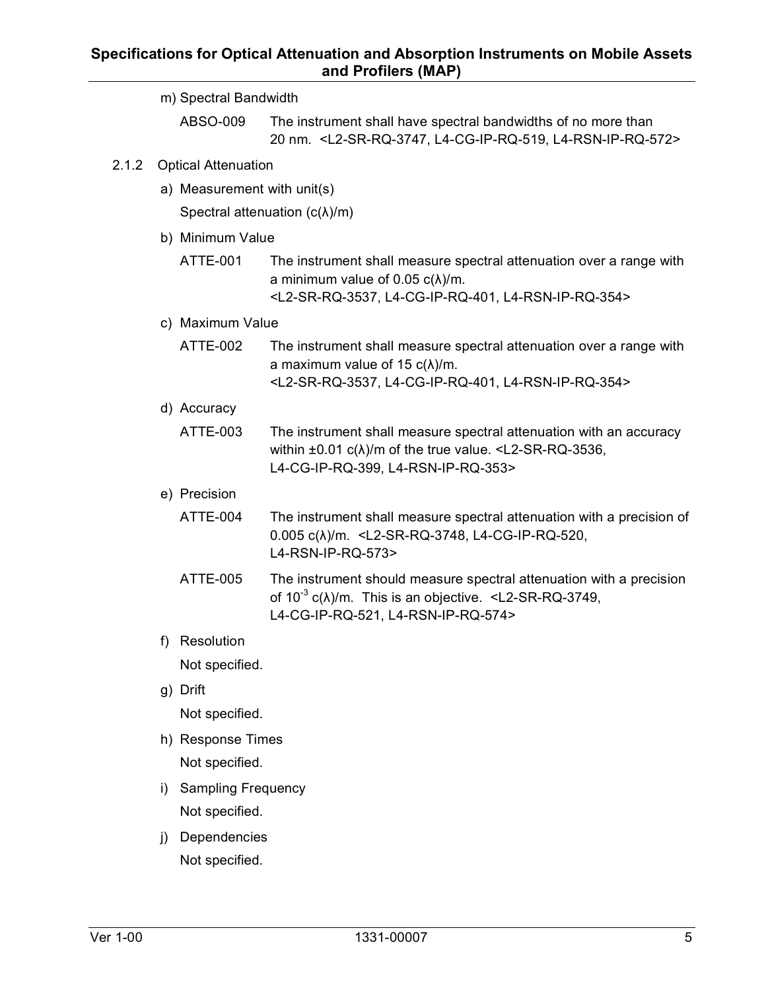|       |                            | m) Spectral Bandwidth                 |                                                                                                                                                                                                          |  |  |
|-------|----------------------------|---------------------------------------|----------------------------------------------------------------------------------------------------------------------------------------------------------------------------------------------------------|--|--|
|       |                            | ABSO-009                              | The instrument shall have spectral bandwidths of no more than<br>20 nm. <l2-sr-rq-3747, l4-cg-ip-rq-519,="" l4-rsn-ip-rq-572=""></l2-sr-rq-3747,>                                                        |  |  |
| 2.1.2 | <b>Optical Attenuation</b> |                                       |                                                                                                                                                                                                          |  |  |
|       |                            | a) Measurement with unit(s)           |                                                                                                                                                                                                          |  |  |
|       |                            | Spectral attenuation $(c(\lambda)/m)$ |                                                                                                                                                                                                          |  |  |
|       |                            | b) Minimum Value                      |                                                                                                                                                                                                          |  |  |
|       |                            | <b>ATTE-001</b>                       | The instrument shall measure spectral attenuation over a range with<br>a minimum value of 0.05 $c(\lambda)/m$ .<br><l2-sr-rq-3537, l4-cg-ip-rq-401,="" l4-rsn-ip-rq-354=""></l2-sr-rq-3537,>             |  |  |
|       |                            | c) Maximum Value                      |                                                                                                                                                                                                          |  |  |
|       |                            | <b>ATTE-002</b>                       | The instrument shall measure spectral attenuation over a range with<br>a maximum value of 15 $c(\lambda)/m$ .<br><l2-sr-rq-3537, l4-cg-ip-rq-401,="" l4-rsn-ip-rq-354=""></l2-sr-rq-3537,>               |  |  |
|       |                            | d) Accuracy                           |                                                                                                                                                                                                          |  |  |
|       |                            | ATTE-003                              | The instrument shall measure spectral attenuation with an accuracy<br>within $\pm 0.01$ c( $\lambda$ )/m of the true value. <l2-sr-rq-3536,<br>L4-CG-IP-RQ-399, L4-RSN-IP-RQ-353&gt;</l2-sr-rq-3536,<br> |  |  |
|       |                            | e) Precision                          |                                                                                                                                                                                                          |  |  |
|       |                            | <b>ATTE-004</b>                       | The instrument shall measure spectral attenuation with a precision of<br>0.005 c( $\lambda$ )/m. <l2-sr-rq-3748, l4-cg-ip-rq-520,<br="">L4-RSN-IP-RQ-573&gt;</l2-sr-rq-3748,>                            |  |  |
|       |                            | ATTE-005                              | The instrument should measure spectral attenuation with a precision<br>of $10^{-3}$ c( $\lambda$ )/m. This is an objective. <l2-sr-rq-3749,<br>L4-CG-IP-RQ-521, L4-RSN-IP-RQ-574&gt;</l2-sr-rq-3749,<br> |  |  |
|       | f)                         | Resolution                            |                                                                                                                                                                                                          |  |  |
|       |                            | Not specified.                        |                                                                                                                                                                                                          |  |  |
|       |                            | g) Drift                              |                                                                                                                                                                                                          |  |  |
|       |                            | Not specified.                        |                                                                                                                                                                                                          |  |  |
|       |                            | h) Response Times                     |                                                                                                                                                                                                          |  |  |
|       |                            | Not specified.                        |                                                                                                                                                                                                          |  |  |
|       | i)                         | <b>Sampling Frequency</b>             |                                                                                                                                                                                                          |  |  |
|       |                            | Not specified.                        |                                                                                                                                                                                                          |  |  |
|       | j)                         | Dependencies                          |                                                                                                                                                                                                          |  |  |
|       |                            | Not specified.                        |                                                                                                                                                                                                          |  |  |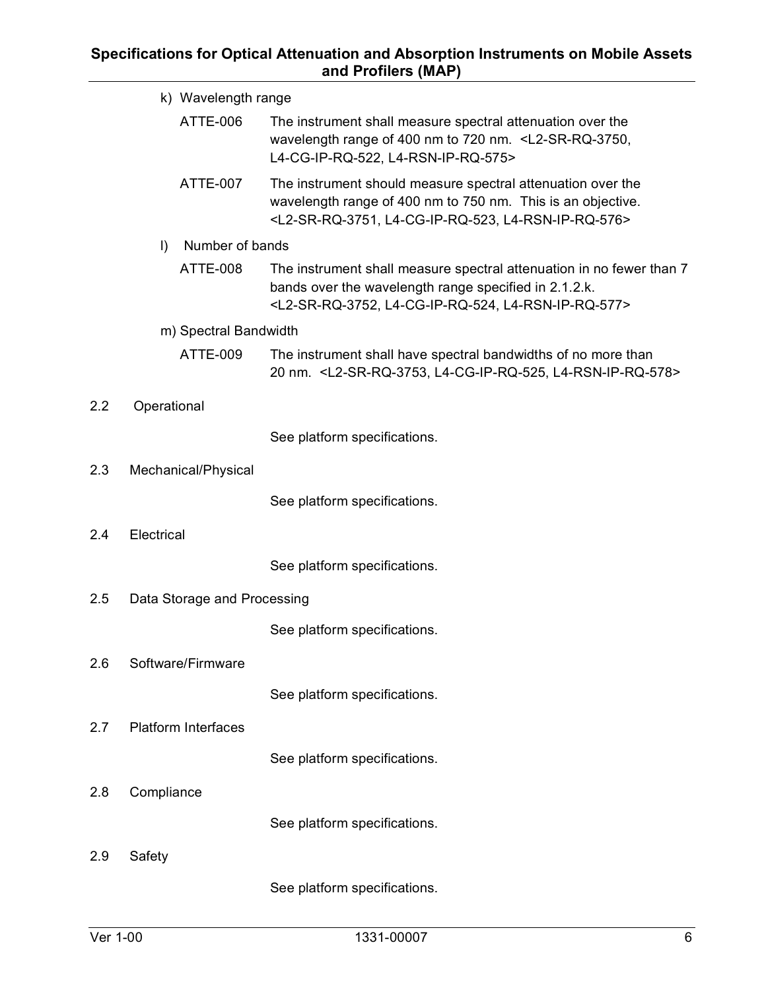|                                    |                            | k) Wavelength range                                                                                                                                                                                        |  |
|------------------------------------|----------------------------|------------------------------------------------------------------------------------------------------------------------------------------------------------------------------------------------------------|--|
|                                    | ATTE-006                   | The instrument shall measure spectral attenuation over the<br>wavelength range of 400 nm to 720 nm. <l2-sr-rq-3750,<br>L4-CG-IP-RQ-522, L4-RSN-IP-RQ-575&gt;</l2-sr-rq-3750,<br>                           |  |
|                                    | <b>ATTE-007</b>            | The instrument should measure spectral attenuation over the<br>wavelength range of 400 nm to 750 nm. This is an objective.<br><l2-sr-rq-3751, l4-cg-ip-rq-523,="" l4-rsn-ip-rq-576=""></l2-sr-rq-3751,>    |  |
|                                    | Number of bands<br>$\vert$ |                                                                                                                                                                                                            |  |
|                                    | <b>ATTE-008</b>            | The instrument shall measure spectral attenuation in no fewer than 7<br>bands over the wavelength range specified in 2.1.2.k.<br><l2-sr-rq-3752, l4-cg-ip-rq-524,="" l4-rsn-ip-rq-577=""></l2-sr-rq-3752,> |  |
| m) Spectral Bandwidth              |                            |                                                                                                                                                                                                            |  |
|                                    | ATTE-009                   | The instrument shall have spectral bandwidths of no more than<br>20 nm. <l2-sr-rq-3753, l4-cg-ip-rq-525,="" l4-rsn-ip-rq-578=""></l2-sr-rq-3753,>                                                          |  |
| 2.2                                | Operational                |                                                                                                                                                                                                            |  |
|                                    |                            | See platform specifications.                                                                                                                                                                               |  |
| 2.3                                | Mechanical/Physical        |                                                                                                                                                                                                            |  |
|                                    |                            | See platform specifications.                                                                                                                                                                               |  |
| 2.4                                | Electrical                 |                                                                                                                                                                                                            |  |
|                                    |                            | See platform specifications.                                                                                                                                                                               |  |
| 2.5<br>Data Storage and Processing |                            |                                                                                                                                                                                                            |  |
|                                    |                            | See platform specifications.                                                                                                                                                                               |  |
| 2.6<br>Software/Firmware           |                            |                                                                                                                                                                                                            |  |
|                                    |                            | See platform specifications.                                                                                                                                                                               |  |
| 2.7                                | <b>Platform Interfaces</b> |                                                                                                                                                                                                            |  |
|                                    |                            | See platform specifications.                                                                                                                                                                               |  |
| 2.8                                | Compliance                 |                                                                                                                                                                                                            |  |
|                                    |                            | See platform specifications.                                                                                                                                                                               |  |
| 2.9                                | Safety                     |                                                                                                                                                                                                            |  |
|                                    |                            | See platform specifications.                                                                                                                                                                               |  |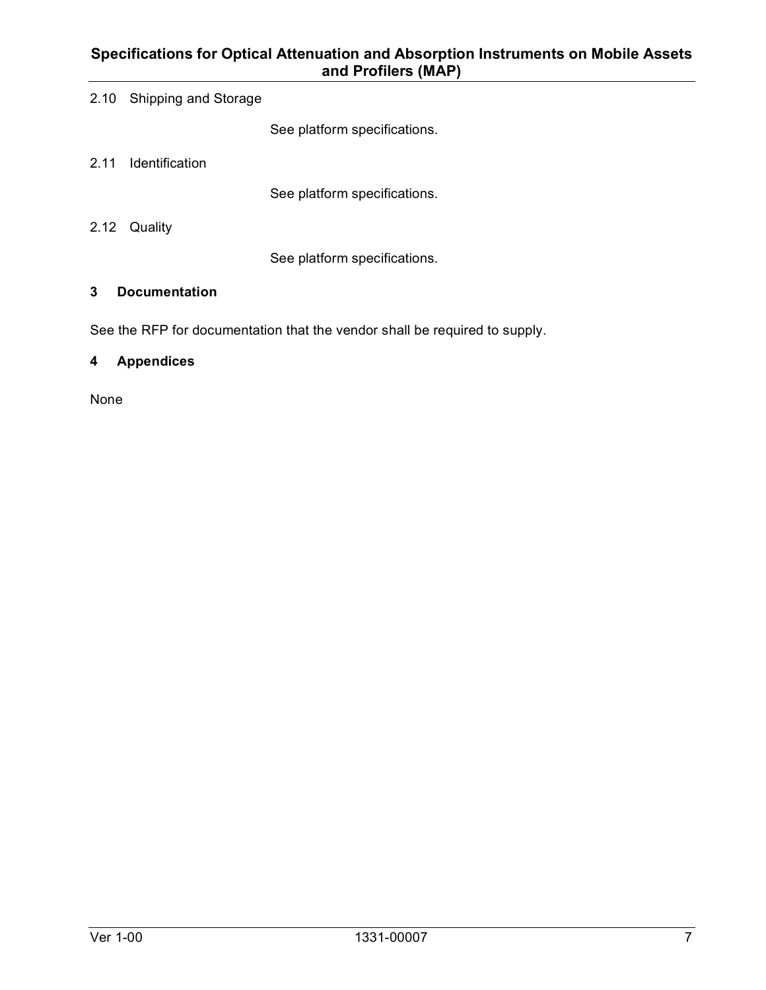|  |  | 2.10 Shipping and Storage |
|--|--|---------------------------|
|--|--|---------------------------|

See platform specifications.

2.11 Identification

See platform specifications.

2.12 Quality

See platform specifications.

### **3 Documentation**

See the RFP for documentation that the vendor shall be required to supply.

# **4 Appendices**

None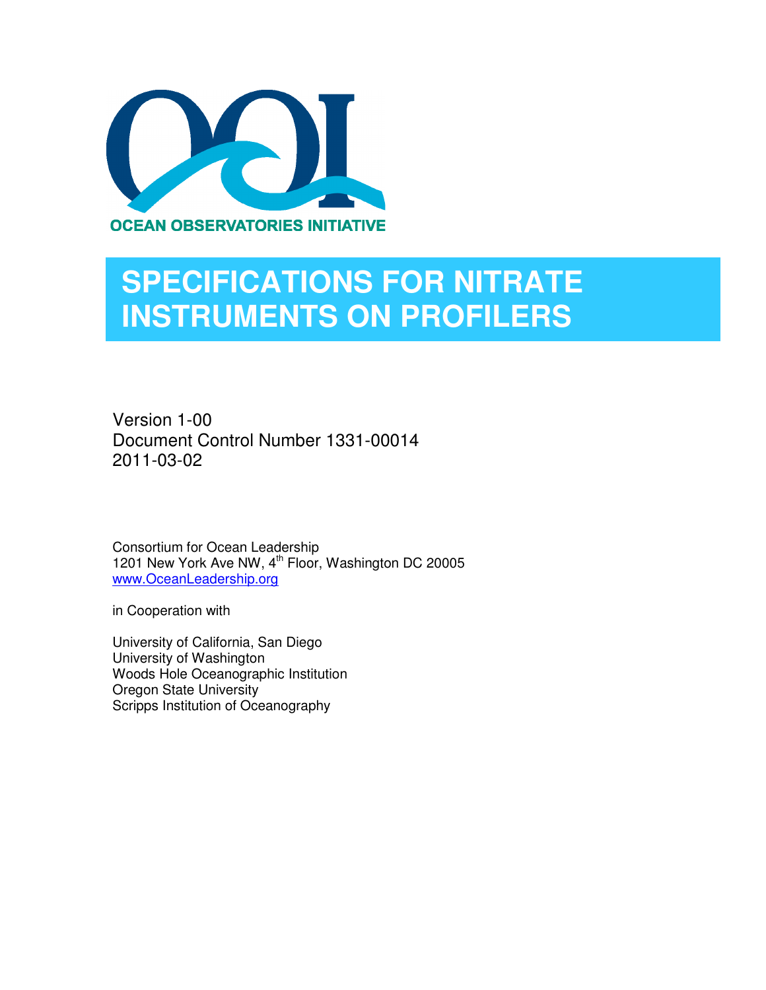

# **SPECIFICATIONS FOR NITRATE INSTRUMENTS ON PROFILERS**

Version 1-00 Document Control Number 1331-00014 2011-03-02

Consortium for Ocean Leadership 1201 New York Ave NW, 4<sup>th</sup> Floor, Washington DC 20005 www.OceanLeadership.org

in Cooperation with

University of California, San Diego University of Washington Woods Hole Oceanographic Institution Oregon State University Scripps Institution of Oceanography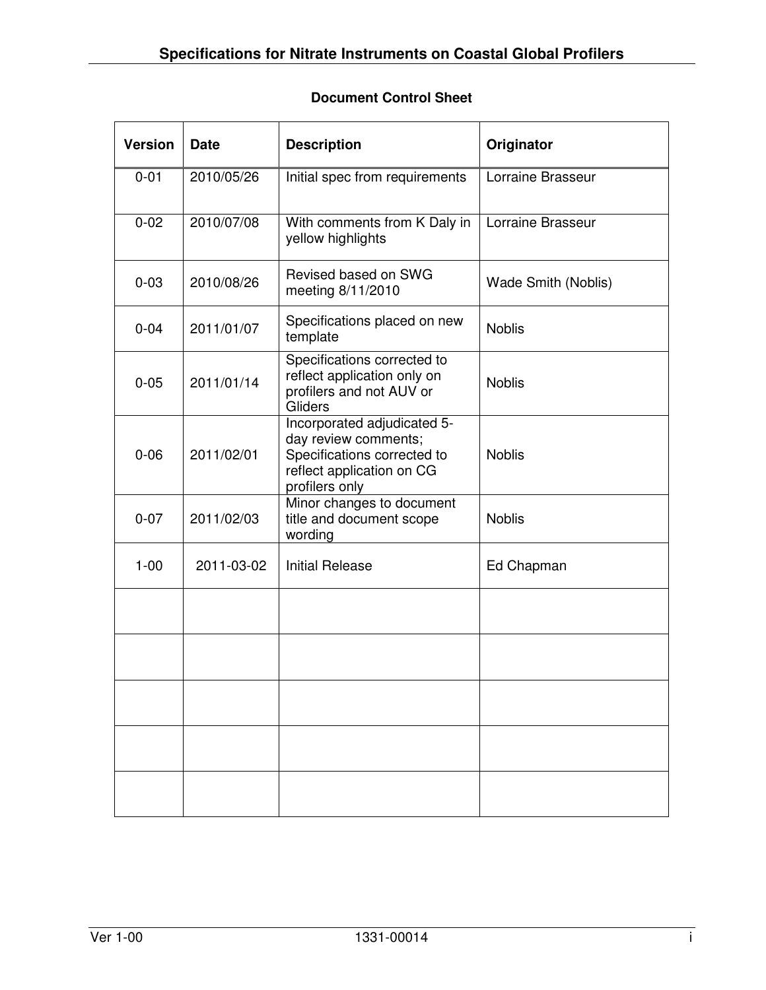# **Document Control Sheet**

| <b>Version</b> | <b>Date</b> | <b>Description</b>                                                                                                                | Originator          |
|----------------|-------------|-----------------------------------------------------------------------------------------------------------------------------------|---------------------|
| $0 - 01$       | 2010/05/26  | Initial spec from requirements                                                                                                    | Lorraine Brasseur   |
| $0 - 02$       | 2010/07/08  | With comments from K Daly in<br>yellow highlights                                                                                 | Lorraine Brasseur   |
| $0 - 03$       | 2010/08/26  | Revised based on SWG<br>meeting 8/11/2010                                                                                         | Wade Smith (Noblis) |
| $0 - 04$       | 2011/01/07  | Specifications placed on new<br>template                                                                                          | <b>Noblis</b>       |
| $0 - 05$       | 2011/01/14  | Specifications corrected to<br>reflect application only on<br>profilers and not AUV or<br>Gliders                                 | <b>Noblis</b>       |
| $0 - 06$       | 2011/02/01  | Incorporated adjudicated 5-<br>day review comments;<br>Specifications corrected to<br>reflect application on CG<br>profilers only | <b>Noblis</b>       |
| $0 - 07$       | 2011/02/03  | Minor changes to document<br>title and document scope<br>wording                                                                  | <b>Noblis</b>       |
| $1 - 00$       | 2011-03-02  | <b>Initial Release</b>                                                                                                            | Ed Chapman          |
|                |             |                                                                                                                                   |                     |
|                |             |                                                                                                                                   |                     |
|                |             |                                                                                                                                   |                     |
|                |             |                                                                                                                                   |                     |
|                |             |                                                                                                                                   |                     |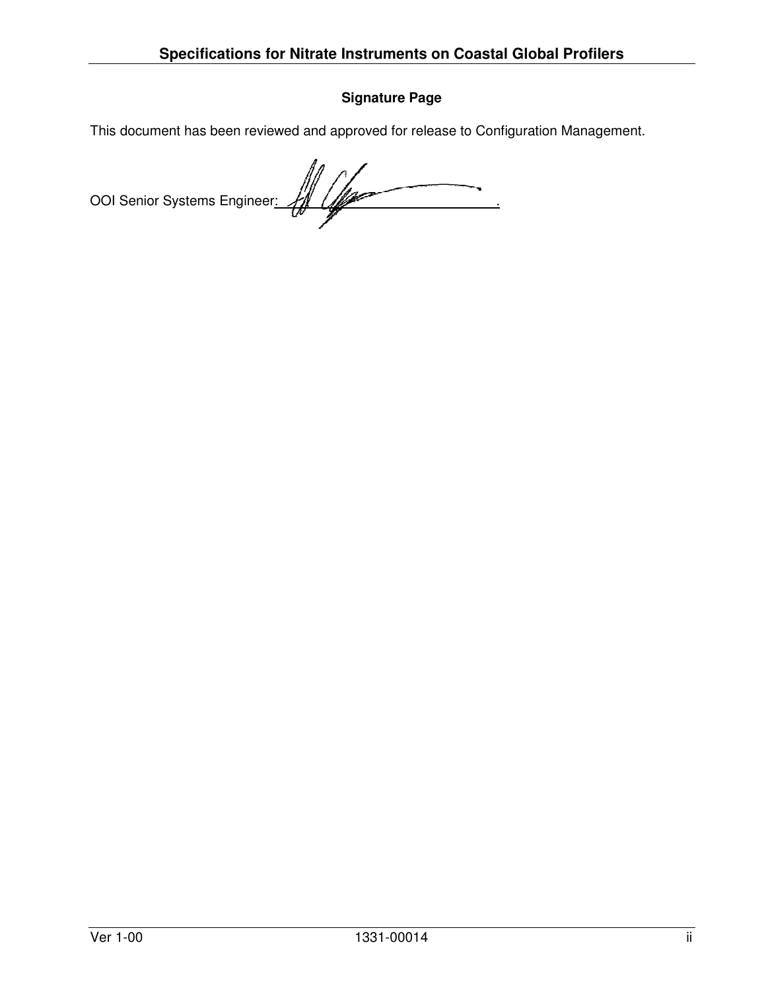# **Signature Page**

This document has been reviewed and approved for release to Configuration Management.

OOI Senior Systems Engineer: 40 Com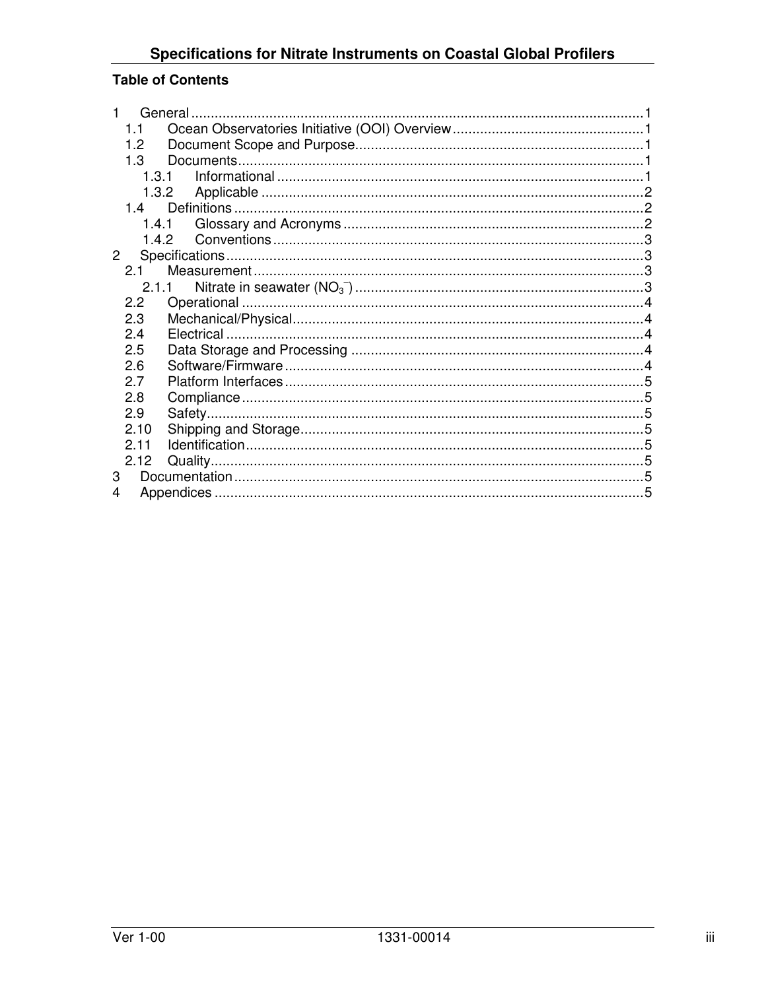# **Specifications for Nitrate Instruments on Coastal Global Profilers**

# **Table of Contents**

| 1.1            |       |  |
|----------------|-------|--|
| 1.2            |       |  |
| 1.3            |       |  |
|                | 1.3.1 |  |
|                | 1.3.2 |  |
| 14             |       |  |
|                | 1.4.1 |  |
|                |       |  |
| 2 <sup>1</sup> |       |  |
| 2.1            |       |  |
|                | 2.1.1 |  |
| 2.2            |       |  |
| 2.3            |       |  |
| 2.4            |       |  |
| 2.5            |       |  |
| 2.6            |       |  |
| 2.7            |       |  |
| 2.8            |       |  |
| 2.9            |       |  |
| 2.10           |       |  |
| 2.11           |       |  |
| 2.12           |       |  |
| 3              |       |  |
| 4              |       |  |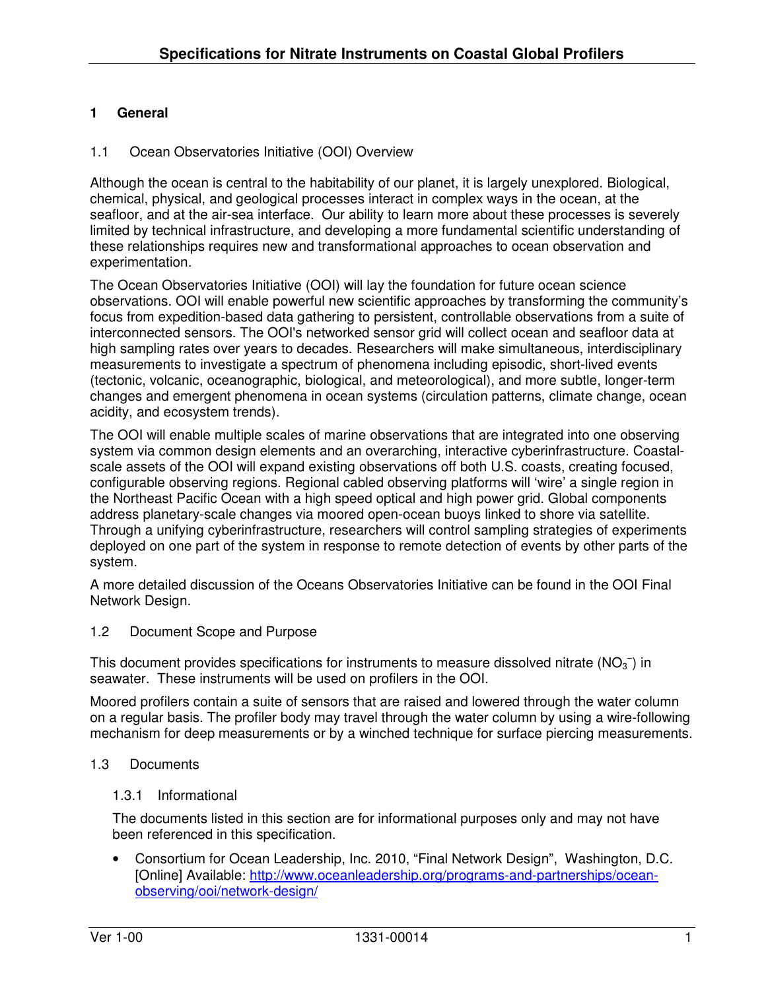# **1 General**

### 1.1 Ocean Observatories Initiative (OOI) Overview

Although the ocean is central to the habitability of our planet, it is largely unexplored. Biological, chemical, physical, and geological processes interact in complex ways in the ocean, at the seafloor, and at the air-sea interface. Our ability to learn more about these processes is severely limited by technical infrastructure, and developing a more fundamental scientific understanding of these relationships requires new and transformational approaches to ocean observation and experimentation.

The Ocean Observatories Initiative (OOI) will lay the foundation for future ocean science observations. OOI will enable powerful new scientific approaches by transforming the community's focus from expedition-based data gathering to persistent, controllable observations from a suite of interconnected sensors. The OOI's networked sensor grid will collect ocean and seafloor data at high sampling rates over years to decades. Researchers will make simultaneous, interdisciplinary measurements to investigate a spectrum of phenomena including episodic, short-lived events (tectonic, volcanic, oceanographic, biological, and meteorological), and more subtle, longer-term changes and emergent phenomena in ocean systems (circulation patterns, climate change, ocean acidity, and ecosystem trends).

The OOI will enable multiple scales of marine observations that are integrated into one observing system via common design elements and an overarching, interactive cyberinfrastructure. Coastalscale assets of the OOI will expand existing observations off both U.S. coasts, creating focused, configurable observing regions. Regional cabled observing platforms will 'wire' a single region in the Northeast Pacific Ocean with a high speed optical and high power grid. Global components address planetary-scale changes via moored open-ocean buoys linked to shore via satellite. Through a unifying cyberinfrastructure, researchers will control sampling strategies of experiments deployed on one part of the system in response to remote detection of events by other parts of the system.

A more detailed discussion of the Oceans Observatories Initiative can be found in the OOI Final Network Design.

### 1.2 Document Scope and Purpose

This document provides specifications for instruments to measure dissolved nitrate ( $NO<sub>3</sub>^-$ ) in seawater. These instruments will be used on profilers in the OOI.

Moored profilers contain a suite of sensors that are raised and lowered through the water column on a regular basis. The profiler body may travel through the water column by using a wire-following mechanism for deep measurements or by a winched technique for surface piercing measurements.

### 1.3 Documents

### 1.3.1 Informational

The documents listed in this section are for informational purposes only and may not have been referenced in this specification.

• Consortium for Ocean Leadership, Inc. 2010, "Final Network Design", Washington, D.C. [Online] Available: http://www.oceanleadership.org/programs-and-partnerships/oceanobserving/ooi/network-design/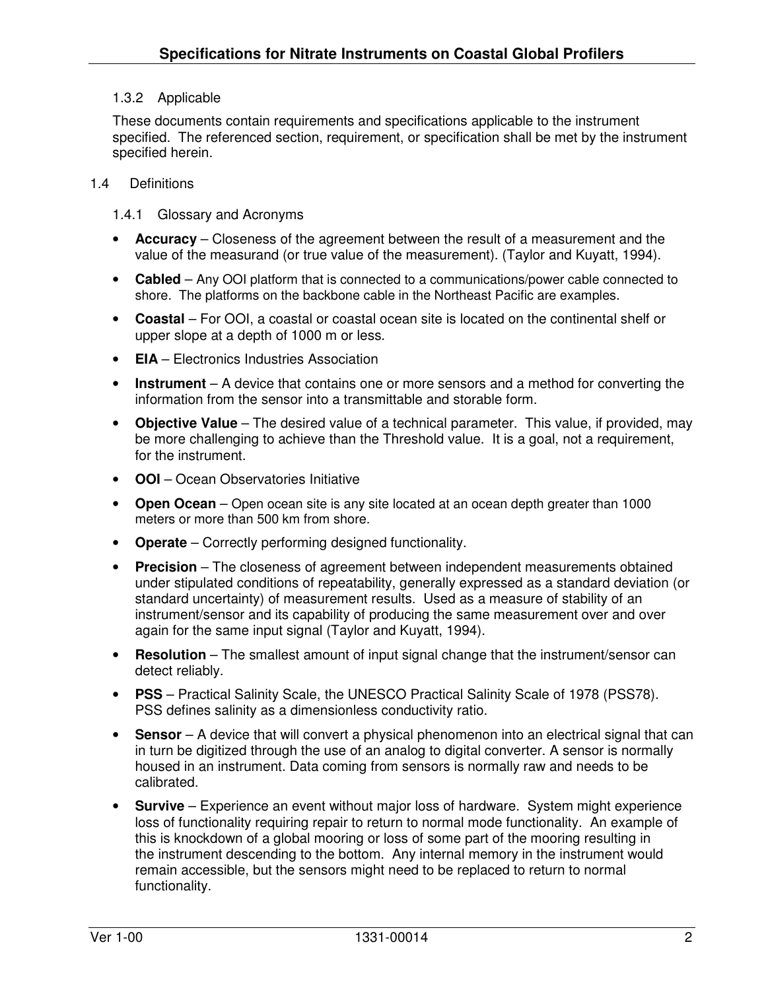# 1.3.2 Applicable

These documents contain requirements and specifications applicable to the instrument specified. The referenced section, requirement, or specification shall be met by the instrument specified herein.

### 1.4 Definitions

1.4.1 Glossary and Acronyms

- **Accuracy** Closeness of the agreement between the result of a measurement and the value of the measurand (or true value of the measurement). (Taylor and Kuyatt, 1994).
- **Cabled**  Any OOI platform that is connected to a communications/power cable connected to shore. The platforms on the backbone cable in the Northeast Pacific are examples.
- **Coastal**  For OOI, a coastal or coastal ocean site is located on the continental shelf or upper slope at a depth of 1000 m or less.
- **EIA** Electronics Industries Association
- **Instrument** A device that contains one or more sensors and a method for converting the information from the sensor into a transmittable and storable form.
- **Objective Value** The desired value of a technical parameter. This value, if provided, may be more challenging to achieve than the Threshold value. It is a goal, not a requirement, for the instrument.
- **OOI**  Ocean Observatories Initiative
- **Open Ocean**  Open ocean site is any site located at an ocean depth greater than 1000 meters or more than 500 km from shore.
- **Operate** Correctly performing designed functionality.
- **Precision** The closeness of agreement between independent measurements obtained under stipulated conditions of repeatability, generally expressed as a standard deviation (or standard uncertainty) of measurement results. Used as a measure of stability of an instrument/sensor and its capability of producing the same measurement over and over again for the same input signal (Taylor and Kuyatt, 1994).
- **Resolution** The smallest amount of input signal change that the instrument/sensor can detect reliably.
- **PSS** Practical Salinity Scale, the UNESCO Practical Salinity Scale of 1978 (PSS78). PSS defines salinity as a dimensionless conductivity ratio.
- **Sensor** A device that will convert a physical phenomenon into an electrical signal that can in turn be digitized through the use of an analog to digital converter. A sensor is normally housed in an instrument. Data coming from sensors is normally raw and needs to be calibrated.
- **Survive** Experience an event without major loss of hardware. System might experience loss of functionality requiring repair to return to normal mode functionality. An example of this is knockdown of a global mooring or loss of some part of the mooring resulting in the instrument descending to the bottom. Any internal memory in the instrument would remain accessible, but the sensors might need to be replaced to return to normal functionality.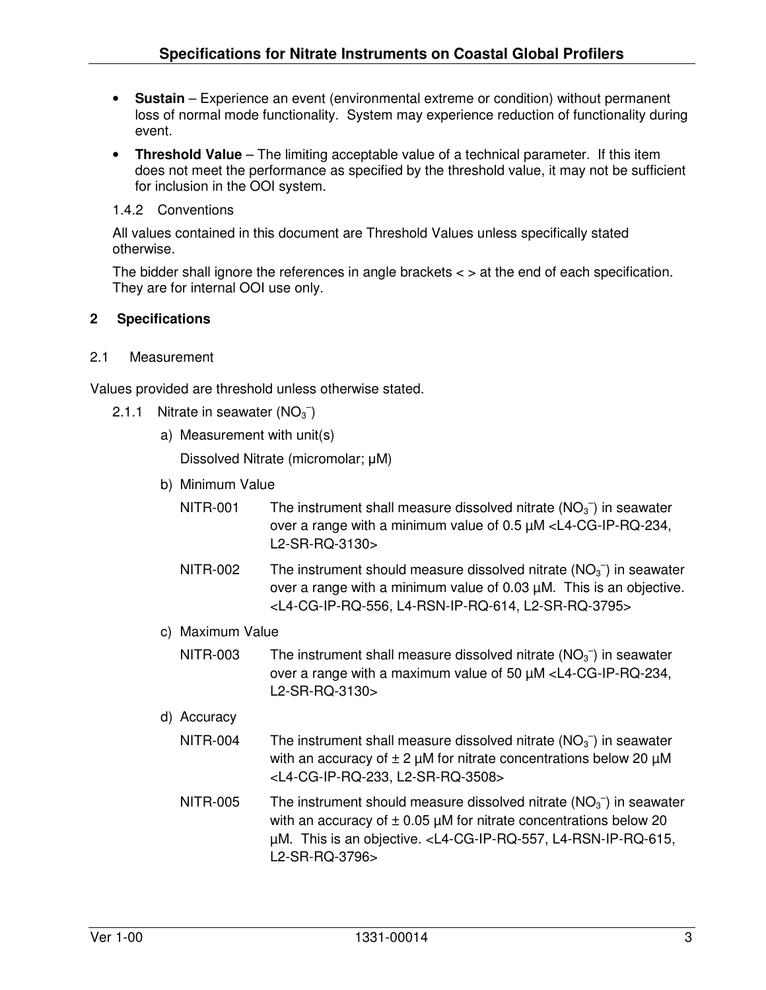- **Sustain** Experience an event (environmental extreme or condition) without permanent loss of normal mode functionality. System may experience reduction of functionality during event.
- **Threshold Value** The limiting acceptable value of a technical parameter. If this item does not meet the performance as specified by the threshold value, it may not be sufficient for inclusion in the OOI system.
- 1.4.2 Conventions

All values contained in this document are Threshold Values unless specifically stated otherwise.

The bidder shall ignore the references in angle brackets < > at the end of each specification. They are for internal OOI use only.

### **2 Specifications**

### 2.1 Measurement

Values provided are threshold unless otherwise stated.

- 2.1.1 Nitrate in seawater  $(NO_3^-)$ 
	- a) Measurement with unit(s) Dissolved Nitrate (micromolar; µM)
	- b) Minimum Value
		- NITR-001 The instrument shall measure dissolved nitrate  $(NO<sub>3</sub><sup>-</sup>)$  in seawater over a range with a minimum value of 0.5 µM <L4-CG-IP-RQ-234, L2-SR-RQ-3130>
		- NITR-002 The instrument should measure dissolved nitrate  $(NO<sub>3</sub><sup>-</sup>)$  in seawater over a range with a minimum value of 0.03 µM. This is an objective. <L4-CG-IP-RQ-556, L4-RSN-IP-RQ-614, L2-SR-RQ-3795>
	- c) Maximum Value
		- NITR-003 The instrument shall measure dissolved nitrate  $(NO<sub>3</sub><sup>-</sup>)$  in seawater over a range with a maximum value of 50 µM <L4-CG-IP-RQ-234, L2-SR-RQ-3130>

### d) Accuracy

- NITR-004 The instrument shall measure dissolved nitrate  $(NO<sub>3</sub><sup>-</sup>)$  in seawater with an accuracy of  $\pm 2 \mu M$  for nitrate concentrations below 20  $\mu M$ <L4-CG-IP-RQ-233, L2-SR-RQ-3508>
- NITR-005 The instrument should measure dissolved nitrate  $(NO<sub>3</sub><sup>-</sup>)$  in seawater with an accuracy of  $\pm$  0.05 µM for nitrate concentrations below 20 µM. This is an objective. <L4-CG-IP-RQ-557, L4-RSN-IP-RQ-615, L2-SR-RQ-3796>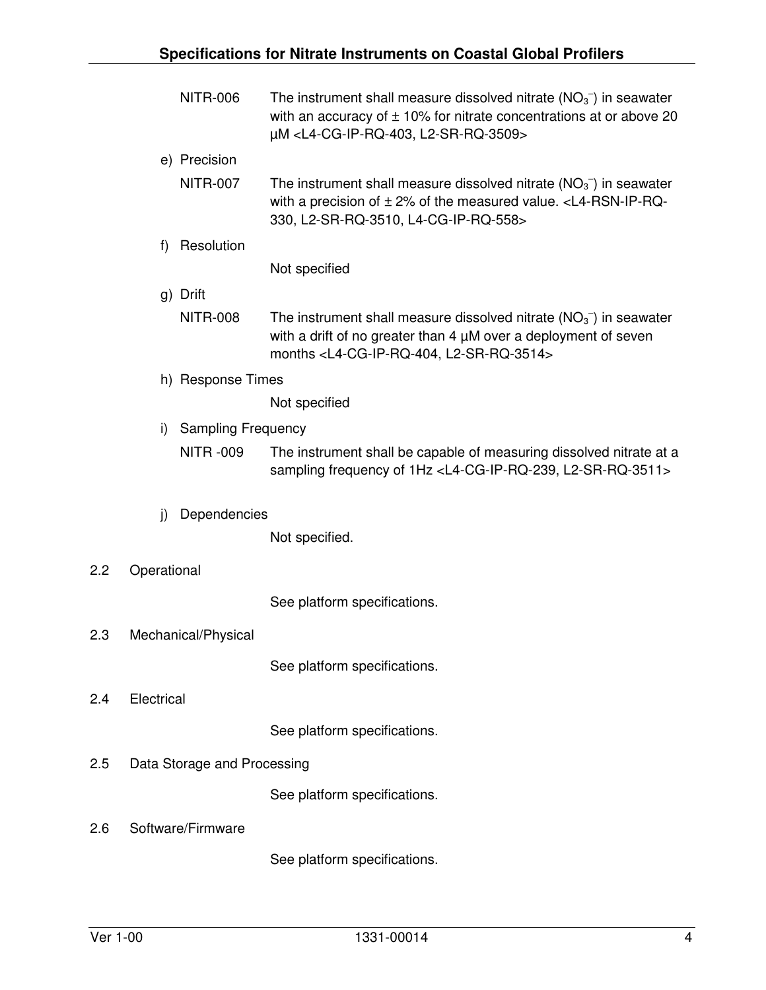|                   | <b>NITR-006</b>                 | The instrument shall measure dissolved nitrate $(NO3-)$ in seawater<br>with an accuracy of $\pm$ 10% for nitrate concentrations at or above 20<br>µM <l4-cg-ip-rq-403, l2-sr-rq-3509=""></l4-cg-ip-rq-403,>  |
|-------------------|---------------------------------|--------------------------------------------------------------------------------------------------------------------------------------------------------------------------------------------------------------|
|                   | e) Precision                    |                                                                                                                                                                                                              |
|                   | <b>NITR-007</b>                 | The instrument shall measure dissolved nitrate $(NO3-)$ in seawater<br>with a precision of $\pm$ 2% of the measured value. < L4-RSN-IP-RQ-<br>330, L2-SR-RQ-3510, L4-CG-IP-RQ-558>                           |
|                   | Resolution<br>f)                |                                                                                                                                                                                                              |
|                   |                                 | Not specified                                                                                                                                                                                                |
|                   | g) Drift                        |                                                                                                                                                                                                              |
|                   | <b>NITR-008</b>                 | The instrument shall measure dissolved nitrate $(NO3-)$ in seawater<br>with a drift of no greater than $4 \mu$ M over a deployment of seven<br>months <l4-cg-ip-rq-404, l2-sr-rq-3514=""></l4-cg-ip-rq-404,> |
| h) Response Times |                                 |                                                                                                                                                                                                              |
|                   |                                 | Not specified                                                                                                                                                                                                |
|                   | i)<br><b>Sampling Frequency</b> |                                                                                                                                                                                                              |
|                   | <b>NITR-009</b>                 | The instrument shall be capable of measuring dissolved nitrate at a<br>sampling frequency of 1Hz <l4-cg-ip-rq-239, l2-sr-rq-3511=""></l4-cg-ip-rq-239,>                                                      |
|                   | Dependencies<br>j)              |                                                                                                                                                                                                              |
|                   |                                 | Not specified.                                                                                                                                                                                               |
| 2.2               | Operational                     |                                                                                                                                                                                                              |
|                   |                                 | See platform specifications.                                                                                                                                                                                 |
| 2.3               | Mechanical/Physical             |                                                                                                                                                                                                              |
|                   |                                 | See platform specifications.                                                                                                                                                                                 |
| 2.4               | Electrical                      |                                                                                                                                                                                                              |
|                   |                                 | See platform specifications.                                                                                                                                                                                 |
| 2.5               | Data Storage and Processing     |                                                                                                                                                                                                              |
|                   |                                 | See platform specifications.                                                                                                                                                                                 |
| 2.6               | Software/Firmware               |                                                                                                                                                                                                              |
|                   |                                 | See platform specifications.                                                                                                                                                                                 |